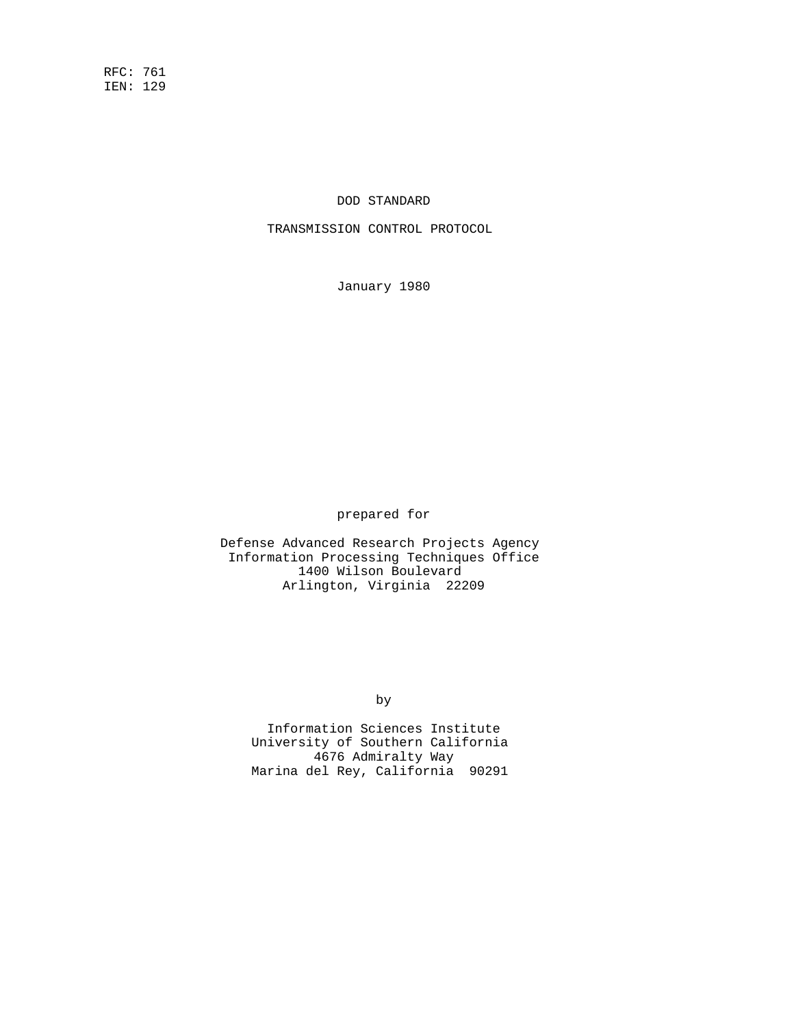RFC: 761 IEN: 129

DOD STANDARD

TRANSMISSION CONTROL PROTOCOL

January 1980

## prepared for

 Defense Advanced Research Projects Agency Information Processing Techniques Office 1400 Wilson Boulevard Arlington, Virginia 22209

by

 Information Sciences Institute University of Southern California 4676 Admiralty Way Marina del Rey, California 90291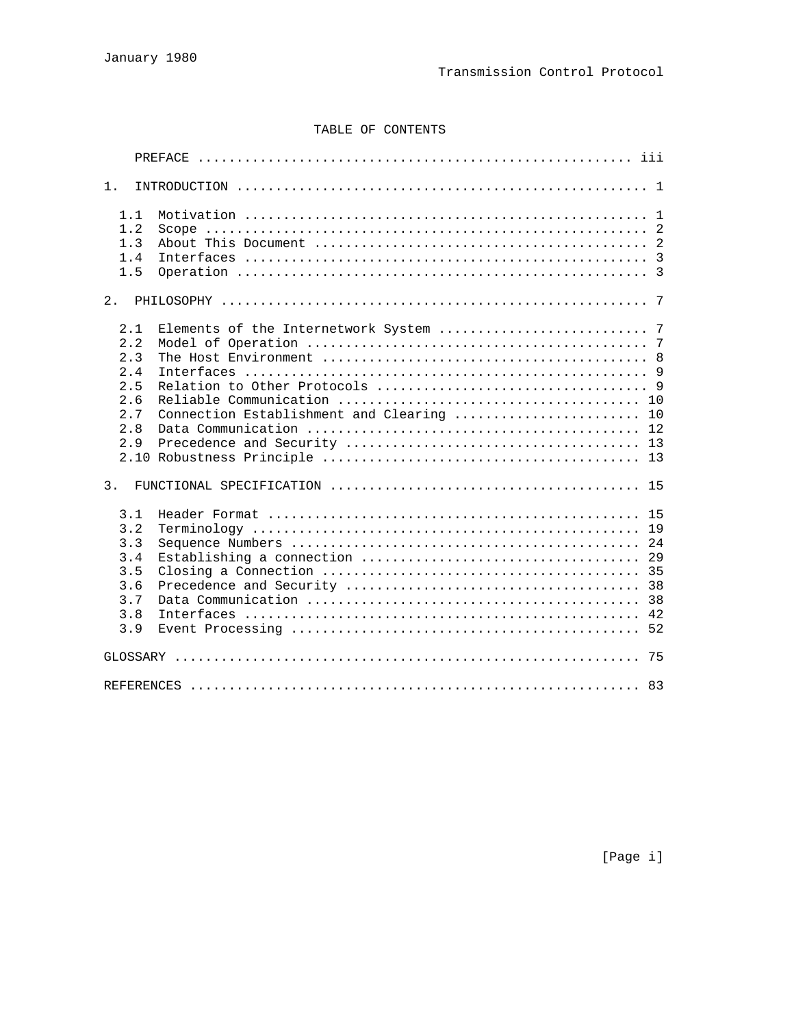# TABLE OF CONTENTS

| $1$ .                                                               |                                           |  |
|---------------------------------------------------------------------|-------------------------------------------|--|
| 1.1<br>1.2<br>1.3<br>1.4<br>1.5                                     |                                           |  |
| 2.                                                                  |                                           |  |
| 2.1<br>2.2<br>2.3<br>2.4<br>2.5<br>2.6<br>2.7<br>2.8<br>2.9<br>2.10 | Connection Establishment and Clearing  10 |  |
| 3.                                                                  |                                           |  |
| 3.1<br>3.2<br>3.3<br>3.4<br>3.5<br>3.6<br>3.7<br>3.8<br>3.9         |                                           |  |
|                                                                     |                                           |  |
|                                                                     |                                           |  |

[Page i]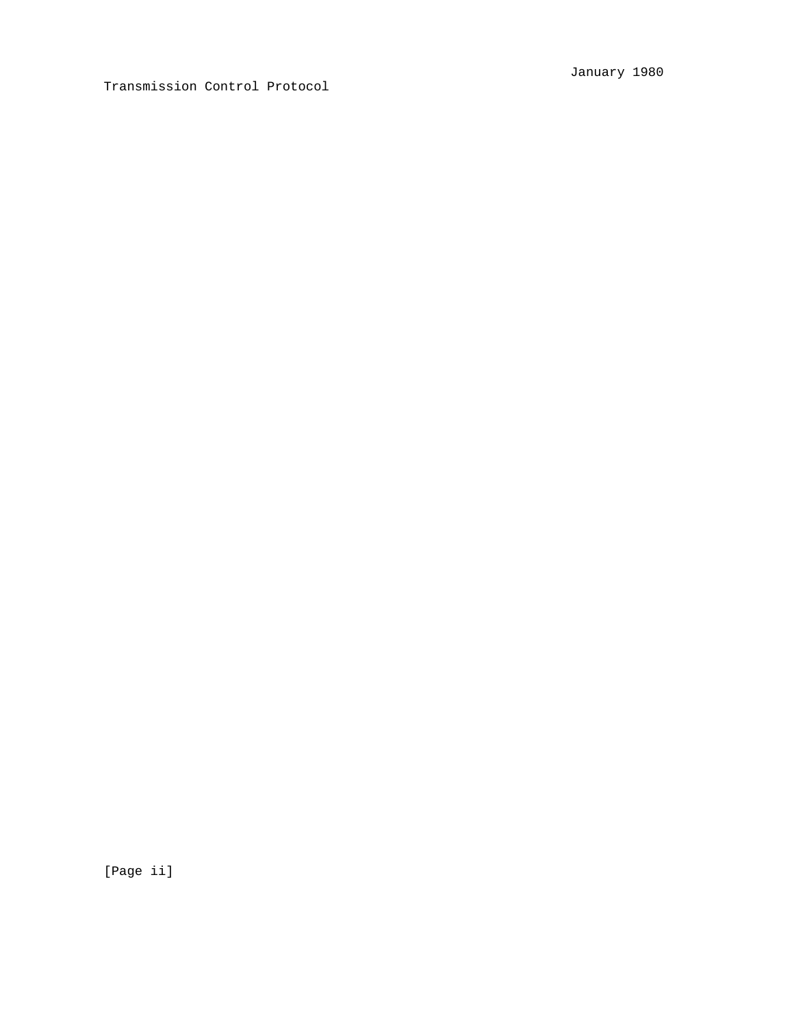Transmission Control Protocol

[Page ii]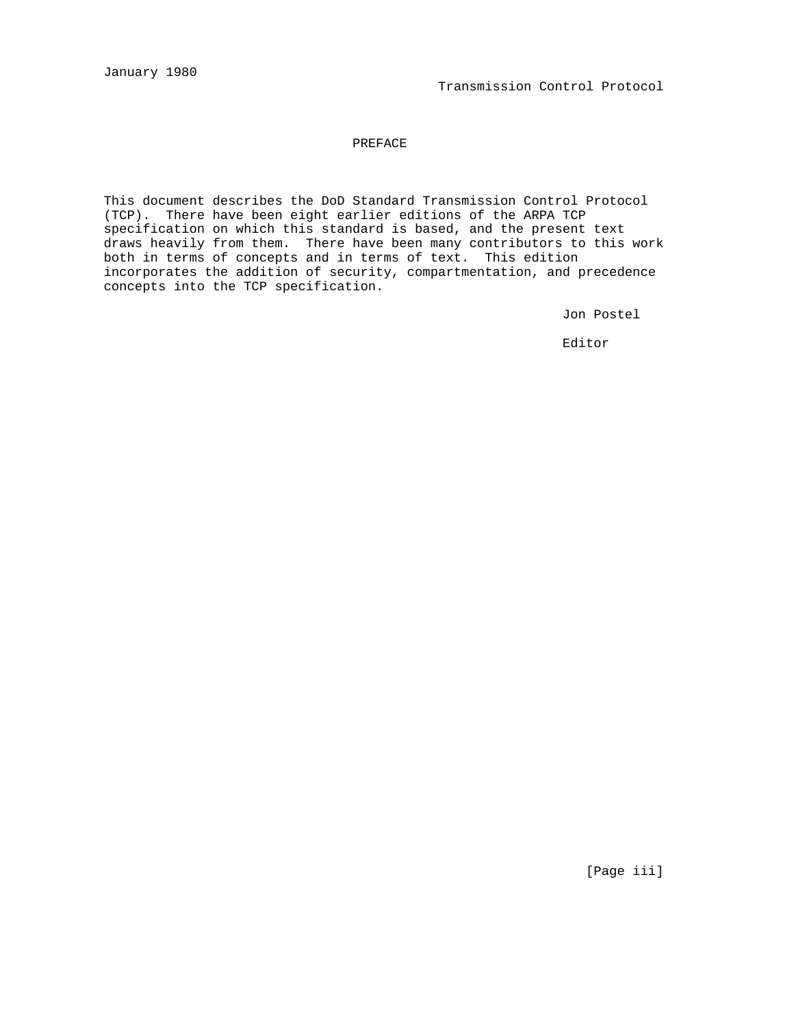## PREFACE

This document describes the DoD Standard Transmission Control Protocol (TCP). There have been eight earlier editions of the ARPA TCP specification on which this standard is based, and the present text draws heavily from them. There have been many contributors to this work both in terms of concepts and in terms of text. This edition incorporates the addition of security, compartmentation, and precedence concepts into the TCP specification.

Jon Postel

en de la construction de la construction de la construction de la construction de la construction de la construction de la construction de la construction de la construction de la construction de la construction de la cons

[Page iii]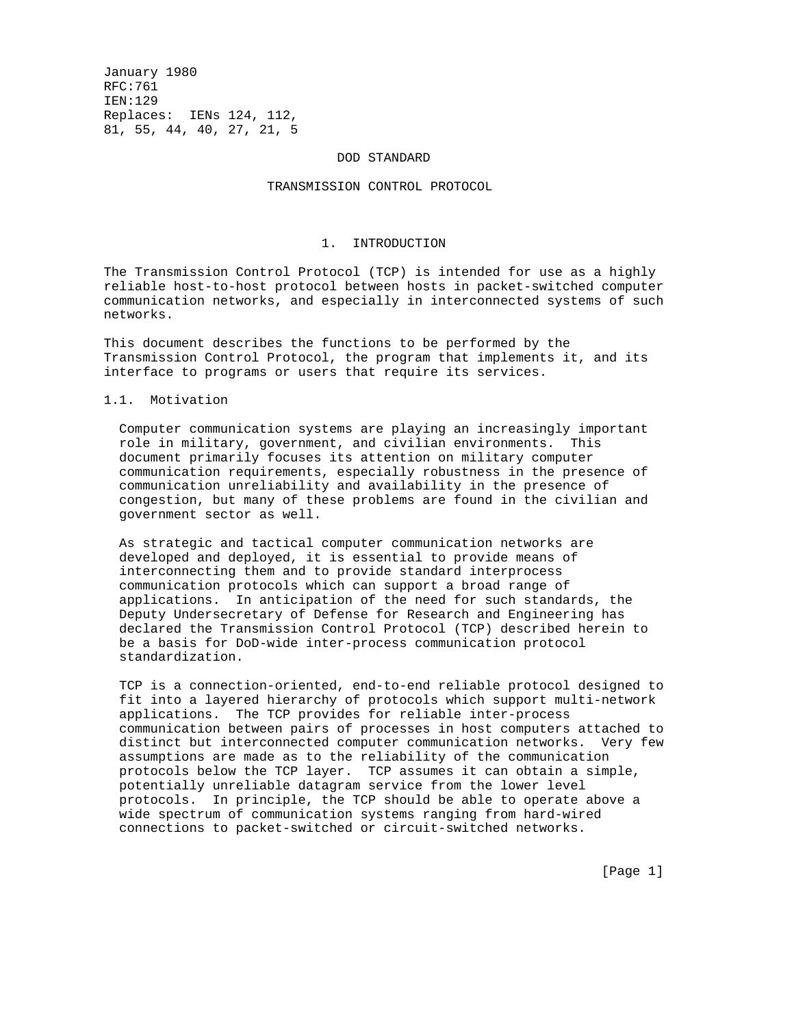January 1980 RFC:761 IEN:129 Replaces: IENs 124, 112, 81, 55, 44, 40, 27, 21, 5

### DOD STANDARD

### TRANSMISSION CONTROL PROTOCOL

### 1. INTRODUCTION

The Transmission Control Protocol (TCP) is intended for use as a highly reliable host-to-host protocol between hosts in packet-switched computer communication networks, and especially in interconnected systems of such networks.

This document describes the functions to be performed by the Transmission Control Protocol, the program that implements it, and its interface to programs or users that require its services.

### 1.1. Motivation

 Computer communication systems are playing an increasingly important role in military, government, and civilian environments. This document primarily focuses its attention on military computer communication requirements, especially robustness in the presence of communication unreliability and availability in the presence of congestion, but many of these problems are found in the civilian and government sector as well.

 As strategic and tactical computer communication networks are developed and deployed, it is essential to provide means of interconnecting them and to provide standard interprocess communication protocols which can support a broad range of applications. In anticipation of the need for such standards, the Deputy Undersecretary of Defense for Research and Engineering has declared the Transmission Control Protocol (TCP) described herein to be a basis for DoD-wide inter-process communication protocol standardization.

 TCP is a connection-oriented, end-to-end reliable protocol designed to fit into a layered hierarchy of protocols which support multi-network applications. The TCP provides for reliable inter-process communication between pairs of processes in host computers attached to distinct but interconnected computer communication networks. Very few assumptions are made as to the reliability of the communication protocols below the TCP layer. TCP assumes it can obtain a simple, potentially unreliable datagram service from the lower level protocols. In principle, the TCP should be able to operate above a wide spectrum of communication systems ranging from hard-wired connections to packet-switched or circuit-switched networks.

[Page 1]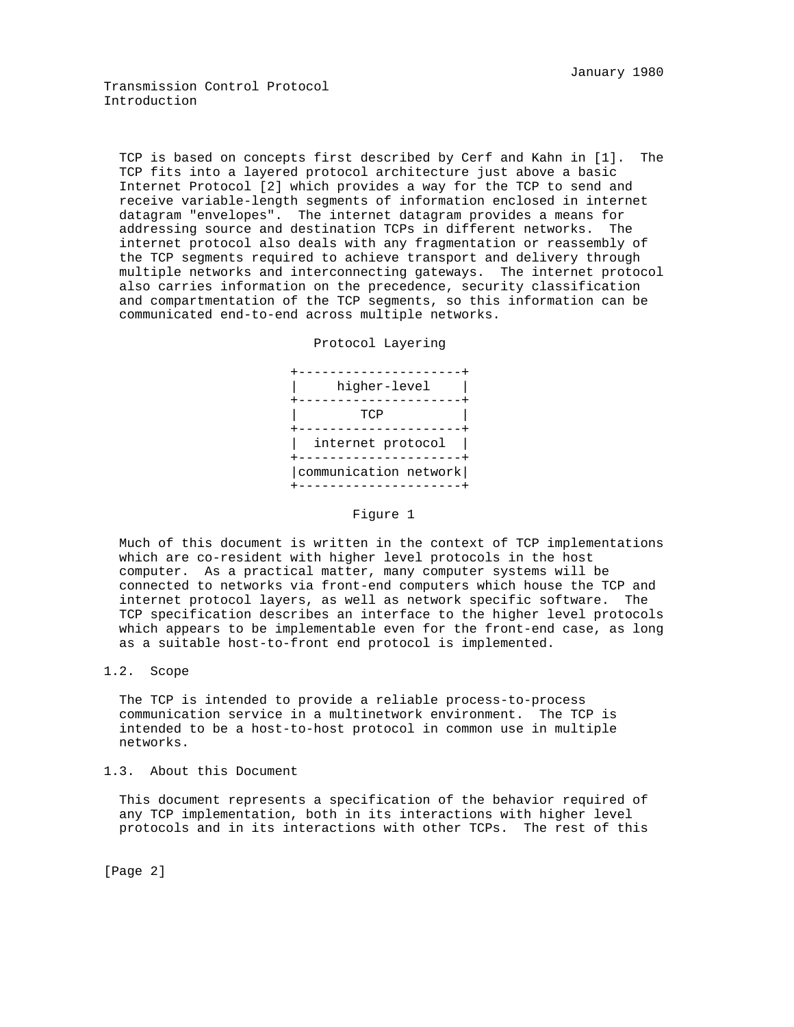Transmission Control Protocol Introduction

 TCP is based on concepts first described by Cerf and Kahn in [1]. The TCP fits into a layered protocol architecture just above a basic Internet Protocol [2] which provides a way for the TCP to send and receive variable-length segments of information enclosed in internet datagram "envelopes". The internet datagram provides a means for addressing source and destination TCPs in different networks. The internet protocol also deals with any fragmentation or reassembly of the TCP segments required to achieve transport and delivery through multiple networks and interconnecting gateways. The internet protocol also carries information on the precedence, security classification and compartmentation of the TCP segments, so this information can be communicated end-to-end across multiple networks.

Protocol Layering



#### Figure 1

 Much of this document is written in the context of TCP implementations which are co-resident with higher level protocols in the host computer. As a practical matter, many computer systems will be connected to networks via front-end computers which house the TCP and internet protocol layers, as well as network specific software. The TCP specification describes an interface to the higher level protocols which appears to be implementable even for the front-end case, as long as a suitable host-to-front end protocol is implemented.

1.2. Scope

 The TCP is intended to provide a reliable process-to-process communication service in a multinetwork environment. The TCP is intended to be a host-to-host protocol in common use in multiple networks.

### 1.3. About this Document

 This document represents a specification of the behavior required of any TCP implementation, both in its interactions with higher level protocols and in its interactions with other TCPs. The rest of this

[Page 2]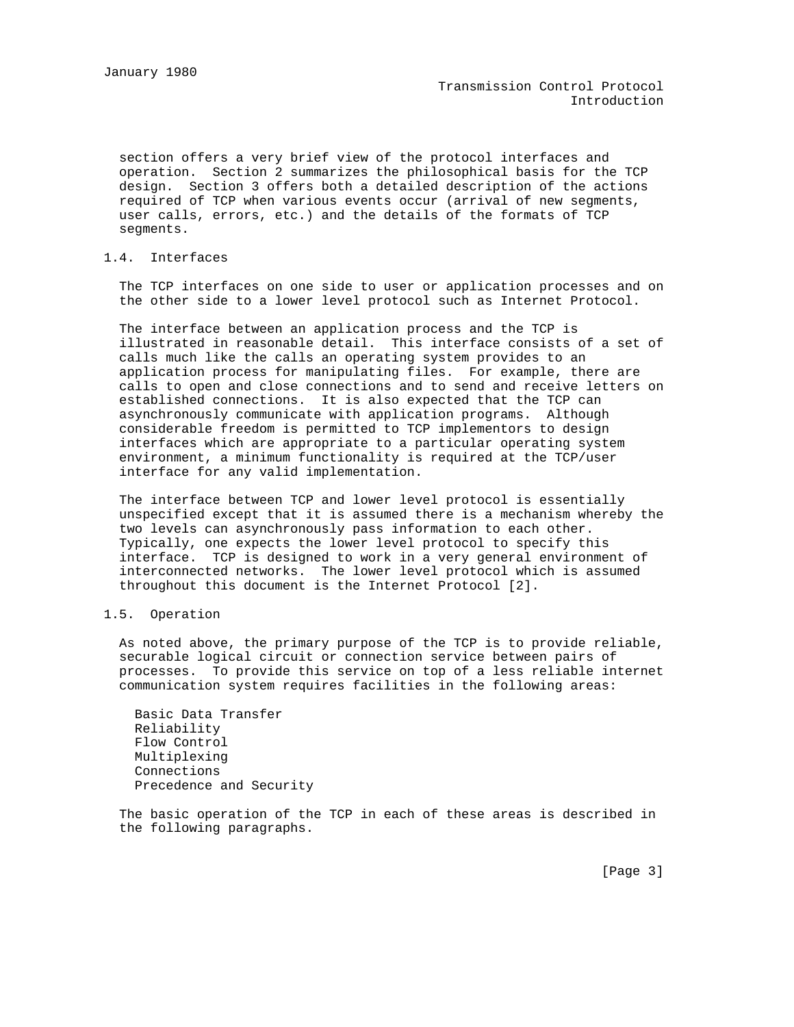section offers a very brief view of the protocol interfaces and operation. Section 2 summarizes the philosophical basis for the TCP design. Section 3 offers both a detailed description of the actions required of TCP when various events occur (arrival of new segments, user calls, errors, etc.) and the details of the formats of TCP segments.

## 1.4. Interfaces

 The TCP interfaces on one side to user or application processes and on the other side to a lower level protocol such as Internet Protocol.

 The interface between an application process and the TCP is illustrated in reasonable detail. This interface consists of a set of calls much like the calls an operating system provides to an application process for manipulating files. For example, there are calls to open and close connections and to send and receive letters on established connections. It is also expected that the TCP can asynchronously communicate with application programs. Although considerable freedom is permitted to TCP implementors to design interfaces which are appropriate to a particular operating system environment, a minimum functionality is required at the TCP/user interface for any valid implementation.

 The interface between TCP and lower level protocol is essentially unspecified except that it is assumed there is a mechanism whereby the two levels can asynchronously pass information to each other. Typically, one expects the lower level protocol to specify this interface. TCP is designed to work in a very general environment of interconnected networks. The lower level protocol which is assumed throughout this document is the Internet Protocol [2].

### 1.5. Operation

 As noted above, the primary purpose of the TCP is to provide reliable, securable logical circuit or connection service between pairs of processes. To provide this service on top of a less reliable internet communication system requires facilities in the following areas:

 Basic Data Transfer Reliability Flow Control Multiplexing Connections Precedence and Security

 The basic operation of the TCP in each of these areas is described in the following paragraphs.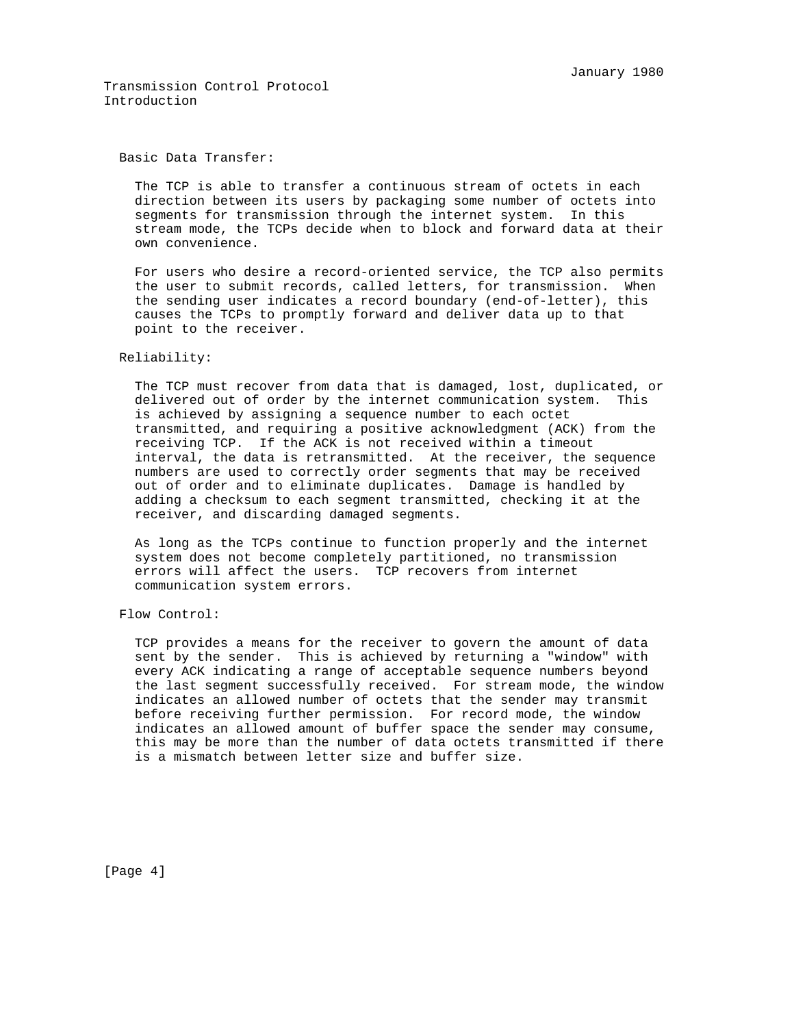Transmission Control Protocol Introduction

### Basic Data Transfer:

 The TCP is able to transfer a continuous stream of octets in each direction between its users by packaging some number of octets into segments for transmission through the internet system. In this stream mode, the TCPs decide when to block and forward data at their own convenience.

 For users who desire a record-oriented service, the TCP also permits the user to submit records, called letters, for transmission. When the sending user indicates a record boundary (end-of-letter), this causes the TCPs to promptly forward and deliver data up to that point to the receiver.

#### Reliability:

 The TCP must recover from data that is damaged, lost, duplicated, or delivered out of order by the internet communication system. This is achieved by assigning a sequence number to each octet transmitted, and requiring a positive acknowledgment (ACK) from the receiving TCP. If the ACK is not received within a timeout interval, the data is retransmitted. At the receiver, the sequence numbers are used to correctly order segments that may be received out of order and to eliminate duplicates. Damage is handled by adding a checksum to each segment transmitted, checking it at the receiver, and discarding damaged segments.

 As long as the TCPs continue to function properly and the internet system does not become completely partitioned, no transmission errors will affect the users. TCP recovers from internet communication system errors.

Flow Control:

 TCP provides a means for the receiver to govern the amount of data sent by the sender. This is achieved by returning a "window" with every ACK indicating a range of acceptable sequence numbers beyond the last segment successfully received. For stream mode, the window indicates an allowed number of octets that the sender may transmit before receiving further permission. For record mode, the window indicates an allowed amount of buffer space the sender may consume, this may be more than the number of data octets transmitted if there is a mismatch between letter size and buffer size.

[Page 4]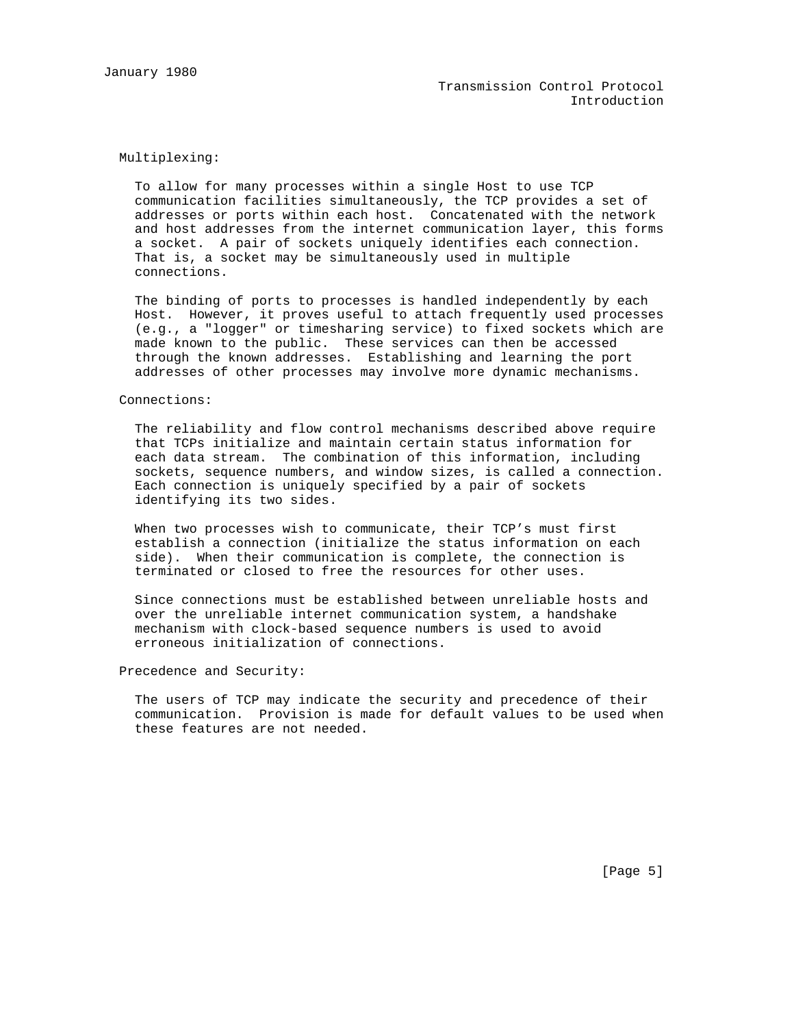## Multiplexing:

 To allow for many processes within a single Host to use TCP communication facilities simultaneously, the TCP provides a set of addresses or ports within each host. Concatenated with the network and host addresses from the internet communication layer, this forms a socket. A pair of sockets uniquely identifies each connection. That is, a socket may be simultaneously used in multiple connections.

 The binding of ports to processes is handled independently by each Host. However, it proves useful to attach frequently used processes (e.g., a "logger" or timesharing service) to fixed sockets which are made known to the public. These services can then be accessed through the known addresses. Establishing and learning the port addresses of other processes may involve more dynamic mechanisms.

### Connections:

 The reliability and flow control mechanisms described above require that TCPs initialize and maintain certain status information for each data stream. The combination of this information, including sockets, sequence numbers, and window sizes, is called a connection. Each connection is uniquely specified by a pair of sockets identifying its two sides.

 When two processes wish to communicate, their TCP's must first establish a connection (initialize the status information on each side). When their communication is complete, the connection is terminated or closed to free the resources for other uses.

 Since connections must be established between unreliable hosts and over the unreliable internet communication system, a handshake mechanism with clock-based sequence numbers is used to avoid erroneous initialization of connections.

Precedence and Security:

 The users of TCP may indicate the security and precedence of their communication. Provision is made for default values to be used when these features are not needed.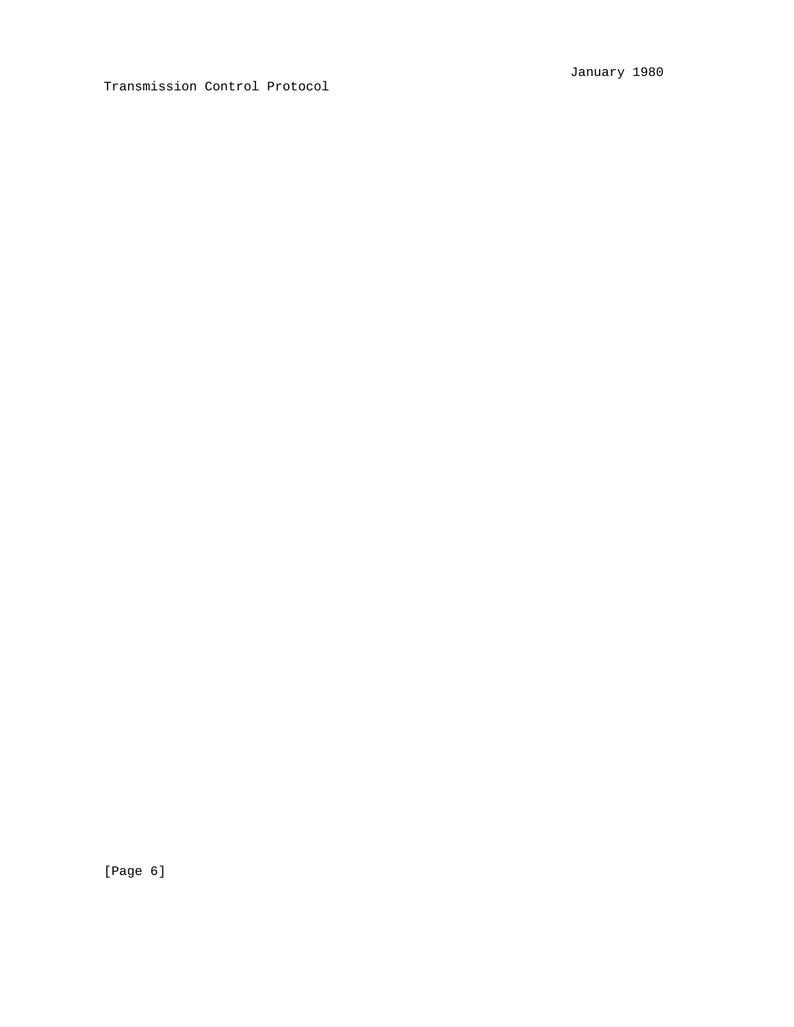Transmission Control Protocol

[Page 6]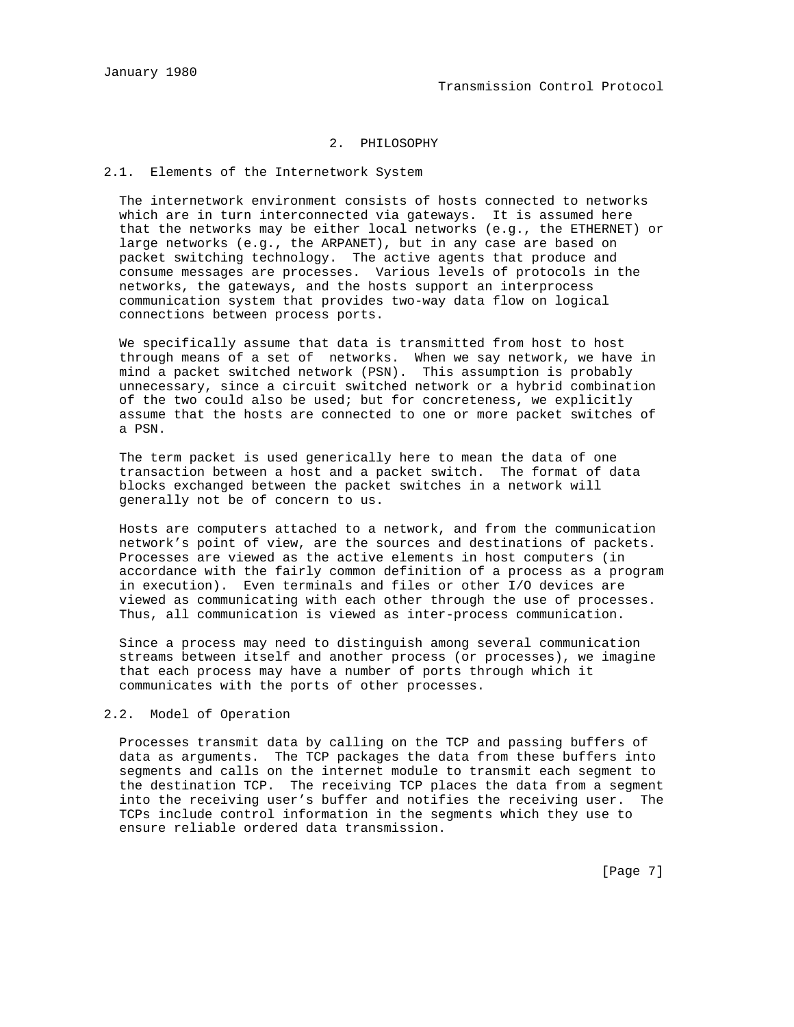## 2. PHILOSOPHY

### 2.1. Elements of the Internetwork System

 The internetwork environment consists of hosts connected to networks which are in turn interconnected via gateways. It is assumed here that the networks may be either local networks (e.g., the ETHERNET) or large networks (e.g., the ARPANET), but in any case are based on packet switching technology. The active agents that produce and consume messages are processes. Various levels of protocols in the networks, the gateways, and the hosts support an interprocess communication system that provides two-way data flow on logical connections between process ports.

 We specifically assume that data is transmitted from host to host through means of a set of networks. When we say network, we have in mind a packet switched network (PSN). This assumption is probably unnecessary, since a circuit switched network or a hybrid combination of the two could also be used; but for concreteness, we explicitly assume that the hosts are connected to one or more packet switches of a PSN.

 The term packet is used generically here to mean the data of one transaction between a host and a packet switch. The format of data blocks exchanged between the packet switches in a network will generally not be of concern to us.

 Hosts are computers attached to a network, and from the communication network's point of view, are the sources and destinations of packets. Processes are viewed as the active elements in host computers (in accordance with the fairly common definition of a process as a program in execution). Even terminals and files or other I/O devices are viewed as communicating with each other through the use of processes. Thus, all communication is viewed as inter-process communication.

 Since a process may need to distinguish among several communication streams between itself and another process (or processes), we imagine that each process may have a number of ports through which it communicates with the ports of other processes.

### 2.2. Model of Operation

 Processes transmit data by calling on the TCP and passing buffers of data as arguments. The TCP packages the data from these buffers into segments and calls on the internet module to transmit each segment to the destination TCP. The receiving TCP places the data from a segment into the receiving user's buffer and notifies the receiving user. The TCPs include control information in the segments which they use to ensure reliable ordered data transmission.

[Page 7]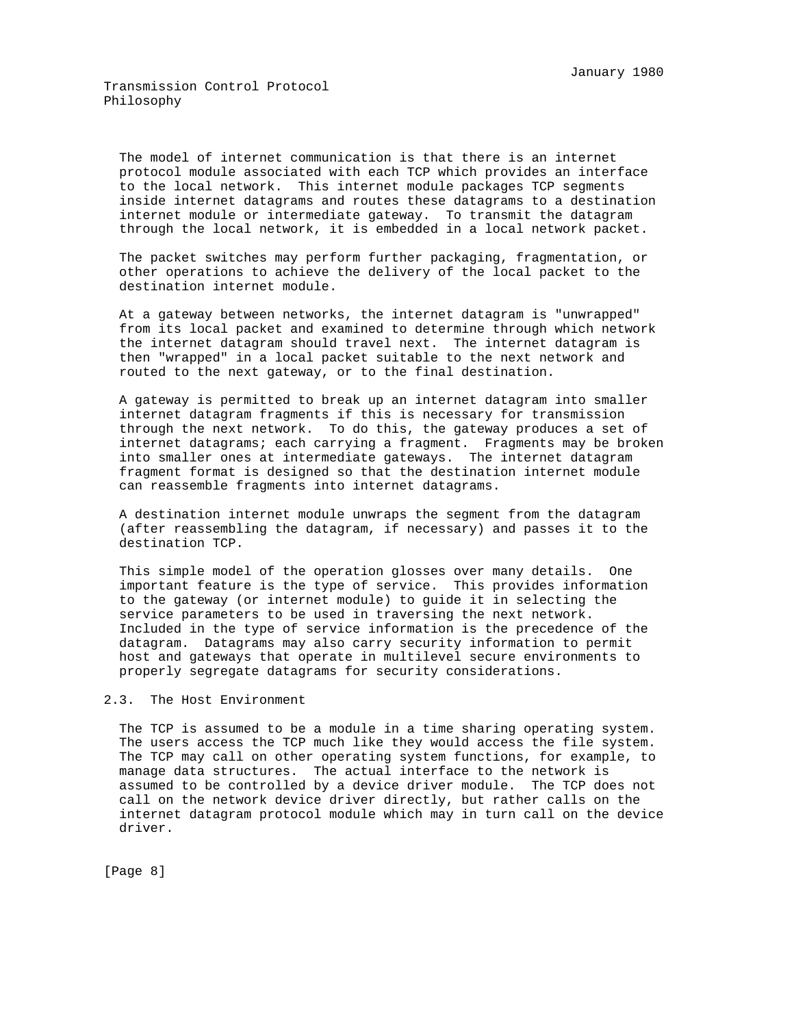The model of internet communication is that there is an internet protocol module associated with each TCP which provides an interface to the local network. This internet module packages TCP segments inside internet datagrams and routes these datagrams to a destination internet module or intermediate gateway. To transmit the datagram through the local network, it is embedded in a local network packet.

 The packet switches may perform further packaging, fragmentation, or other operations to achieve the delivery of the local packet to the destination internet module.

 At a gateway between networks, the internet datagram is "unwrapped" from its local packet and examined to determine through which network the internet datagram should travel next. The internet datagram is then "wrapped" in a local packet suitable to the next network and routed to the next gateway, or to the final destination.

 A gateway is permitted to break up an internet datagram into smaller internet datagram fragments if this is necessary for transmission through the next network. To do this, the gateway produces a set of internet datagrams; each carrying a fragment. Fragments may be broken into smaller ones at intermediate gateways. The internet datagram fragment format is designed so that the destination internet module can reassemble fragments into internet datagrams.

 A destination internet module unwraps the segment from the datagram (after reassembling the datagram, if necessary) and passes it to the destination TCP.

 This simple model of the operation glosses over many details. One important feature is the type of service. This provides information to the gateway (or internet module) to guide it in selecting the service parameters to be used in traversing the next network. Included in the type of service information is the precedence of the datagram. Datagrams may also carry security information to permit host and gateways that operate in multilevel secure environments to properly segregate datagrams for security considerations.

## 2.3. The Host Environment

 The TCP is assumed to be a module in a time sharing operating system. The users access the TCP much like they would access the file system. The TCP may call on other operating system functions, for example, to manage data structures. The actual interface to the network is assumed to be controlled by a device driver module. The TCP does not call on the network device driver directly, but rather calls on the internet datagram protocol module which may in turn call on the device driver.

[Page 8]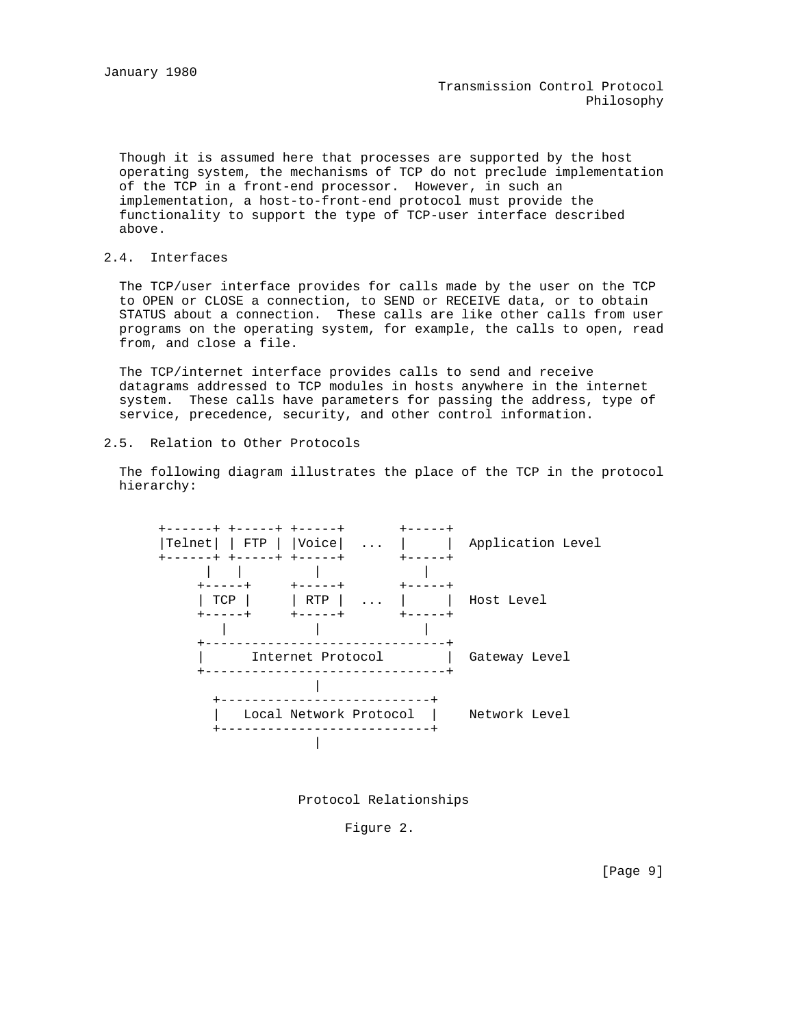Though it is assumed here that processes are supported by the host operating system, the mechanisms of TCP do not preclude implementation of the TCP in a front-end processor. However, in such an implementation, a host-to-front-end protocol must provide the functionality to support the type of TCP-user interface described above.

## 2.4. Interfaces

 The TCP/user interface provides for calls made by the user on the TCP to OPEN or CLOSE a connection, to SEND or RECEIVE data, or to obtain STATUS about a connection. These calls are like other calls from user programs on the operating system, for example, the calls to open, read from, and close a file.

 The TCP/internet interface provides calls to send and receive datagrams addressed to TCP modules in hosts anywhere in the internet system. These calls have parameters for passing the address, type of service, precedence, security, and other control information.

## 2.5. Relation to Other Protocols

 The following diagram illustrates the place of the TCP in the protocol hierarchy:



Protocol Relationships

### Figure 2.

[Page 9]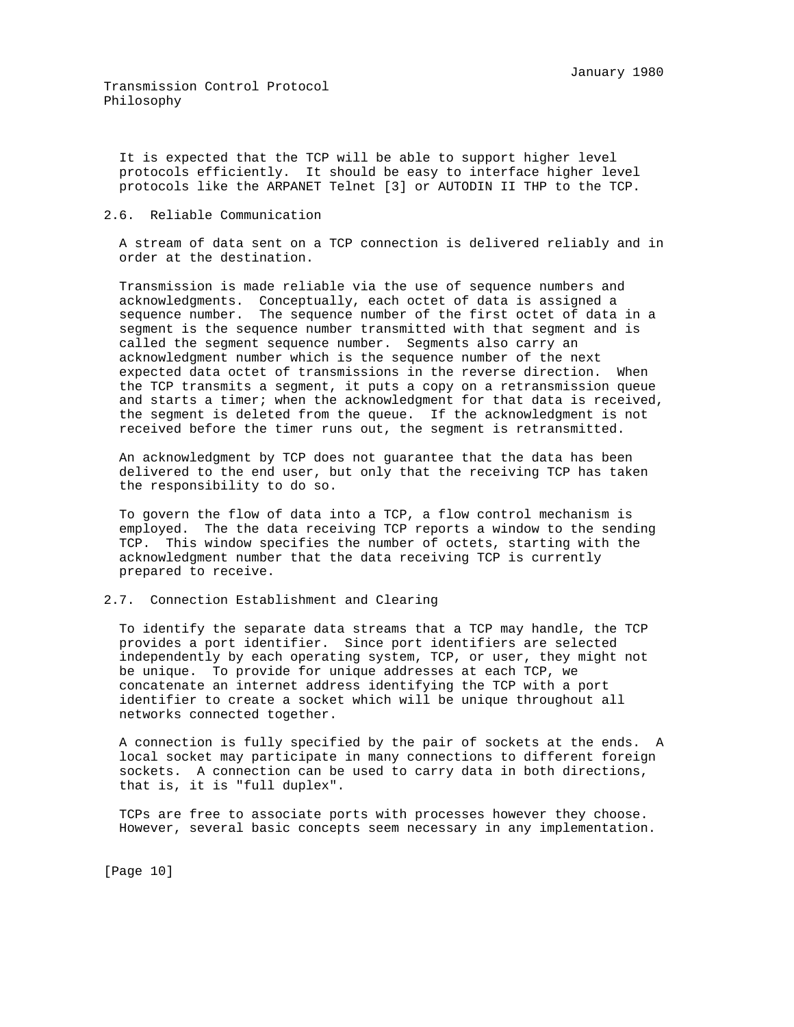Transmission Control Protocol Philosophy

 It is expected that the TCP will be able to support higher level protocols efficiently. It should be easy to interface higher level protocols like the ARPANET Telnet [3] or AUTODIN II THP to the TCP.

2.6. Reliable Communication

 A stream of data sent on a TCP connection is delivered reliably and in order at the destination.

 Transmission is made reliable via the use of sequence numbers and acknowledgments. Conceptually, each octet of data is assigned a sequence number. The sequence number of the first octet of data in a segment is the sequence number transmitted with that segment and is called the segment sequence number. Segments also carry an acknowledgment number which is the sequence number of the next expected data octet of transmissions in the reverse direction. When the TCP transmits a segment, it puts a copy on a retransmission queue and starts a timer; when the acknowledgment for that data is received, the segment is deleted from the queue. If the acknowledgment is not received before the timer runs out, the segment is retransmitted.

 An acknowledgment by TCP does not guarantee that the data has been delivered to the end user, but only that the receiving TCP has taken the responsibility to do so.

 To govern the flow of data into a TCP, a flow control mechanism is employed. The the data receiving TCP reports a window to the sending TCP. This window specifies the number of octets, starting with the acknowledgment number that the data receiving TCP is currently prepared to receive.

2.7. Connection Establishment and Clearing

 To identify the separate data streams that a TCP may handle, the TCP provides a port identifier. Since port identifiers are selected independently by each operating system, TCP, or user, they might not be unique. To provide for unique addresses at each TCP, we concatenate an internet address identifying the TCP with a port identifier to create a socket which will be unique throughout all networks connected together.

 A connection is fully specified by the pair of sockets at the ends. A local socket may participate in many connections to different foreign sockets. A connection can be used to carry data in both directions, that is, it is "full duplex".

 TCPs are free to associate ports with processes however they choose. However, several basic concepts seem necessary in any implementation.

[Page 10]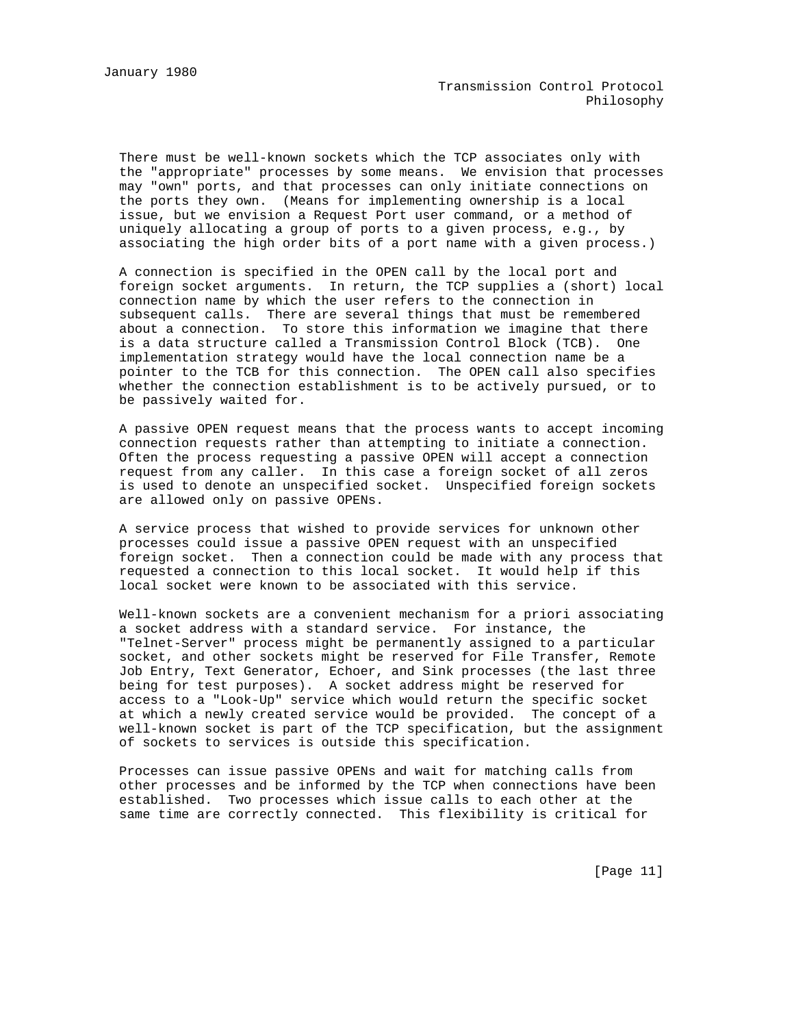There must be well-known sockets which the TCP associates only with the "appropriate" processes by some means. We envision that processes may "own" ports, and that processes can only initiate connections on the ports they own. (Means for implementing ownership is a local issue, but we envision a Request Port user command, or a method of uniquely allocating a group of ports to a given process, e.g., by associating the high order bits of a port name with a given process.)

 A connection is specified in the OPEN call by the local port and foreign socket arguments. In return, the TCP supplies a (short) local connection name by which the user refers to the connection in subsequent calls. There are several things that must be remembered about a connection. To store this information we imagine that there is a data structure called a Transmission Control Block (TCB). One implementation strategy would have the local connection name be a pointer to the TCB for this connection. The OPEN call also specifies whether the connection establishment is to be actively pursued, or to be passively waited for.

 A passive OPEN request means that the process wants to accept incoming connection requests rather than attempting to initiate a connection. Often the process requesting a passive OPEN will accept a connection request from any caller. In this case a foreign socket of all zeros is used to denote an unspecified socket. Unspecified foreign sockets are allowed only on passive OPENs.

 A service process that wished to provide services for unknown other processes could issue a passive OPEN request with an unspecified foreign socket. Then a connection could be made with any process that requested a connection to this local socket. It would help if this local socket were known to be associated with this service.

 Well-known sockets are a convenient mechanism for a priori associating a socket address with a standard service. For instance, the "Telnet-Server" process might be permanently assigned to a particular socket, and other sockets might be reserved for File Transfer, Remote Job Entry, Text Generator, Echoer, and Sink processes (the last three being for test purposes). A socket address might be reserved for access to a "Look-Up" service which would return the specific socket at which a newly created service would be provided. The concept of a well-known socket is part of the TCP specification, but the assignment of sockets to services is outside this specification.

 Processes can issue passive OPENs and wait for matching calls from other processes and be informed by the TCP when connections have been established. Two processes which issue calls to each other at the same time are correctly connected. This flexibility is critical for

[Page 11]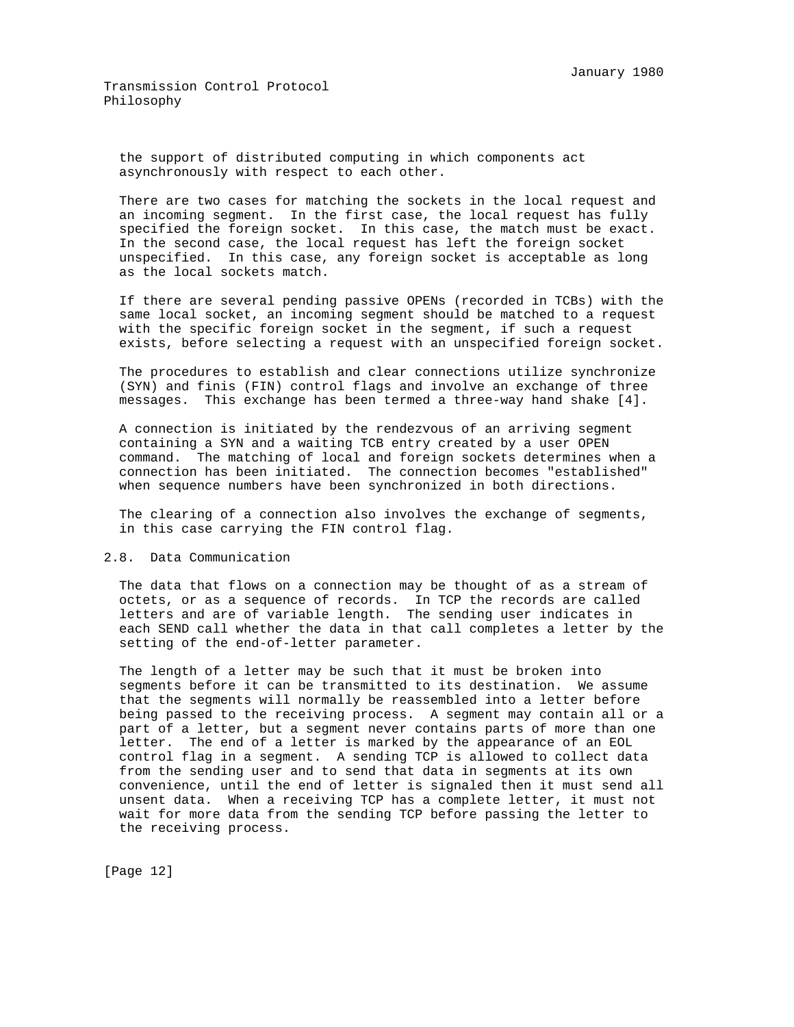Transmission Control Protocol Philosophy

 the support of distributed computing in which components act asynchronously with respect to each other.

 There are two cases for matching the sockets in the local request and an incoming segment. In the first case, the local request has fully specified the foreign socket. In this case, the match must be exact. In the second case, the local request has left the foreign socket unspecified. In this case, any foreign socket is acceptable as long as the local sockets match.

 If there are several pending passive OPENs (recorded in TCBs) with the same local socket, an incoming segment should be matched to a request with the specific foreign socket in the segment, if such a request exists, before selecting a request with an unspecified foreign socket.

 The procedures to establish and clear connections utilize synchronize (SYN) and finis (FIN) control flags and involve an exchange of three messages. This exchange has been termed a three-way hand shake [4].

 A connection is initiated by the rendezvous of an arriving segment containing a SYN and a waiting TCB entry created by a user OPEN command. The matching of local and foreign sockets determines when a connection has been initiated. The connection becomes "established" when sequence numbers have been synchronized in both directions.

 The clearing of a connection also involves the exchange of segments, in this case carrying the FIN control flag.

## 2.8. Data Communication

 The data that flows on a connection may be thought of as a stream of octets, or as a sequence of records. In TCP the records are called letters and are of variable length. The sending user indicates in each SEND call whether the data in that call completes a letter by the setting of the end-of-letter parameter.

 The length of a letter may be such that it must be broken into segments before it can be transmitted to its destination. We assume that the segments will normally be reassembled into a letter before being passed to the receiving process. A segment may contain all or a part of a letter, but a segment never contains parts of more than one letter. The end of a letter is marked by the appearance of an EOL control flag in a segment. A sending TCP is allowed to collect data from the sending user and to send that data in segments at its own convenience, until the end of letter is signaled then it must send all unsent data. When a receiving TCP has a complete letter, it must not wait for more data from the sending TCP before passing the letter to the receiving process.

[Page 12]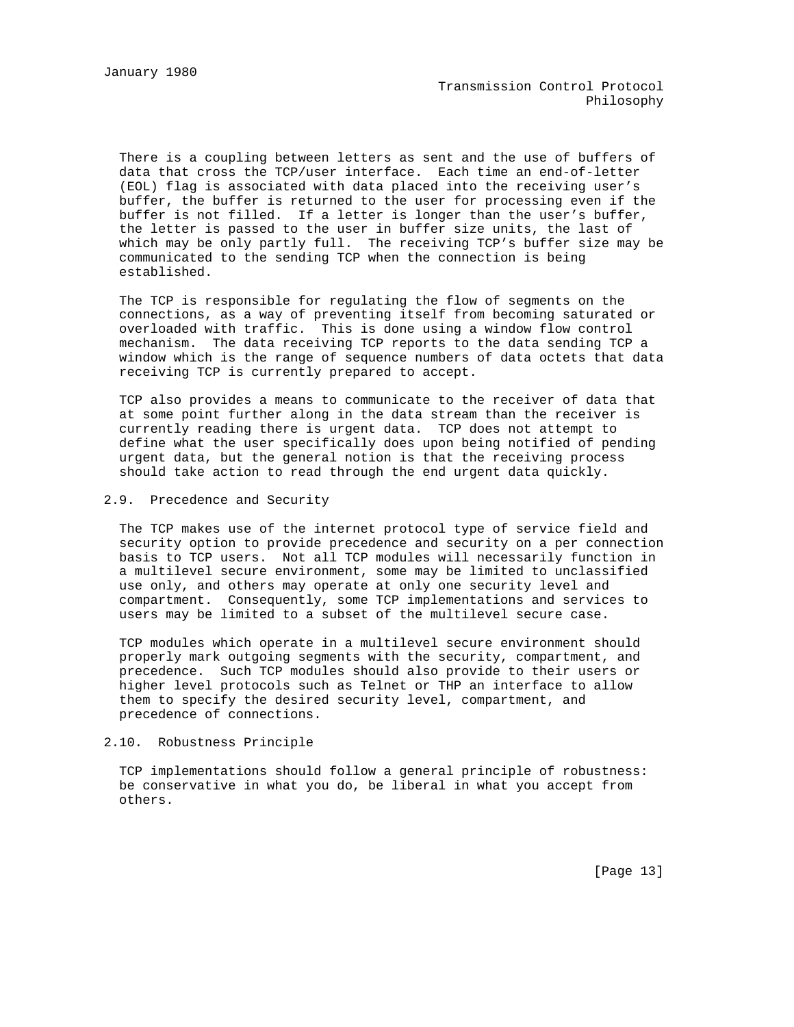There is a coupling between letters as sent and the use of buffers of data that cross the TCP/user interface. Each time an end-of-letter (EOL) flag is associated with data placed into the receiving user's buffer, the buffer is returned to the user for processing even if the buffer is not filled. If a letter is longer than the user's buffer, the letter is passed to the user in buffer size units, the last of which may be only partly full. The receiving TCP's buffer size may be communicated to the sending TCP when the connection is being established.

 The TCP is responsible for regulating the flow of segments on the connections, as a way of preventing itself from becoming saturated or overloaded with traffic. This is done using a window flow control mechanism. The data receiving TCP reports to the data sending TCP a window which is the range of sequence numbers of data octets that data receiving TCP is currently prepared to accept.

 TCP also provides a means to communicate to the receiver of data that at some point further along in the data stream than the receiver is currently reading there is urgent data. TCP does not attempt to define what the user specifically does upon being notified of pending urgent data, but the general notion is that the receiving process should take action to read through the end urgent data quickly.

### 2.9. Precedence and Security

 The TCP makes use of the internet protocol type of service field and security option to provide precedence and security on a per connection basis to TCP users. Not all TCP modules will necessarily function in a multilevel secure environment, some may be limited to unclassified use only, and others may operate at only one security level and compartment. Consequently, some TCP implementations and services to users may be limited to a subset of the multilevel secure case.

 TCP modules which operate in a multilevel secure environment should properly mark outgoing segments with the security, compartment, and precedence. Such TCP modules should also provide to their users or higher level protocols such as Telnet or THP an interface to allow them to specify the desired security level, compartment, and precedence of connections.

## 2.10. Robustness Principle

 TCP implementations should follow a general principle of robustness: be conservative in what you do, be liberal in what you accept from others.

[Page 13]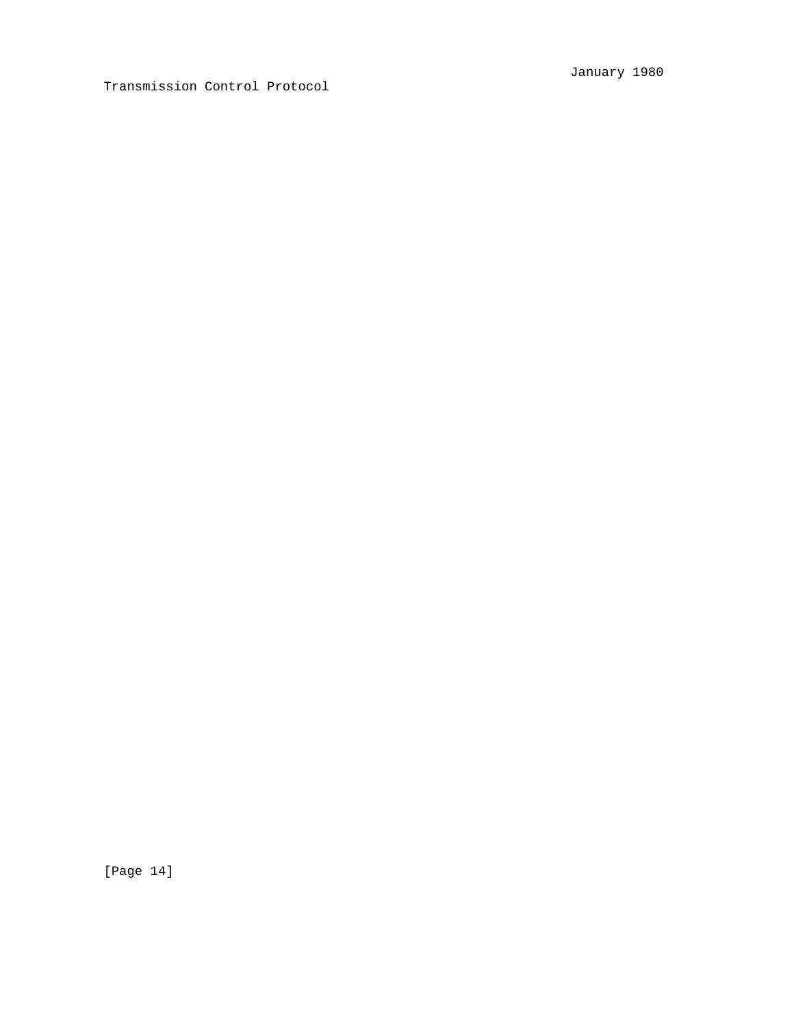Transmission Control Protocol

[Page 14]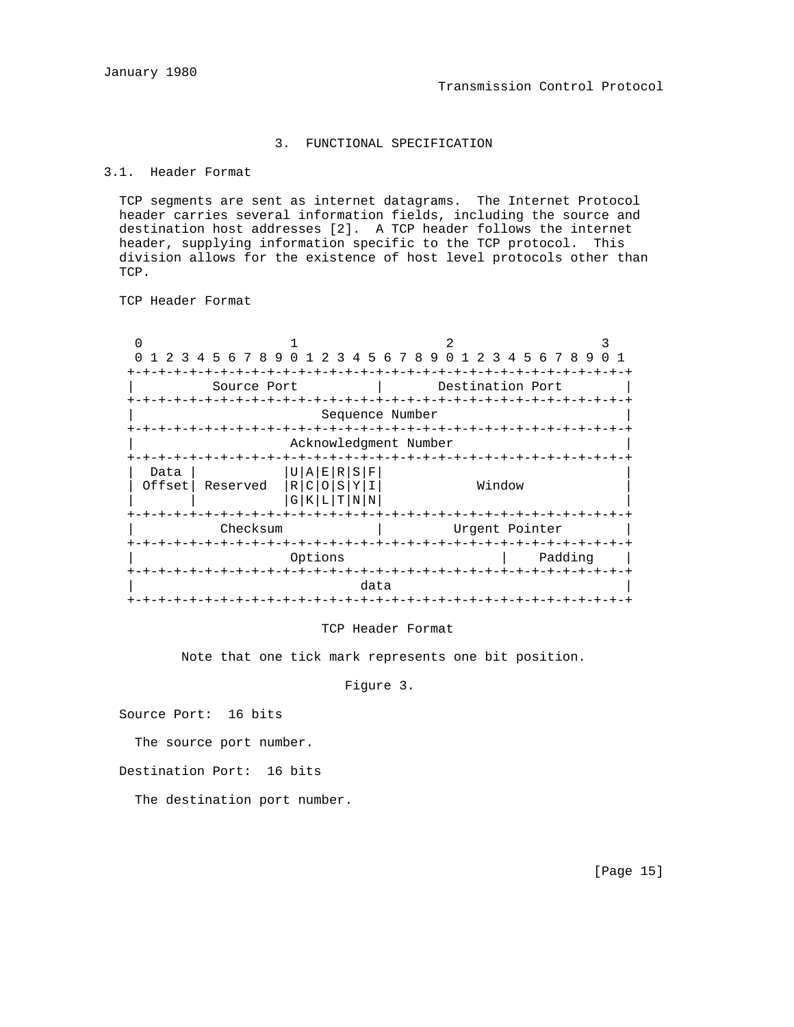## 3. FUNCTIONAL SPECIFICATION

## 3.1. Header Format

 TCP segments are sent as internet datagrams. The Internet Protocol header carries several information fields, including the source and destination host addresses [2]. A TCP header follows the internet header, supplying information specific to the TCP protocol. This division allows for the existence of host level protocols other than TCP.

TCP Header Format

|                | 1 2 3 4 5 6 7 8 9 0 1 2 3 4 5 6 7 8 9 0 1 2 3 4 5 6 7 8 9 |                                                                  |     |                 |             |                |        |  |         |  | 0 1 |
|----------------|-----------------------------------------------------------|------------------------------------------------------------------|-----|-----------------|-------------|----------------|--------|--|---------|--|-----|
|                |                                                           |                                                                  |     |                 | $+ - + - +$ |                |        |  |         |  |     |
|                | Destination Port<br>Source Port                           |                                                                  |     |                 |             |                |        |  |         |  |     |
|                |                                                           |                                                                  |     |                 |             |                |        |  |         |  |     |
|                |                                                           |                                                                  |     | Sequence Number |             |                |        |  |         |  |     |
|                |                                                           |                                                                  |     |                 |             |                |        |  |         |  |     |
|                |                                                           | Acknowledgment Number                                            |     |                 |             |                |        |  |         |  |     |
|                |                                                           |                                                                  |     |                 |             |                |        |  |         |  |     |
| Data<br>Offset | Reserved                                                  | $R \mid$<br>Α<br>$\vert$ E $\vert$<br>R C O S Y I<br>G K L T N N | SIF |                 |             |                | Window |  |         |  |     |
|                |                                                           |                                                                  |     |                 |             |                |        |  |         |  |     |
|                | Checksum                                                  |                                                                  |     |                 |             | Urgent Pointer |        |  |         |  |     |
|                |                                                           |                                                                  |     |                 |             |                |        |  |         |  |     |
|                |                                                           | Options                                                          |     |                 |             |                |        |  | Padding |  |     |
|                | $- + - + - + -$<br>data                                   |                                                                  |     |                 |             |                |        |  |         |  |     |
|                |                                                           |                                                                  |     |                 |             |                |        |  |         |  |     |

### TCP Header Format

Note that one tick mark represents one bit position.

Figure 3.

Source Port: 16 bits

The source port number.

## Destination Port: 16 bits

The destination port number.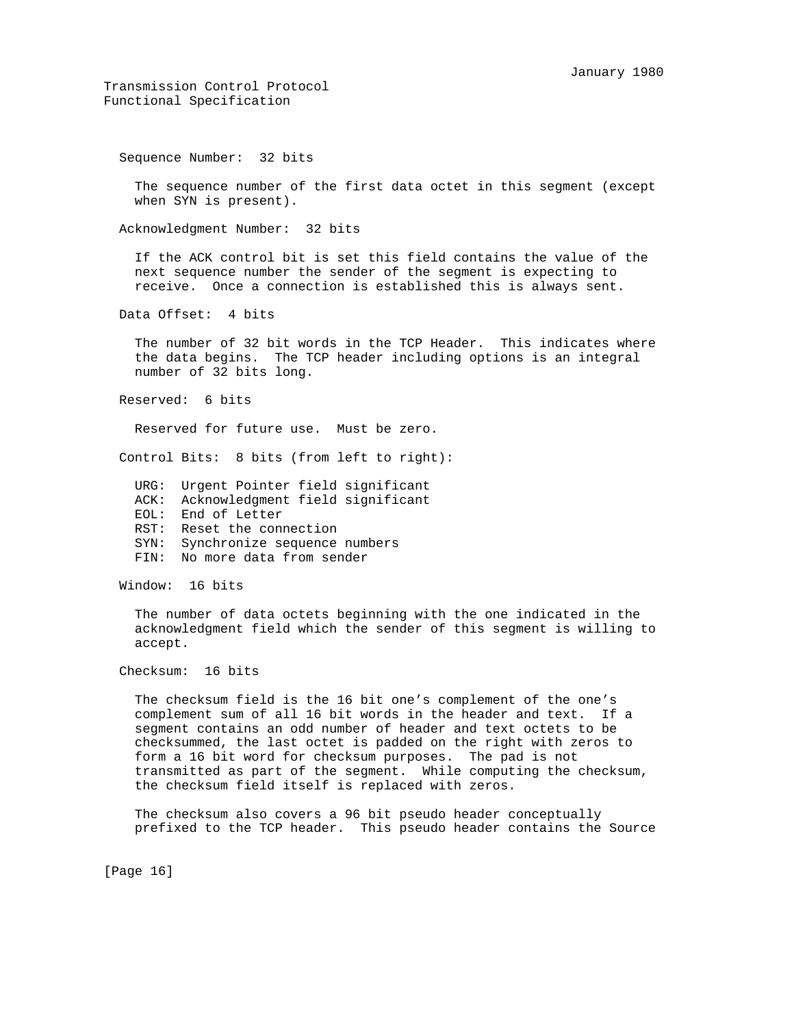Sequence Number: 32 bits

 The sequence number of the first data octet in this segment (except when SYN is present).

Acknowledgment Number: 32 bits

 If the ACK control bit is set this field contains the value of the next sequence number the sender of the segment is expecting to receive. Once a connection is established this is always sent.

Data Offset: 4 bits

 The number of 32 bit words in the TCP Header. This indicates where the data begins. The TCP header including options is an integral number of 32 bits long.

Reserved: 6 bits

Reserved for future use. Must be zero.

Control Bits: 8 bits (from left to right):

 URG: Urgent Pointer field significant ACK: Acknowledgment field significant EOL: End of Letter RST: Reset the connection SYN: Synchronize sequence numbers FIN: No more data from sender

Window: 16 bits

 The number of data octets beginning with the one indicated in the acknowledgment field which the sender of this segment is willing to accept.

Checksum: 16 bits

 The checksum field is the 16 bit one's complement of the one's complement sum of all 16 bit words in the header and text. If a segment contains an odd number of header and text octets to be checksummed, the last octet is padded on the right with zeros to form a 16 bit word for checksum purposes. The pad is not transmitted as part of the segment. While computing the checksum, the checksum field itself is replaced with zeros.

 The checksum also covers a 96 bit pseudo header conceptually prefixed to the TCP header. This pseudo header contains the Source

[Page 16]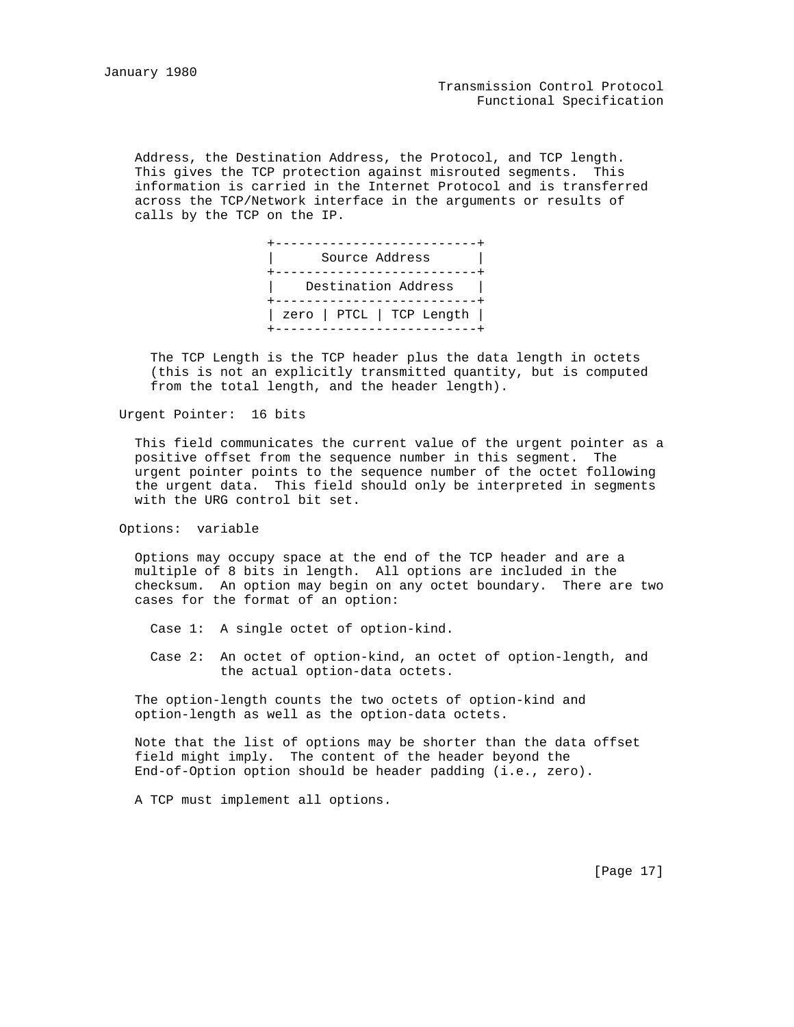Address, the Destination Address, the Protocol, and TCP length. This gives the TCP protection against misrouted segments. This information is carried in the Internet Protocol and is transferred across the TCP/Network interface in the arguments or results of calls by the TCP on the IP.

| Source Address           |
|--------------------------|
| Destination Address      |
| zero   PTCL   TCP Length |

 The TCP Length is the TCP header plus the data length in octets (this is not an explicitly transmitted quantity, but is computed from the total length, and the header length).

Urgent Pointer: 16 bits

 This field communicates the current value of the urgent pointer as a positive offset from the sequence number in this segment. The urgent pointer points to the sequence number of the octet following the urgent data. This field should only be interpreted in segments with the URG control bit set.

Options: variable

 Options may occupy space at the end of the TCP header and are a multiple of 8 bits in length. All options are included in the checksum. An option may begin on any octet boundary. There are two cases for the format of an option:

Case 1: A single octet of option-kind.

 Case 2: An octet of option-kind, an octet of option-length, and the actual option-data octets.

 The option-length counts the two octets of option-kind and option-length as well as the option-data octets.

 Note that the list of options may be shorter than the data offset field might imply. The content of the header beyond the End-of-Option option should be header padding (i.e., zero).

A TCP must implement all options.

[Page 17]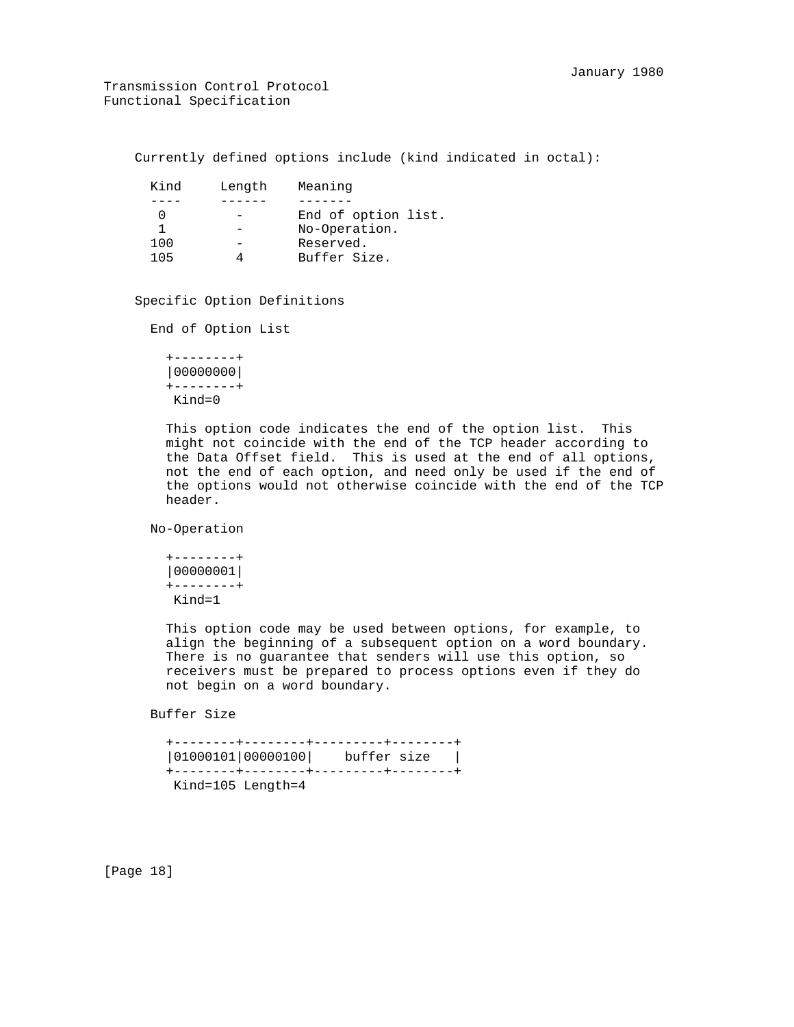Currently defined options include (kind indicated in octal):

| Kind | Length | Meaning             |
|------|--------|---------------------|
|      |        |                     |
|      |        | End of option list. |
|      |        | No-Operation.       |
| 100  |        | Reserved.           |
| 105  |        | Buffer Size.        |

Specific Option Definitions

End of Option List

 +--------+ |00000000| +--------+ Kind=0

 This option code indicates the end of the option list. This might not coincide with the end of the TCP header according to the Data Offset field. This is used at the end of all options, not the end of each option, and need only be used if the end of the options would not otherwise coincide with the end of the TCP header.

No-Operation

```
 +--------+
|00000001|
+--------+
Kind=1
```
 This option code may be used between options, for example, to align the beginning of a subsequent option on a word boundary. There is no guarantee that senders will use this option, so receivers must be prepared to process options even if they do not begin on a word boundary.

Buffer Size

| +--------+--------+------------------- |         |
|----------------------------------------|---------|
| 01000101 00000100  buffer size         | and the |
| +--------+--------+---------+--------  |         |
| Kind=105 Length=4                      |         |

[Page 18]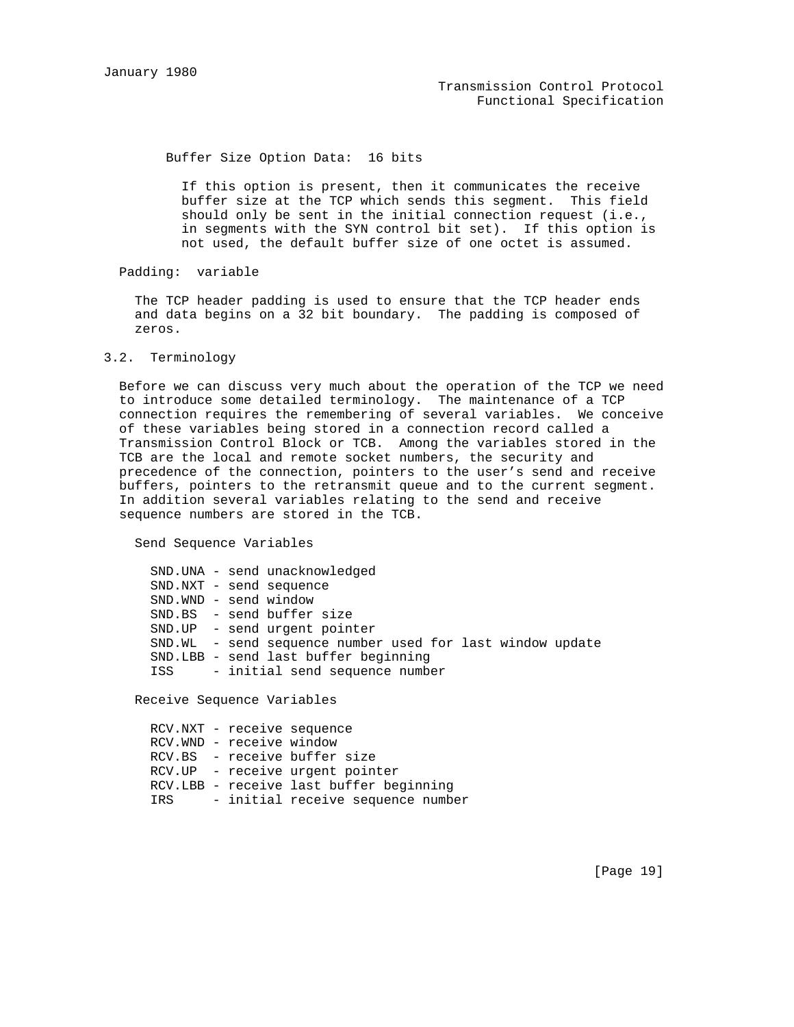Buffer Size Option Data: 16 bits

 If this option is present, then it communicates the receive buffer size at the TCP which sends this segment. This field should only be sent in the initial connection request (i.e., in segments with the SYN control bit set). If this option is not used, the default buffer size of one octet is assumed.

Padding: variable

 The TCP header padding is used to ensure that the TCP header ends and data begins on a 32 bit boundary. The padding is composed of zeros.

### 3.2. Terminology

 Before we can discuss very much about the operation of the TCP we need to introduce some detailed terminology. The maintenance of a TCP connection requires the remembering of several variables. We conceive of these variables being stored in a connection record called a Transmission Control Block or TCB. Among the variables stored in the TCB are the local and remote socket numbers, the security and precedence of the connection, pointers to the user's send and receive buffers, pointers to the retransmit queue and to the current segment. In addition several variables relating to the send and receive sequence numbers are stored in the TCB.

Send Sequence Variables

```
 SND.UNA - send unacknowledged
SND.NXT - send sequence
SND.WND - send window
SND.BS - send buffer size
SND.UP - send urgent pointer
SND.WL - send sequence number used for last window update
SND.LBB - send last buffer beginning
ISS - initial send sequence number
```
Receive Sequence Variables

 RCV.NXT - receive sequence RCV.WND - receive window RCV.BS - receive buffer size RCV.UP - receive urgent pointer RCV.LBB - receive last buffer beginning IRS - initial receive sequence number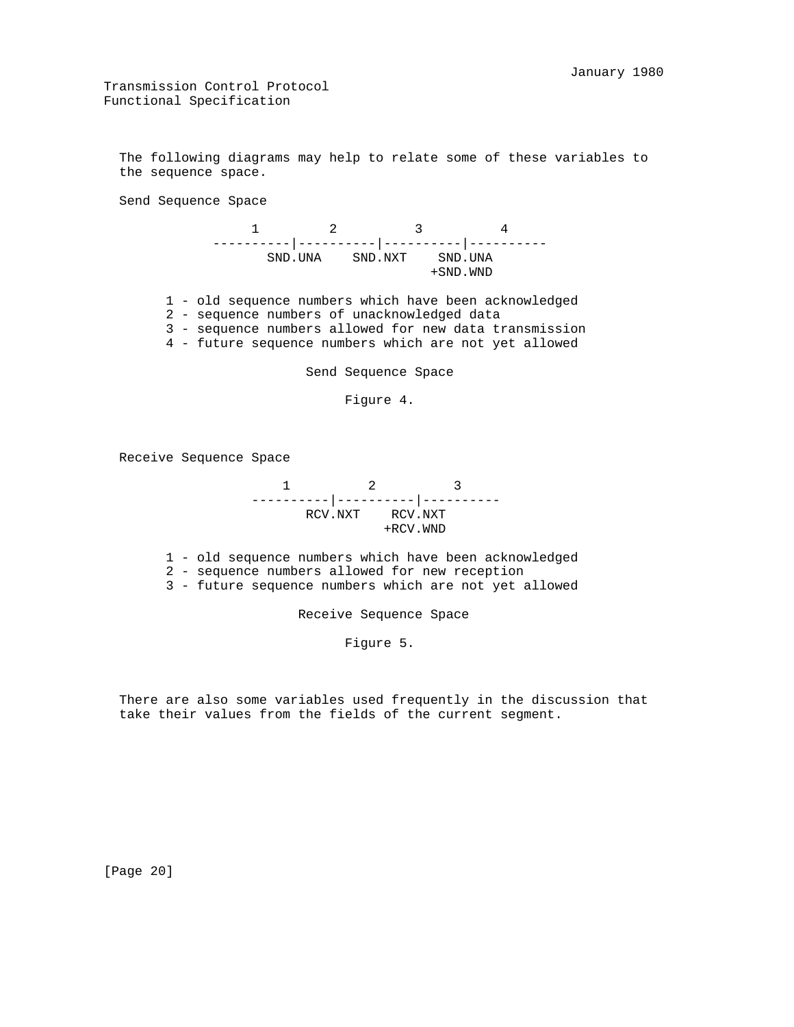The following diagrams may help to relate some of these variables to the sequence space.

Send Sequence Space

 1 2 3 4 ----------|----------|----------|---------- SND.UNA SND.NXT SND.UNA +SND.WND

1 - old sequence numbers which have been acknowledged

2 - sequence numbers of unacknowledged data

3 - sequence numbers allowed for new data transmission

4 - future sequence numbers which are not yet allowed

Send Sequence Space

## Figure 4.

Receive Sequence Space

 1 2 3 ----------|----------|---------- RCV.NXT RCV.NXT +RCV.WND

1 - old sequence numbers which have been acknowledged

2 - sequence numbers allowed for new reception

3 - future sequence numbers which are not yet allowed

Receive Sequence Space

Figure 5.

 There are also some variables used frequently in the discussion that take their values from the fields of the current segment.

[Page 20]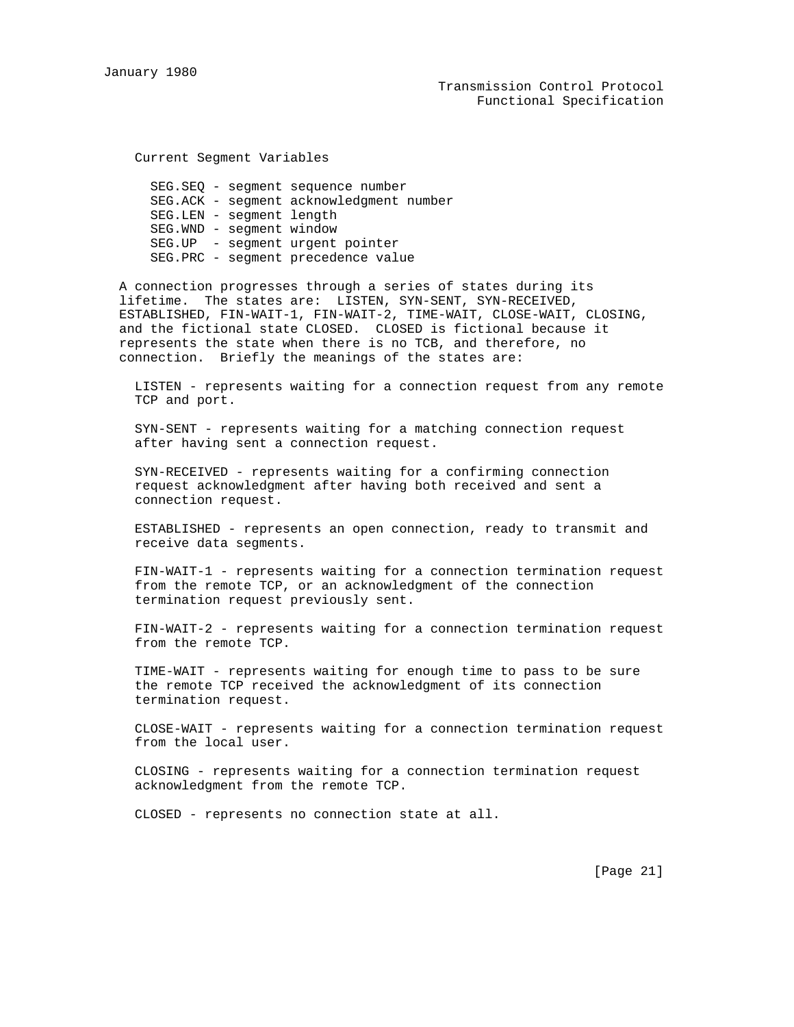Current Segment Variables

 SEG.SEQ - segment sequence number SEG.ACK - segment acknowledgment number SEG.LEN - segment length SEG.WND - segment window SEG.UP - segment urgent pointer SEG.PRC - segment precedence value

 A connection progresses through a series of states during its lifetime. The states are: LISTEN, SYN-SENT, SYN-RECEIVED, ESTABLISHED, FIN-WAIT-1, FIN-WAIT-2, TIME-WAIT, CLOSE-WAIT, CLOSING, and the fictional state CLOSED. CLOSED is fictional because it represents the state when there is no TCB, and therefore, no connection. Briefly the meanings of the states are:

 LISTEN - represents waiting for a connection request from any remote TCP and port.

 SYN-SENT - represents waiting for a matching connection request after having sent a connection request.

 SYN-RECEIVED - represents waiting for a confirming connection request acknowledgment after having both received and sent a connection request.

 ESTABLISHED - represents an open connection, ready to transmit and receive data segments.

 FIN-WAIT-1 - represents waiting for a connection termination request from the remote TCP, or an acknowledgment of the connection termination request previously sent.

 FIN-WAIT-2 - represents waiting for a connection termination request from the remote TCP.

 TIME-WAIT - represents waiting for enough time to pass to be sure the remote TCP received the acknowledgment of its connection termination request.

 CLOSE-WAIT - represents waiting for a connection termination request from the local user.

 CLOSING - represents waiting for a connection termination request acknowledgment from the remote TCP.

CLOSED - represents no connection state at all.

[Page 21]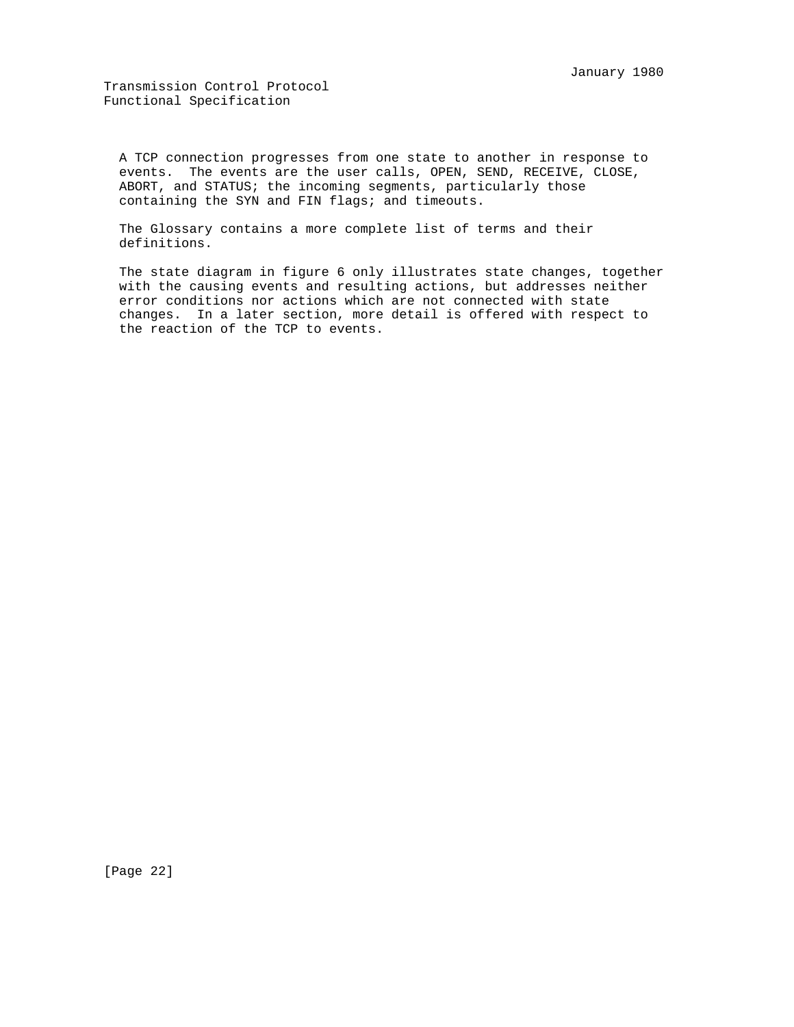A TCP connection progresses from one state to another in response to events. The events are the user calls, OPEN, SEND, RECEIVE, CLOSE, ABORT, and STATUS; the incoming segments, particularly those containing the SYN and FIN flags; and timeouts.

 The Glossary contains a more complete list of terms and their definitions.

 The state diagram in figure 6 only illustrates state changes, together with the causing events and resulting actions, but addresses neither error conditions nor actions which are not connected with state changes. In a later section, more detail is offered with respect to the reaction of the TCP to events.

[Page 22]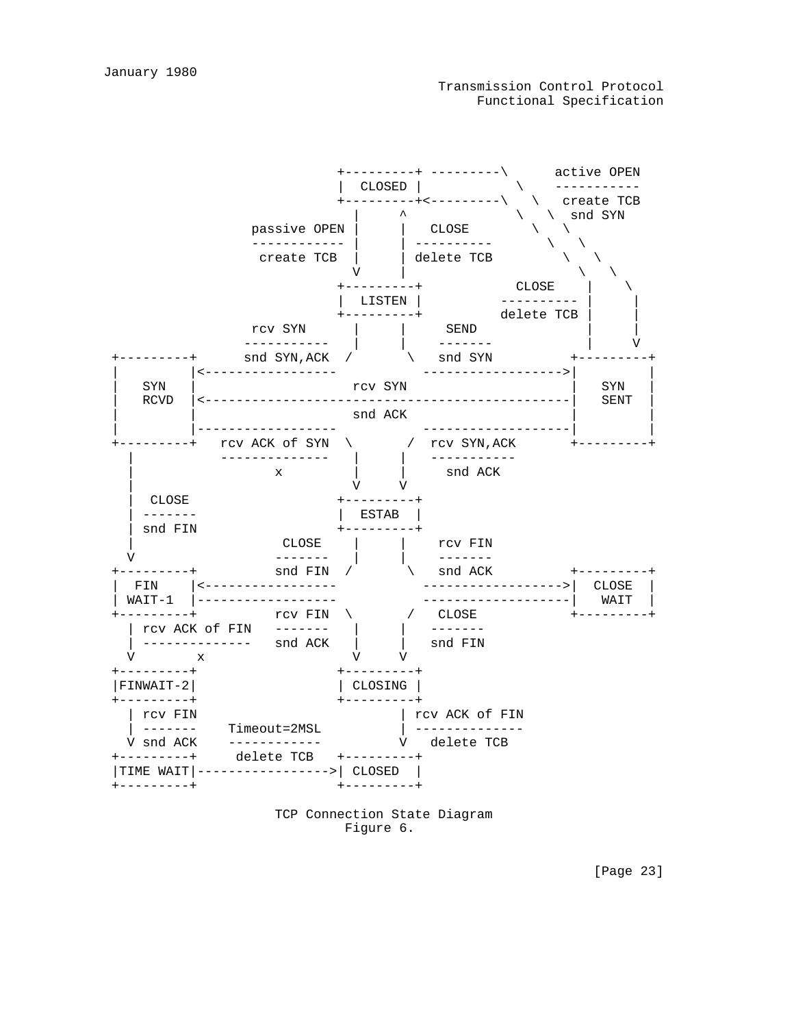

```
 Figure 6.
```
[Page 23]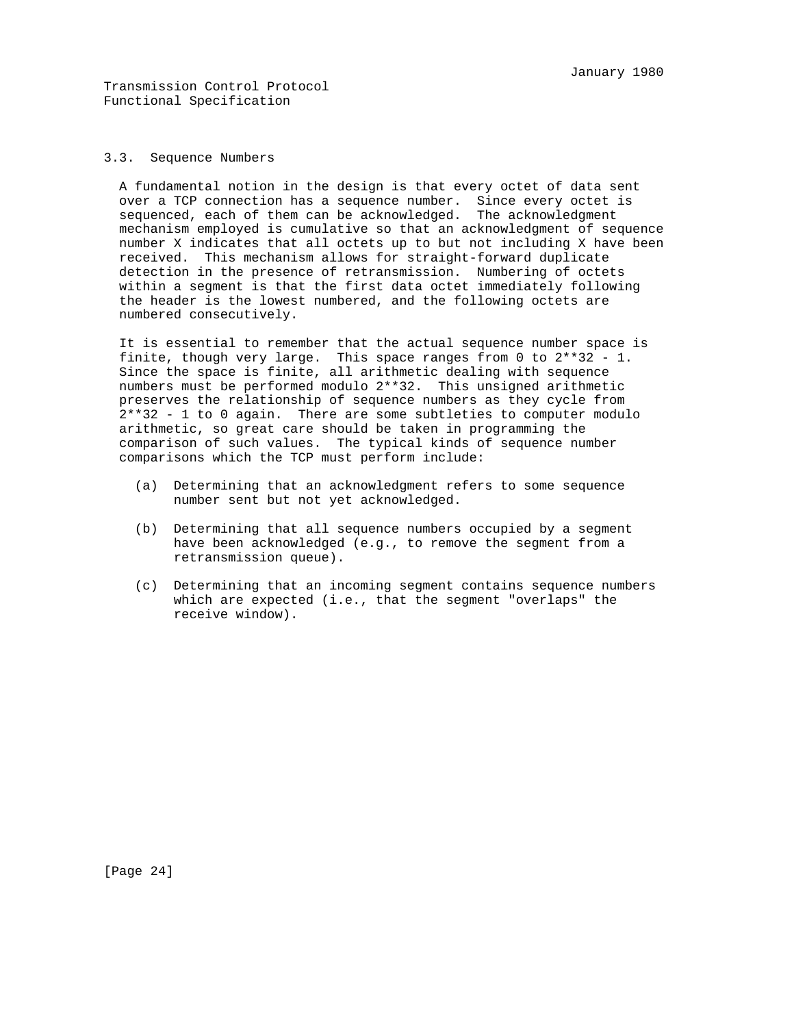### 3.3. Sequence Numbers

 A fundamental notion in the design is that every octet of data sent over a TCP connection has a sequence number. Since every octet is sequenced, each of them can be acknowledged. The acknowledgment mechanism employed is cumulative so that an acknowledgment of sequence number X indicates that all octets up to but not including X have been received. This mechanism allows for straight-forward duplicate detection in the presence of retransmission. Numbering of octets within a segment is that the first data octet immediately following the header is the lowest numbered, and the following octets are numbered consecutively.

 It is essential to remember that the actual sequence number space is finite, though very large. This space ranges from  $0$  to  $2**32 - 1$ . Since the space is finite, all arithmetic dealing with sequence numbers must be performed modulo 2\*\*32. This unsigned arithmetic preserves the relationship of sequence numbers as they cycle from 2\*\*32 - 1 to 0 again. There are some subtleties to computer modulo arithmetic, so great care should be taken in programming the comparison of such values. The typical kinds of sequence number comparisons which the TCP must perform include:

- (a) Determining that an acknowledgment refers to some sequence number sent but not yet acknowledged.
- (b) Determining that all sequence numbers occupied by a segment have been acknowledged (e.g., to remove the segment from a retransmission queue).
- (c) Determining that an incoming segment contains sequence numbers which are expected (i.e., that the segment "overlaps" the receive window).

[Page 24]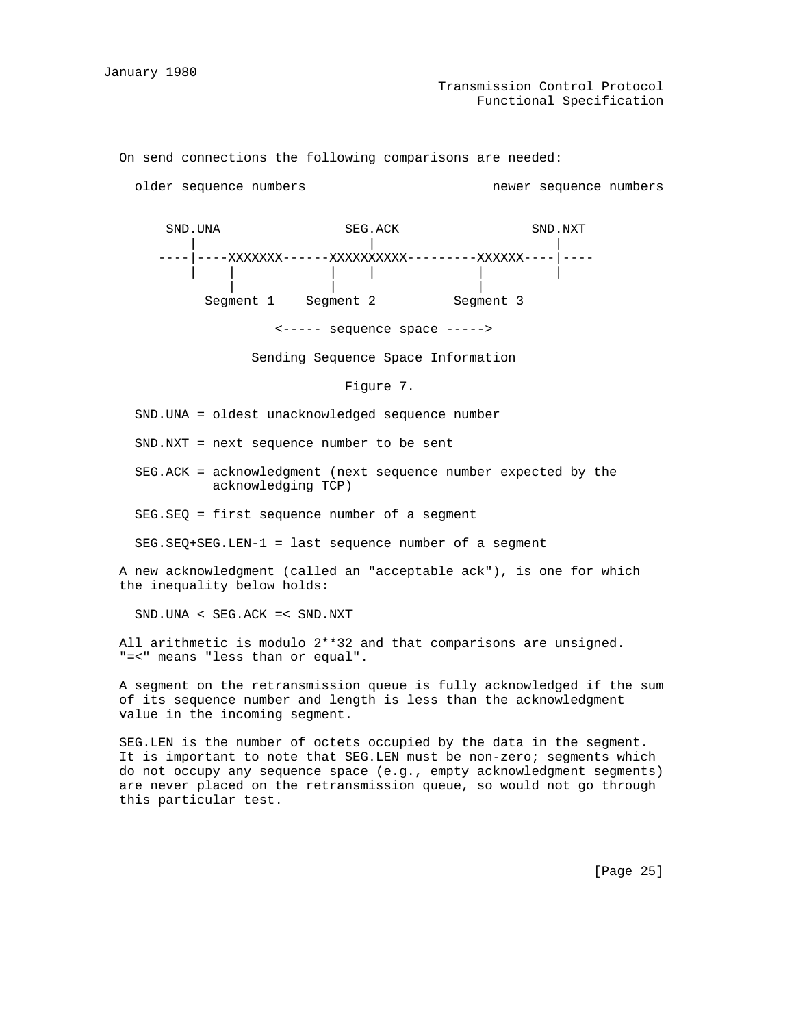On send connections the following comparisons are needed:

older sequence numbers newer sequence numbers

SND.UNA SEG.ACK SND.NXT | | | ----|----XXXXXXX------XXXXXXXXXX---------XXXXXX----|---- | | | | | | | | | Segment 1 Segment 2 Segment 3

<----- sequence space ----->

Sending Sequence Space Information

Figure 7.

SND.UNA = oldest unacknowledged sequence number

SND.NXT = next sequence number to be sent

 SEG.ACK = acknowledgment (next sequence number expected by the acknowledging TCP)

SEG.SEQ = first sequence number of a segment

SEG.SEQ+SEG.LEN-1 = last sequence number of a segment

 A new acknowledgment (called an "acceptable ack"), is one for which the inequality below holds:

SND.UNA < SEG.ACK =< SND.NXT

 All arithmetic is modulo 2\*\*32 and that comparisons are unsigned. "=<" means "less than or equal".

 A segment on the retransmission queue is fully acknowledged if the sum of its sequence number and length is less than the acknowledgment value in the incoming segment.

 SEG.LEN is the number of octets occupied by the data in the segment. It is important to note that SEG.LEN must be non-zero; segments which do not occupy any sequence space (e.g., empty acknowledgment segments) are never placed on the retransmission queue, so would not go through this particular test.

[Page 25]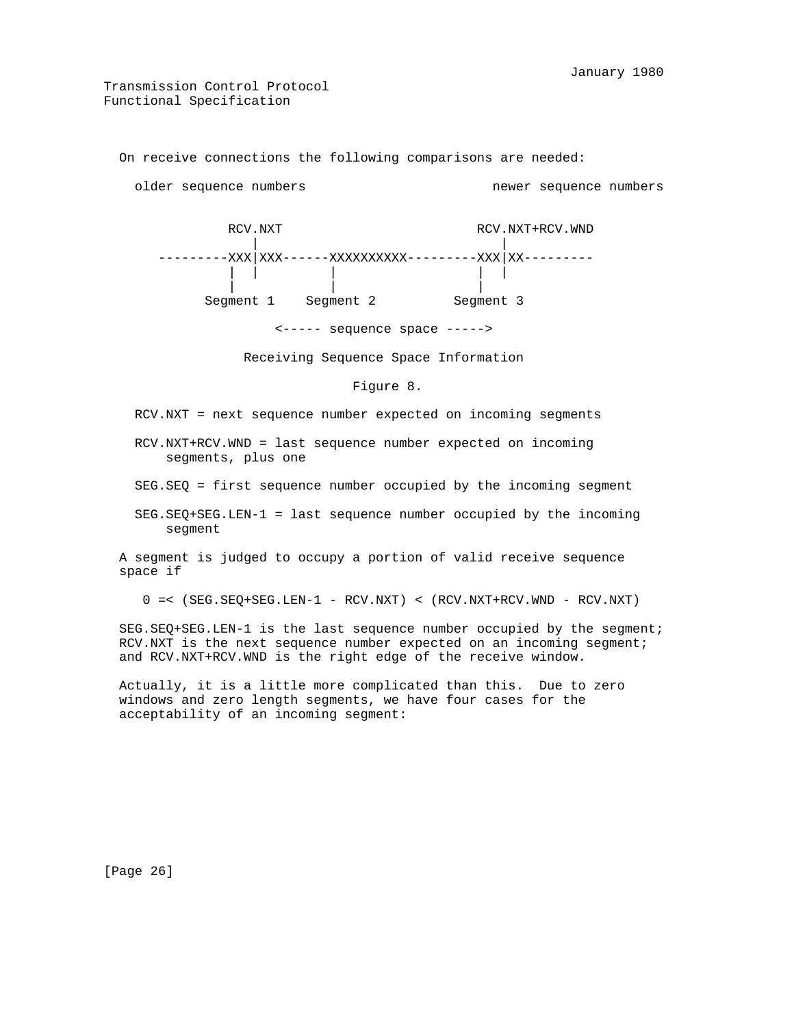On receive connections the following comparisons are needed:

older sequence numbers newer sequence numbers



<----- sequence space ----->

Receiving Sequence Space Information

Figure 8.

RCV.NXT = next sequence number expected on incoming segments

- RCV.NXT+RCV.WND = last sequence number expected on incoming segments, plus one
- SEG.SEQ = first sequence number occupied by the incoming segment
- SEG.SEQ+SEG.LEN-1 = last sequence number occupied by the incoming segment

 A segment is judged to occupy a portion of valid receive sequence space if

 $0 = <$  (SEG.SEQ+SEG.LEN-1 - RCV.NXT) < (RCV.NXT+RCV.WND - RCV.NXT)

 SEG.SEQ+SEG.LEN-1 is the last sequence number occupied by the segment; RCV.NXT is the next sequence number expected on an incoming segment; and RCV.NXT+RCV.WND is the right edge of the receive window.

 Actually, it is a little more complicated than this. Due to zero windows and zero length segments, we have four cases for the acceptability of an incoming segment:

[Page 26]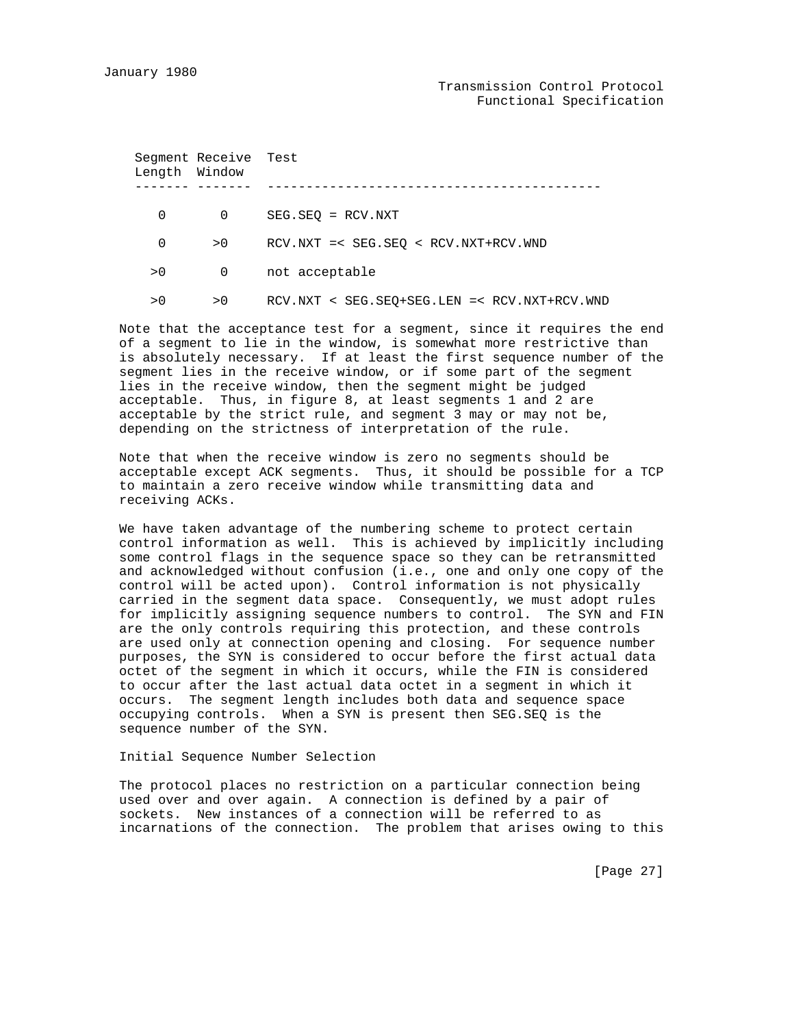| Length Window | Segment Receive Test |                                            |
|---------------|----------------------|--------------------------------------------|
| $\Omega$      | 0                    | $SEG.SEO = RCV.NXT$                        |
| $\Omega$      | > 0                  | $RCV.NXT = <$ SEG. SEQ < RCV. NXT+RCV. WND |
| > 0           | 0                    | not acceptable                             |
| > 0           | > 0                  | $RCV.NXT < SEG.SEO+SEG.LEN = $             |

 Note that the acceptance test for a segment, since it requires the end of a segment to lie in the window, is somewhat more restrictive than is absolutely necessary. If at least the first sequence number of the segment lies in the receive window, or if some part of the segment lies in the receive window, then the segment might be judged acceptable. Thus, in figure 8, at least segments 1 and 2 are acceptable by the strict rule, and segment 3 may or may not be, depending on the strictness of interpretation of the rule.

 Note that when the receive window is zero no segments should be acceptable except ACK segments. Thus, it should be possible for a TCP to maintain a zero receive window while transmitting data and receiving ACKs.

 We have taken advantage of the numbering scheme to protect certain control information as well. This is achieved by implicitly including some control flags in the sequence space so they can be retransmitted and acknowledged without confusion (i.e., one and only one copy of the control will be acted upon). Control information is not physically carried in the segment data space. Consequently, we must adopt rules for implicitly assigning sequence numbers to control. The SYN and FIN are the only controls requiring this protection, and these controls are used only at connection opening and closing. For sequence number purposes, the SYN is considered to occur before the first actual data octet of the segment in which it occurs, while the FIN is considered to occur after the last actual data octet in a segment in which it occurs. The segment length includes both data and sequence space occupying controls. When a SYN is present then SEG.SEQ is the sequence number of the SYN.

Initial Sequence Number Selection

 The protocol places no restriction on a particular connection being used over and over again. A connection is defined by a pair of sockets. New instances of a connection will be referred to as incarnations of the connection. The problem that arises owing to this

[Page 27]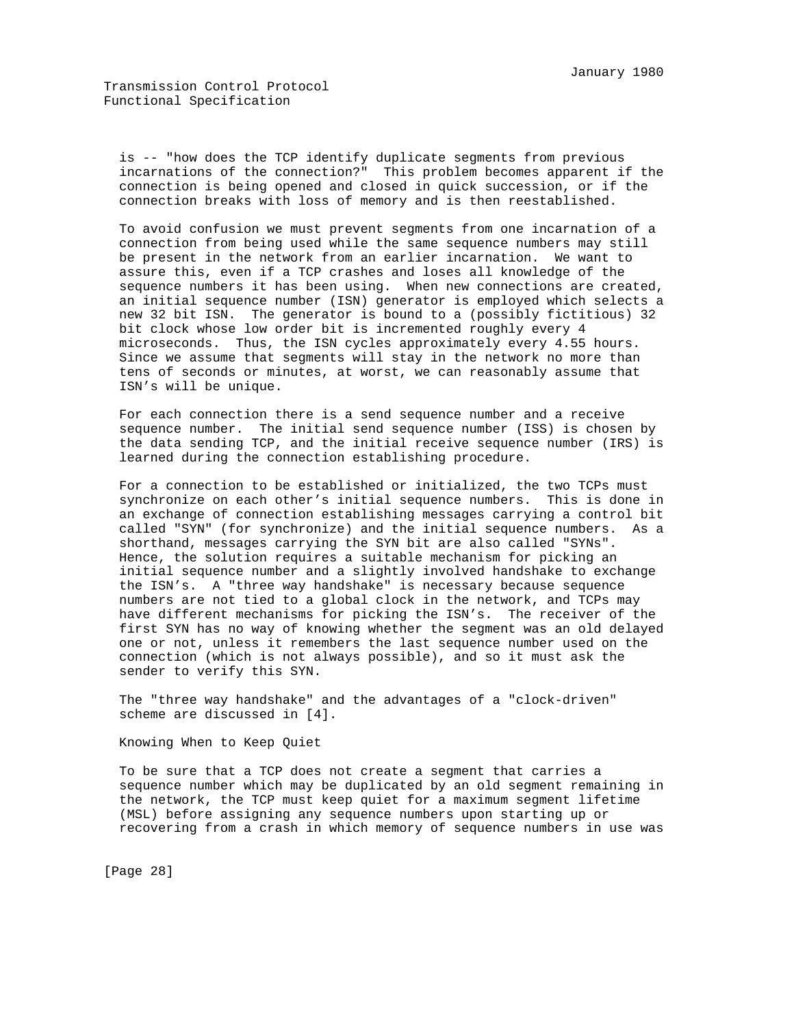is -- "how does the TCP identify duplicate segments from previous incarnations of the connection?" This problem becomes apparent if the connection is being opened and closed in quick succession, or if the connection breaks with loss of memory and is then reestablished.

 To avoid confusion we must prevent segments from one incarnation of a connection from being used while the same sequence numbers may still be present in the network from an earlier incarnation. We want to assure this, even if a TCP crashes and loses all knowledge of the sequence numbers it has been using. When new connections are created, an initial sequence number (ISN) generator is employed which selects a new 32 bit ISN. The generator is bound to a (possibly fictitious) 32 bit clock whose low order bit is incremented roughly every 4 microseconds. Thus, the ISN cycles approximately every 4.55 hours. Since we assume that segments will stay in the network no more than tens of seconds or minutes, at worst, we can reasonably assume that ISN's will be unique.

 For each connection there is a send sequence number and a receive sequence number. The initial send sequence number (ISS) is chosen by the data sending TCP, and the initial receive sequence number (IRS) is learned during the connection establishing procedure.

 For a connection to be established or initialized, the two TCPs must synchronize on each other's initial sequence numbers. This is done in an exchange of connection establishing messages carrying a control bit called "SYN" (for synchronize) and the initial sequence numbers. As a shorthand, messages carrying the SYN bit are also called "SYNs". Hence, the solution requires a suitable mechanism for picking an initial sequence number and a slightly involved handshake to exchange the ISN's. A "three way handshake" is necessary because sequence numbers are not tied to a global clock in the network, and TCPs may have different mechanisms for picking the ISN's. The receiver of the first SYN has no way of knowing whether the segment was an old delayed one or not, unless it remembers the last sequence number used on the connection (which is not always possible), and so it must ask the sender to verify this SYN.

 The "three way handshake" and the advantages of a "clock-driven" scheme are discussed in [4].

Knowing When to Keep Quiet

 To be sure that a TCP does not create a segment that carries a sequence number which may be duplicated by an old segment remaining in the network, the TCP must keep quiet for a maximum segment lifetime (MSL) before assigning any sequence numbers upon starting up or recovering from a crash in which memory of sequence numbers in use was

[Page 28]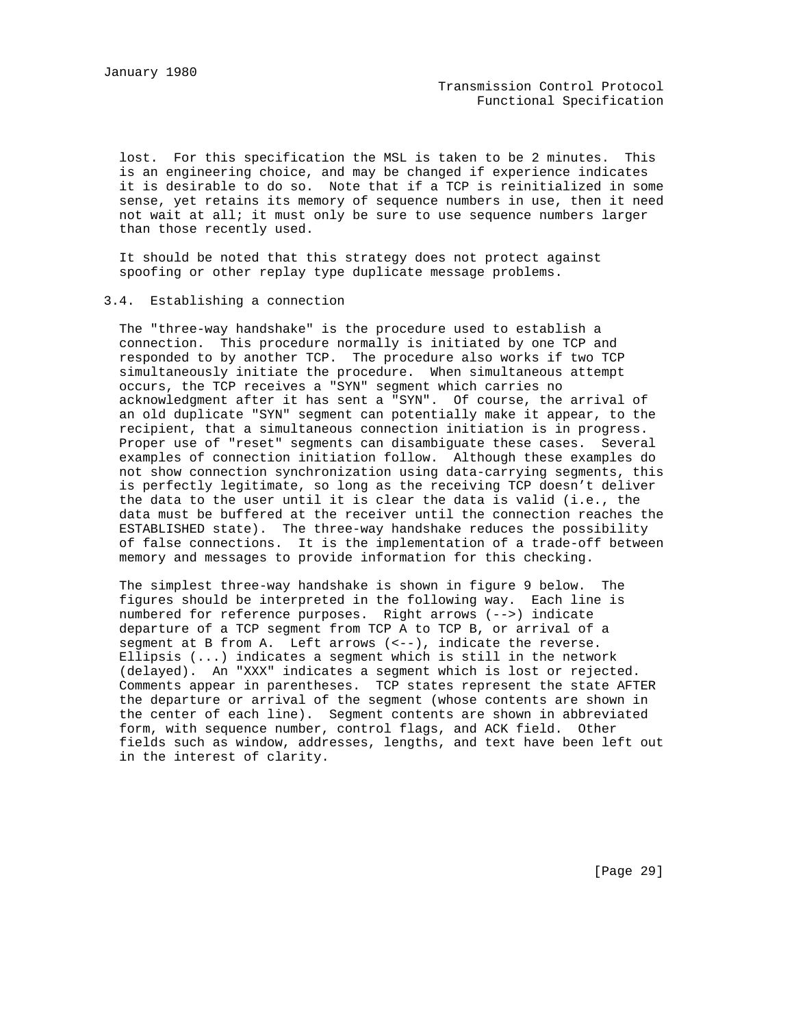lost. For this specification the MSL is taken to be 2 minutes. This is an engineering choice, and may be changed if experience indicates it is desirable to do so. Note that if a TCP is reinitialized in some sense, yet retains its memory of sequence numbers in use, then it need not wait at all; it must only be sure to use sequence numbers larger than those recently used.

 It should be noted that this strategy does not protect against spoofing or other replay type duplicate message problems.

### 3.4. Establishing a connection

 The "three-way handshake" is the procedure used to establish a connection. This procedure normally is initiated by one TCP and responded to by another TCP. The procedure also works if two TCP simultaneously initiate the procedure. When simultaneous attempt occurs, the TCP receives a "SYN" segment which carries no acknowledgment after it has sent a "SYN". Of course, the arrival of an old duplicate "SYN" segment can potentially make it appear, to the recipient, that a simultaneous connection initiation is in progress. Proper use of "reset" segments can disambiguate these cases. Several examples of connection initiation follow. Although these examples do not show connection synchronization using data-carrying segments, this is perfectly legitimate, so long as the receiving TCP doesn't deliver the data to the user until it is clear the data is valid (i.e., the data must be buffered at the receiver until the connection reaches the ESTABLISHED state). The three-way handshake reduces the possibility of false connections. It is the implementation of a trade-off between memory and messages to provide information for this checking.

 The simplest three-way handshake is shown in figure 9 below. The figures should be interpreted in the following way. Each line is numbered for reference purposes. Right arrows (-->) indicate departure of a TCP segment from TCP A to TCP B, or arrival of a segment at B from A. Left arrows (<--), indicate the reverse. Ellipsis (...) indicates a segment which is still in the network (delayed). An "XXX" indicates a segment which is lost or rejected. Comments appear in parentheses. TCP states represent the state AFTER the departure or arrival of the segment (whose contents are shown in the center of each line). Segment contents are shown in abbreviated form, with sequence number, control flags, and ACK field. Other fields such as window, addresses, lengths, and text have been left out in the interest of clarity.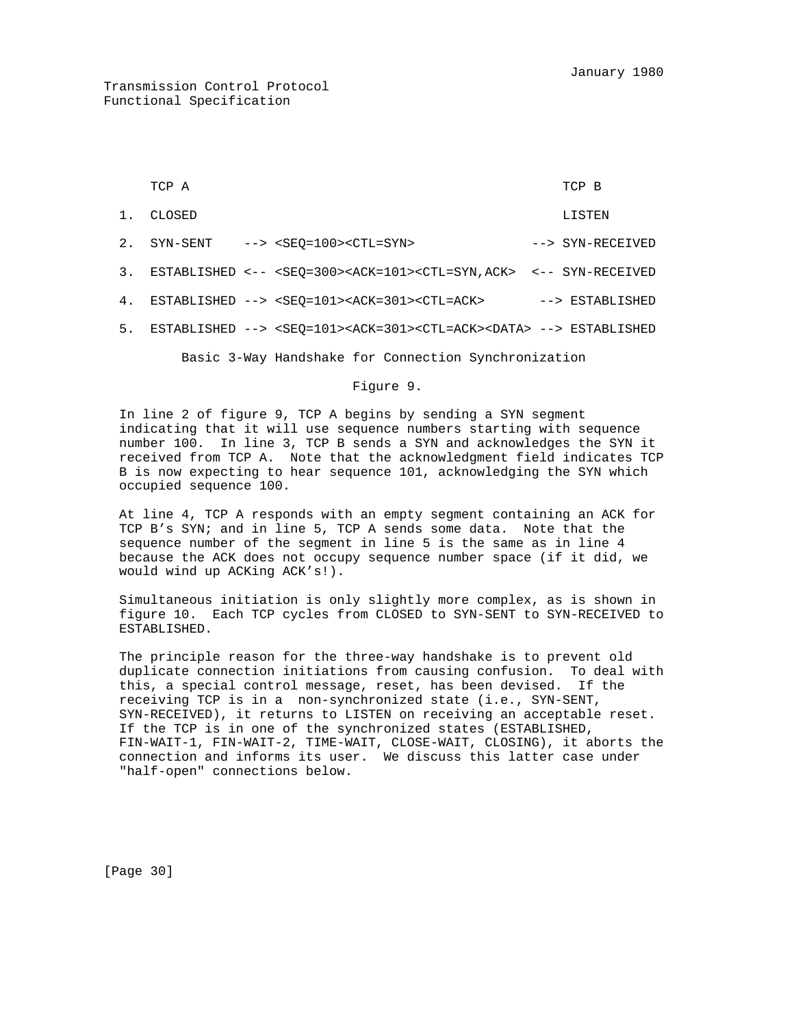|     | TCP A    |                                                                                                           | TCP B                        |
|-----|----------|-----------------------------------------------------------------------------------------------------------|------------------------------|
|     | CLOSED   |                                                                                                           | LISTEN                       |
| 2.1 | SYN-SENT | --> <seo=100><ctl=syn></ctl=syn></seo=100>                                                                | --> SYN-RECEIVED             |
| 3.  |          | ESTABLISHED <-- <seo=300><ack=101><ctl=syn, ack=""> &lt;-- SYN-RECEIVED</ctl=syn,></ack=101></seo=300>    |                              |
| 4.  |          | $ESTABLISHED$ --> $<$ SEO=101> <ack=301><ctl=ack></ctl=ack></ack=301>                                     | $\leftarrow$ $>$ ESTABLISHED |
| 5.  |          | ESTABLISHED --> <seo=101><ack=301><ctl=ack><data> --&gt; ESTABLISHED</data></ctl=ack></ack=301></seo=101> |                              |
|     |          | Basic 3-Way Handshake for Connection Synchronization                                                      |                              |

#### Figure 9.

 In line 2 of figure 9, TCP A begins by sending a SYN segment indicating that it will use sequence numbers starting with sequence number 100. In line 3, TCP B sends a SYN and acknowledges the SYN it received from TCP A. Note that the acknowledgment field indicates TCP B is now expecting to hear sequence 101, acknowledging the SYN which occupied sequence 100.

 At line 4, TCP A responds with an empty segment containing an ACK for TCP B's SYN; and in line 5, TCP A sends some data. Note that the sequence number of the segment in line 5 is the same as in line 4 because the ACK does not occupy sequence number space (if it did, we would wind up ACKing ACK's!).

 Simultaneous initiation is only slightly more complex, as is shown in figure 10. Each TCP cycles from CLOSED to SYN-SENT to SYN-RECEIVED to ESTABLISHED.

 The principle reason for the three-way handshake is to prevent old duplicate connection initiations from causing confusion. To deal with this, a special control message, reset, has been devised. If the receiving TCP is in a non-synchronized state (i.e., SYN-SENT, SYN-RECEIVED), it returns to LISTEN on receiving an acceptable reset. If the TCP is in one of the synchronized states (ESTABLISHED, FIN-WAIT-1, FIN-WAIT-2, TIME-WAIT, CLOSE-WAIT, CLOSING), it aborts the connection and informs its user. We discuss this latter case under "half-open" connections below.

[Page 30]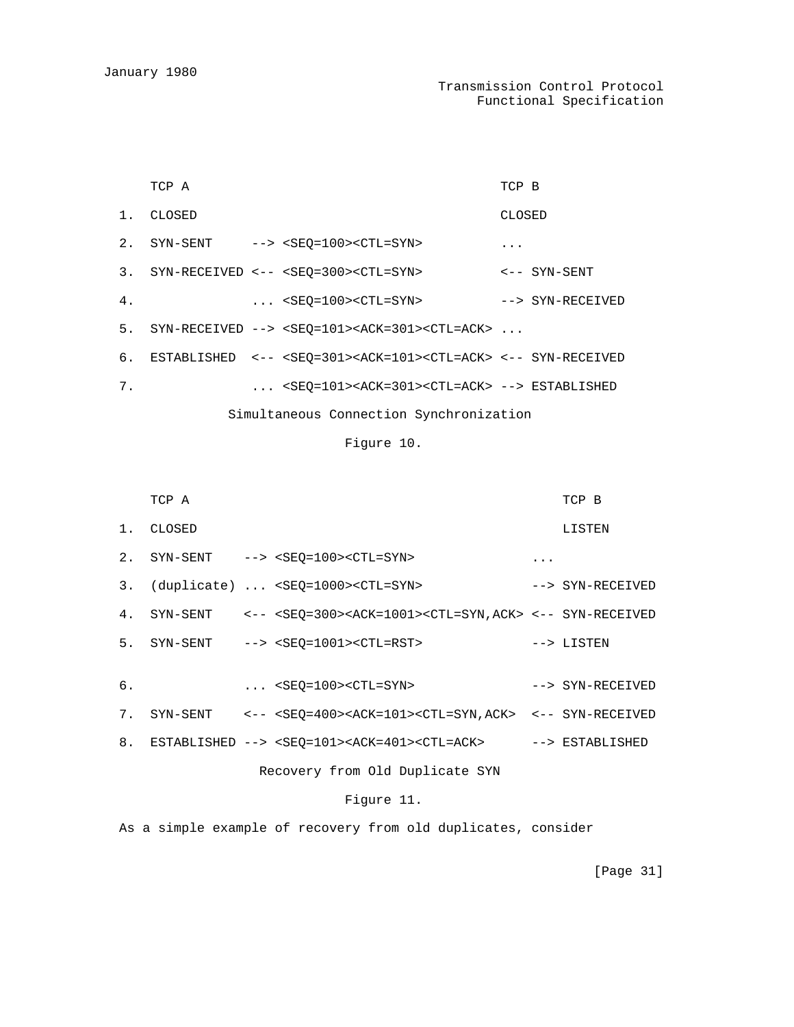|    | TCP A    |                                                                                               | TCP B    |                         |
|----|----------|-----------------------------------------------------------------------------------------------|----------|-------------------------|
|    | CLOSED   |                                                                                               | CLOSED   |                         |
| 2. | SYN-SENT | $\texttt{---}$ <seo=100><ctl=syn></ctl=syn></seo=100>                                         | $\cdots$ |                         |
| 3. |          | SYN-RECEIVED <-- <seq=300><ctl=syn></ctl=syn></seq=300>                                       |          | $\leftarrow$ - SYN-SENT |
| 4. |          | $\ldots$ <seo=100><ctl=syn></ctl=syn></seo=100>                                               |          | --> SYN-RECEIVED        |
| 5. |          | $SYN-RECEIVED$ --> <seo=101><ack=301><ctl=ack> </ctl=ack></ack=301></seo=101>                 |          |                         |
| б. |          | ESTABLISHED <-- <seo=301><ack=101><ctl=ack> &lt;-- SYN-RECEIVED</ctl=ack></ack=101></seo=301> |          |                         |
| 7. |          | $\ldots$ <seo=101><ack=301><ctl=ack> --&gt; ESTABLISHED</ctl=ack></ack=301></seo=101>         |          |                         |
|    |          |                                                                                               |          |                         |

Simultaneous Connection Synchronization

# Figure 10.

|    | TCP A     |                                                                                                          | TCP B            |
|----|-----------|----------------------------------------------------------------------------------------------------------|------------------|
|    | 1. CLOSED |                                                                                                          | LISTEN           |
|    |           | 2. SYN-SENT --> <seq=100><ctl=syn></ctl=syn></seq=100>                                                   |                  |
| 3. |           | $(duplicate)  <$ SEQ=1000> <ctl=syn></ctl=syn>                                                           | --> SYN-RECEIVED |
|    |           | 4. SYN-SENT <-- <seq=300><ack=1001><ctl=syn, ack=""> &lt;-- SYN-RECEIVED</ctl=syn,></ack=1001></seq=300> |                  |
|    |           | 5. SYN-SENT --> <seq=1001><ctl=rst></ctl=rst></seq=1001>                                                 | --> LISTEN       |
|    |           |                                                                                                          |                  |
| б. |           | $\ldots$ <seq=100><ctl=syn></ctl=syn></seq=100>                                                          | --> SYN-RECEIVED |
| 7. |           | $SYN-SENT$ <-- <seq=400><ack=101><ctl=syn,ack> &lt;-- SYN-RECEIVED</ctl=syn,ack></ack=101></seq=400>     |                  |
|    |           | 8. ESTABLISHED --> <seo=101><ack=401><ctl=ack> --&gt; ESTABLISHED</ctl=ack></ack=401></seo=101>          |                  |
|    |           | Recovery from Old Duplicate SYN                                                                          |                  |
|    |           | Figure 11.                                                                                               |                  |
|    |           |                                                                                                          |                  |

As a simple example of recovery from old duplicates, consider

[Page 31]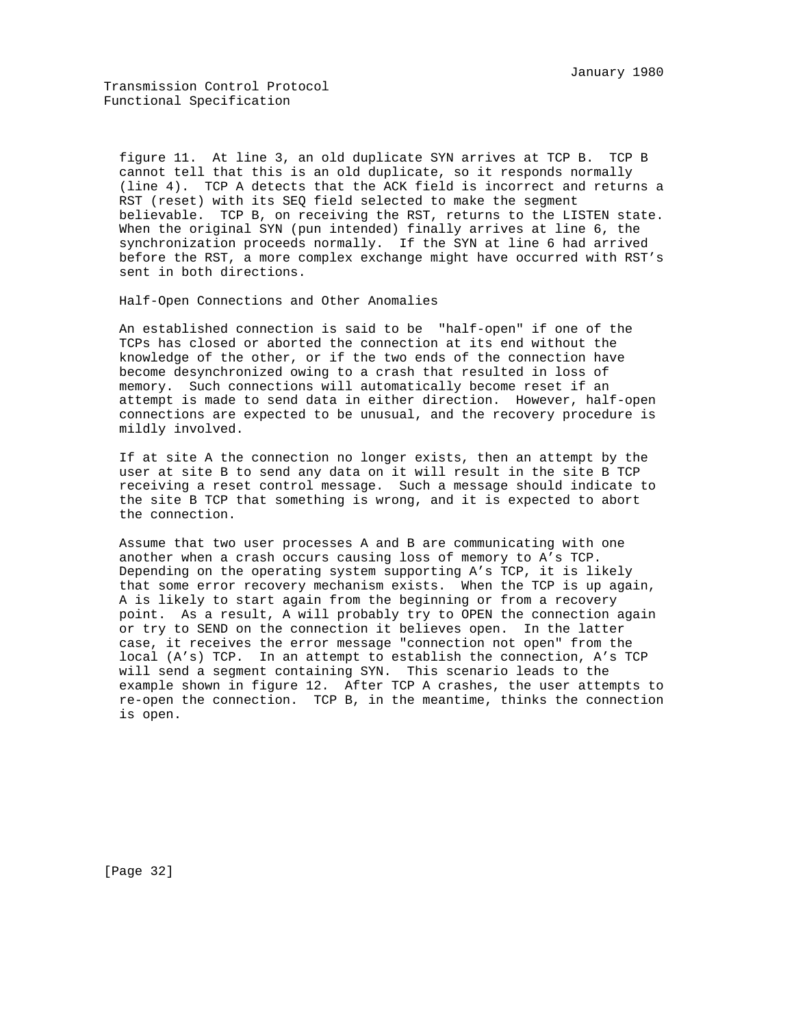figure 11. At line 3, an old duplicate SYN arrives at TCP B. TCP B cannot tell that this is an old duplicate, so it responds normally (line 4). TCP A detects that the ACK field is incorrect and returns a RST (reset) with its SEQ field selected to make the segment believable. TCP B, on receiving the RST, returns to the LISTEN state. When the original SYN (pun intended) finally arrives at line 6, the synchronization proceeds normally. If the SYN at line 6 had arrived before the RST, a more complex exchange might have occurred with RST's sent in both directions.

Half-Open Connections and Other Anomalies

 An established connection is said to be "half-open" if one of the TCPs has closed or aborted the connection at its end without the knowledge of the other, or if the two ends of the connection have become desynchronized owing to a crash that resulted in loss of memory. Such connections will automatically become reset if an attempt is made to send data in either direction. However, half-open connections are expected to be unusual, and the recovery procedure is mildly involved.

 If at site A the connection no longer exists, then an attempt by the user at site B to send any data on it will result in the site B TCP receiving a reset control message. Such a message should indicate to the site B TCP that something is wrong, and it is expected to abort the connection.

 Assume that two user processes A and B are communicating with one another when a crash occurs causing loss of memory to A's TCP. Depending on the operating system supporting A's TCP, it is likely that some error recovery mechanism exists. When the TCP is up again, A is likely to start again from the beginning or from a recovery point. As a result, A will probably try to OPEN the connection again or try to SEND on the connection it believes open. In the latter case, it receives the error message "connection not open" from the local (A's) TCP. In an attempt to establish the connection, A's TCP will send a segment containing SYN. This scenario leads to the example shown in figure 12. After TCP A crashes, the user attempts to re-open the connection. TCP B, in the meantime, thinks the connection is open.

[Page 32]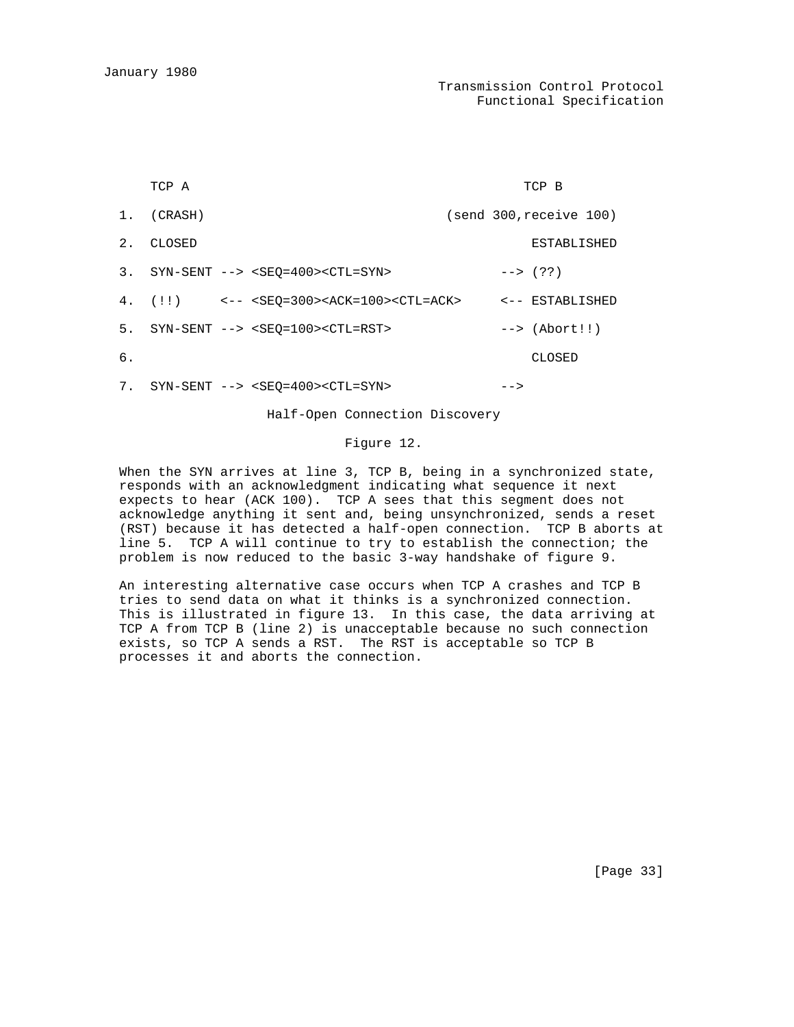|    | TCP A   |                                                                         |     | TCP B                   |
|----|---------|-------------------------------------------------------------------------|-----|-------------------------|
| 1. | (CRASH) |                                                                         |     | (send 300, receive 100) |
| 2. | CLOSED  |                                                                         |     | ESTABLISHED             |
| 3. |         | $SYN-SENT$ --> <seo=400><ctl=syn></ctl=syn></seo=400>                   |     | $--&(?)$                |
|    |         | $4.$ (!!) $\leq - \leq$ SEO=300> <ack=100><ctl=ack></ctl=ack></ack=100> |     | <-- ESTABLISHED         |
| 5. |         | $SYN-SENT$ --> <seo=100><ctl=rst></ctl=rst></seo=100>                   |     | $\leftarrow$ (Abort!!)  |
| б. |         |                                                                         |     | CLOSED                  |
| 7. |         | $SYN-SENT$ --> $<$ SEO=400> <ctl=syn></ctl=syn>                         | --> |                         |

Half-Open Connection Discovery

# Figure 12.

 When the SYN arrives at line 3, TCP B, being in a synchronized state, responds with an acknowledgment indicating what sequence it next expects to hear (ACK 100). TCP A sees that this segment does not acknowledge anything it sent and, being unsynchronized, sends a reset (RST) because it has detected a half-open connection. TCP B aborts at line 5. TCP A will continue to try to establish the connection; the problem is now reduced to the basic 3-way handshake of figure 9.

 An interesting alternative case occurs when TCP A crashes and TCP B tries to send data on what it thinks is a synchronized connection. This is illustrated in figure 13. In this case, the data arriving at TCP A from TCP B (line 2) is unacceptable because no such connection exists, so TCP A sends a RST. The RST is acceptable so TCP B processes it and aborts the connection.

[Page 33]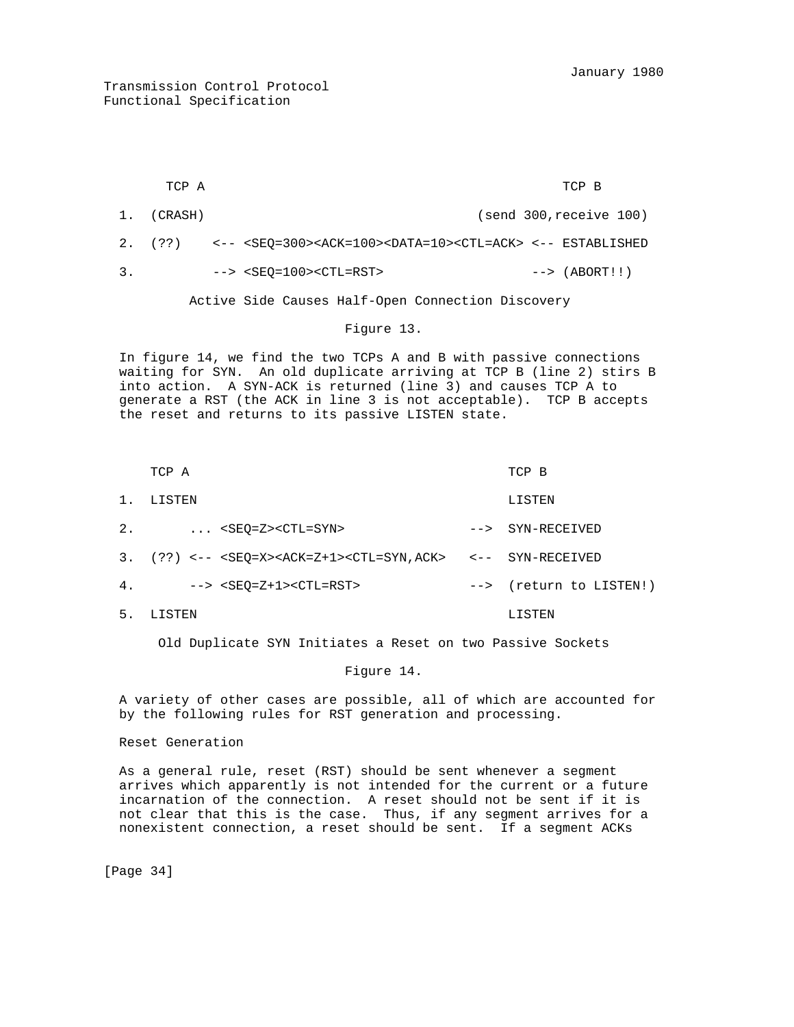|    | TCP A      |                                                                                                                                 | TCP B                    |  |
|----|------------|---------------------------------------------------------------------------------------------------------------------------------|--------------------------|--|
|    | 1. (CRASH) |                                                                                                                                 | (send 300, receive 100)  |  |
|    |            | 2. (??)                     <-- <seq=300><ack=100><data=10><ctl=ack> &lt;-- ESTABLISHED</ctl=ack></data=10></ack=100></seq=300> |                          |  |
| 3. |            | $\texttt{--}>$ <seo=100><ctl=rst></ctl=rst></seo=100>                                                                           | $\leftarrow$ > (ABORT!!) |  |
|    |            |                                                                                                                                 |                          |  |

Active Side Causes Half-Open Connection Discovery

### Figure 13.

 In figure 14, we find the two TCPs A and B with passive connections waiting for SYN. An old duplicate arriving at TCP B (line 2) stirs B into action. A SYN-ACK is returned (line 3) and causes TCP A to generate a RST (the ACK in line 3 is not acceptable). TCP B accepts the reset and returns to its passive LISTEN state.

|       | TCP A  |                                                                                                 | TCP B                   |
|-------|--------|-------------------------------------------------------------------------------------------------|-------------------------|
|       | LISTEN |                                                                                                 | LISTEN                  |
| $2$ . |        | $\ldots$ <seq=z><ctl=syn></ctl=syn></seq=z>                                                     | --> SYN-RECEIVED        |
|       |        | 3. $(??)$ <-- <seq=x><ack=z+1><ctl=syn,ack> &lt;-- SYN-RECEIVED</ctl=syn,ack></ack=z+1></seq=x> |                         |
| 4.    |        | $\texttt{--}>$ <seq=z+1><ctl=rst></ctl=rst></seq=z+1>                                           | --> (return to LISTEN!) |
| 5.    | LISTEN |                                                                                                 | LISTEN                  |
|       |        |                                                                                                 |                         |

Old Duplicate SYN Initiates a Reset on two Passive Sockets

### Figure 14.

 A variety of other cases are possible, all of which are accounted for by the following rules for RST generation and processing.

Reset Generation

 As a general rule, reset (RST) should be sent whenever a segment arrives which apparently is not intended for the current or a future incarnation of the connection. A reset should not be sent if it is not clear that this is the case. Thus, if any segment arrives for a nonexistent connection, a reset should be sent. If a segment ACKs

[Page 34]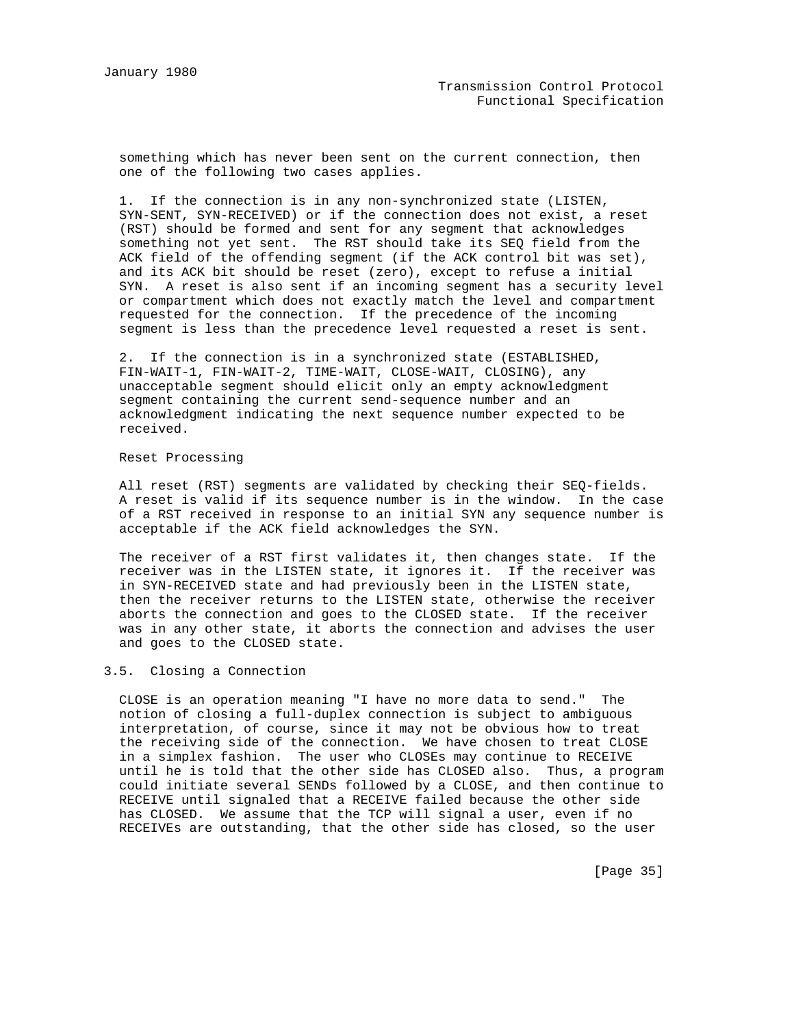something which has never been sent on the current connection, then one of the following two cases applies.

 1. If the connection is in any non-synchronized state (LISTEN, SYN-SENT, SYN-RECEIVED) or if the connection does not exist, a reset (RST) should be formed and sent for any segment that acknowledges something not yet sent. The RST should take its SEQ field from the ACK field of the offending segment (if the ACK control bit was set), and its ACK bit should be reset (zero), except to refuse a initial SYN. A reset is also sent if an incoming segment has a security level or compartment which does not exactly match the level and compartment requested for the connection. If the precedence of the incoming segment is less than the precedence level requested a reset is sent.

 2. If the connection is in a synchronized state (ESTABLISHED, FIN-WAIT-1, FIN-WAIT-2, TIME-WAIT, CLOSE-WAIT, CLOSING), any unacceptable segment should elicit only an empty acknowledgment segment containing the current send-sequence number and an acknowledgment indicating the next sequence number expected to be received.

#### Reset Processing

 All reset (RST) segments are validated by checking their SEQ-fields. A reset is valid if its sequence number is in the window. In the case of a RST received in response to an initial SYN any sequence number is acceptable if the ACK field acknowledges the SYN.

 The receiver of a RST first validates it, then changes state. If the receiver was in the LISTEN state, it ignores it. If the receiver was in SYN-RECEIVED state and had previously been in the LISTEN state, then the receiver returns to the LISTEN state, otherwise the receiver aborts the connection and goes to the CLOSED state. If the receiver was in any other state, it aborts the connection and advises the user and goes to the CLOSED state.

# 3.5. Closing a Connection

 CLOSE is an operation meaning "I have no more data to send." The notion of closing a full-duplex connection is subject to ambiguous interpretation, of course, since it may not be obvious how to treat the receiving side of the connection. We have chosen to treat CLOSE in a simplex fashion. The user who CLOSEs may continue to RECEIVE until he is told that the other side has CLOSED also. Thus, a program could initiate several SENDs followed by a CLOSE, and then continue to RECEIVE until signaled that a RECEIVE failed because the other side has CLOSED. We assume that the TCP will signal a user, even if no RECEIVEs are outstanding, that the other side has closed, so the user

[Page 35]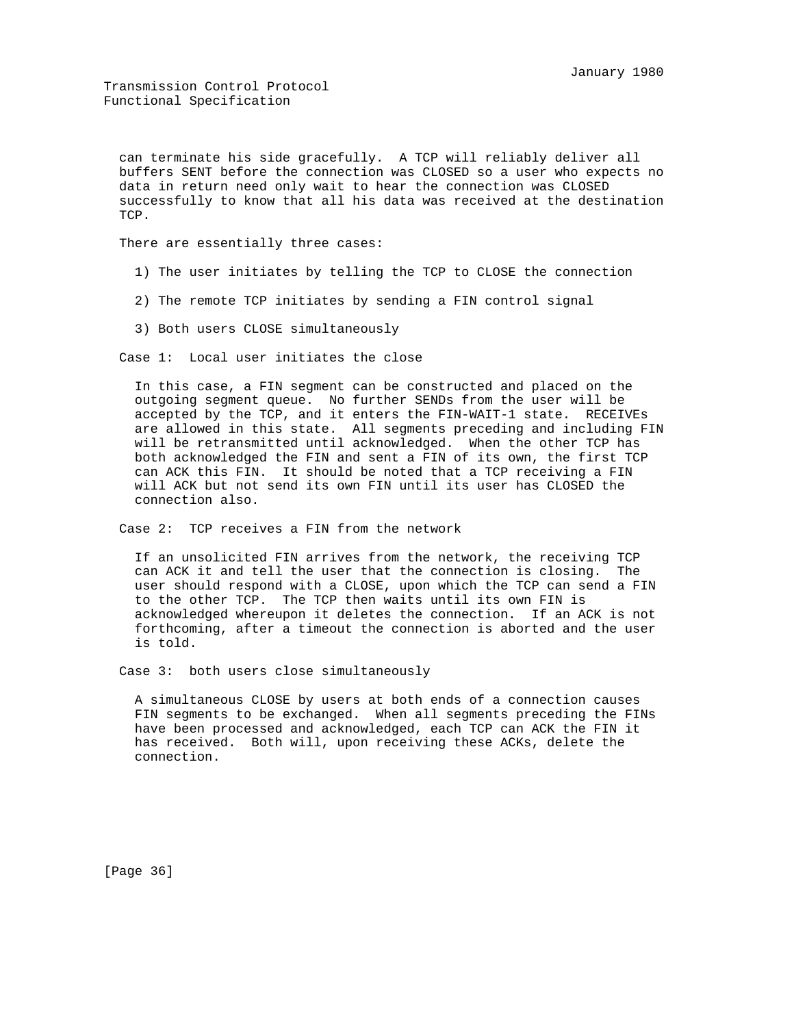can terminate his side gracefully. A TCP will reliably deliver all buffers SENT before the connection was CLOSED so a user who expects no data in return need only wait to hear the connection was CLOSED successfully to know that all his data was received at the destination TCP.

There are essentially three cases:

- 1) The user initiates by telling the TCP to CLOSE the connection
- 2) The remote TCP initiates by sending a FIN control signal
- 3) Both users CLOSE simultaneously

Case 1: Local user initiates the close

 In this case, a FIN segment can be constructed and placed on the outgoing segment queue. No further SENDs from the user will be accepted by the TCP, and it enters the FIN-WAIT-1 state. RECEIVEs are allowed in this state. All segments preceding and including FIN will be retransmitted until acknowledged. When the other TCP has both acknowledged the FIN and sent a FIN of its own, the first TCP can ACK this FIN. It should be noted that a TCP receiving a FIN will ACK but not send its own FIN until its user has CLOSED the connection also.

Case 2: TCP receives a FIN from the network

 If an unsolicited FIN arrives from the network, the receiving TCP can ACK it and tell the user that the connection is closing. The user should respond with a CLOSE, upon which the TCP can send a FIN to the other TCP. The TCP then waits until its own FIN is acknowledged whereupon it deletes the connection. If an ACK is not forthcoming, after a timeout the connection is aborted and the user is told.

Case 3: both users close simultaneously

 A simultaneous CLOSE by users at both ends of a connection causes FIN segments to be exchanged. When all segments preceding the FINs have been processed and acknowledged, each TCP can ACK the FIN it has received. Both will, upon receiving these ACKs, delete the connection.

[Page 36]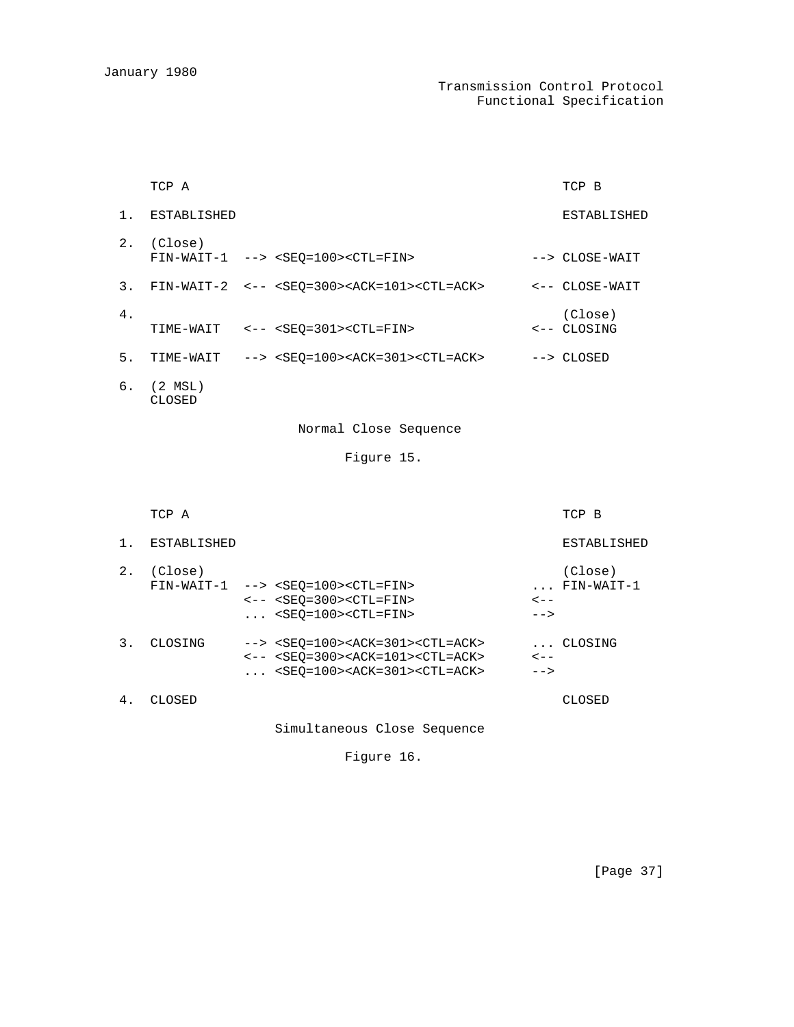|                  | TCP A               |                                                                         | TCP B                                                                                                                                                                                                                                                                                                                                                                                                                                                                                                    |
|------------------|---------------------|-------------------------------------------------------------------------|----------------------------------------------------------------------------------------------------------------------------------------------------------------------------------------------------------------------------------------------------------------------------------------------------------------------------------------------------------------------------------------------------------------------------------------------------------------------------------------------------------|
|                  | ESTABLISHED         |                                                                         | ESTABLISHED                                                                                                                                                                                                                                                                                                                                                                                                                                                                                              |
| $2$ .            | (Close)             | $FIN-WAIT-1$ --> <seo=100><ctl=fin></ctl=fin></seo=100>                 | $\leftarrow$ $>$ CLOSE-WAIT                                                                                                                                                                                                                                                                                                                                                                                                                                                                              |
| $\overline{3}$ . |                     | $FIN-WAIT-2 < - <$ SEO=300> <ack=101><ctl=ack></ctl=ack></ack=101>      | <-- CLOSE-WAIT                                                                                                                                                                                                                                                                                                                                                                                                                                                                                           |
| 4.               |                     | TIME-WAIT <-- <seo=301><ctl=fin></ctl=fin></seo=301>                    | (Close)<br>$\leftarrow$ - $\leftarrow$ $\leftarrow$ $\leftarrow$ $\leftarrow$ $\leftarrow$ $\leftarrow$ $\leftarrow$ $\leftarrow$ $\leftarrow$ $\leftarrow$ $\leftarrow$ $\leftarrow$ $\leftarrow$ $\leftarrow$ $\leftarrow$ $\leftarrow$ $\leftarrow$ $\leftarrow$ $\leftarrow$ $\leftarrow$ $\leftarrow$ $\leftarrow$ $\leftarrow$ $\leftarrow$ $\leftarrow$ $\leftarrow$ $\leftarrow$ $\leftarrow$ $\leftarrow$ $\leftarrow$ $\leftarrow$ $\leftarrow$ $\leftarrow$ $\leftarrow$ $\leftarrow$ $\left$ |
| 5.               |                     | TIME-WAIT --> <seq=100><ack=301><ctl=ack></ctl=ack></ack=301></seq=100> | $\leftarrow$ - $\sim$ CLOSED                                                                                                                                                                                                                                                                                                                                                                                                                                                                             |
| б.               | $(2$ MSL)<br>CLOSED |                                                                         |                                                                                                                                                                                                                                                                                                                                                                                                                                                                                                          |

Normal Close Sequence

Figure 15.

|    | TCP A       |                                                                                                                                                                                                                                         |                   | TCP B                 |
|----|-------------|-----------------------------------------------------------------------------------------------------------------------------------------------------------------------------------------------------------------------------------------|-------------------|-----------------------|
|    | ESTABLISHED |                                                                                                                                                                                                                                         |                   | <b>ESTABLISHED</b>    |
| 2. | (Close)     | $FIN-WAIT-1$ --> <seo=100><ctl=fin><br/><math>\leftarrow -</math> <seo=300><ctl=fin><br/><math>\ldots</math> <seo=100><ctl=fin></ctl=fin></seo=100></ctl=fin></seo=300></ctl=fin></seo=100>                                             | $\lt$ $-$<br>$--$ | (Close)<br>FIN-WAIT-1 |
| 3. | CLOSING     | $\text{--}$ < SEO=100> <ack=301><ctl=ack><br/><math>\leftarrow -</math> <seo=300><ack=101><ctl=ack><br/><math>\ldots</math> <seo=100><ack=301><ctl=ack></ctl=ack></ack=301></seo=100></ctl=ack></ack=101></seo=300></ctl=ack></ack=301> | $\lt$ $-$<br>$--$ | CLOSING               |
|    | CLOSED      |                                                                                                                                                                                                                                         |                   | CLOSED                |

Simultaneous Close Sequence

Figure 16.

[Page 37]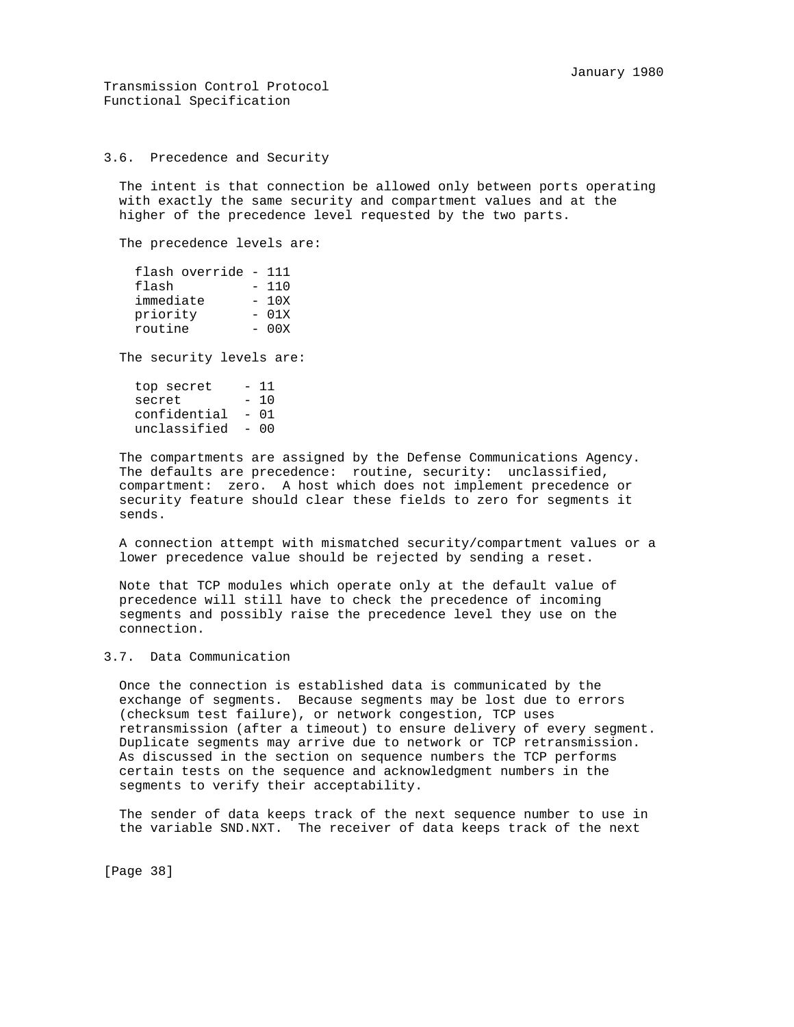## 3.6. Precedence and Security

 The intent is that connection be allowed only between ports operating with exactly the same security and compartment values and at the higher of the precedence level requested by the two parts.

The precedence levels are:

| flash override - 111 |        |
|----------------------|--------|
| flash                | $-110$ |
| immediate            | $-10x$ |
| priority             | $-01x$ |
| routine              | $-00x$ |

The security levels are:

 top secret - 11 secret - 10 confidential - 01 unclassified - 00

 The compartments are assigned by the Defense Communications Agency. The defaults are precedence: routine, security: unclassified, compartment: zero. A host which does not implement precedence or security feature should clear these fields to zero for segments it sends.

 A connection attempt with mismatched security/compartment values or a lower precedence value should be rejected by sending a reset.

 Note that TCP modules which operate only at the default value of precedence will still have to check the precedence of incoming segments and possibly raise the precedence level they use on the connection.

## 3.7. Data Communication

 Once the connection is established data is communicated by the exchange of segments. Because segments may be lost due to errors (checksum test failure), or network congestion, TCP uses retransmission (after a timeout) to ensure delivery of every segment. Duplicate segments may arrive due to network or TCP retransmission. As discussed in the section on sequence numbers the TCP performs certain tests on the sequence and acknowledgment numbers in the segments to verify their acceptability.

 The sender of data keeps track of the next sequence number to use in the variable SND.NXT. The receiver of data keeps track of the next

[Page 38]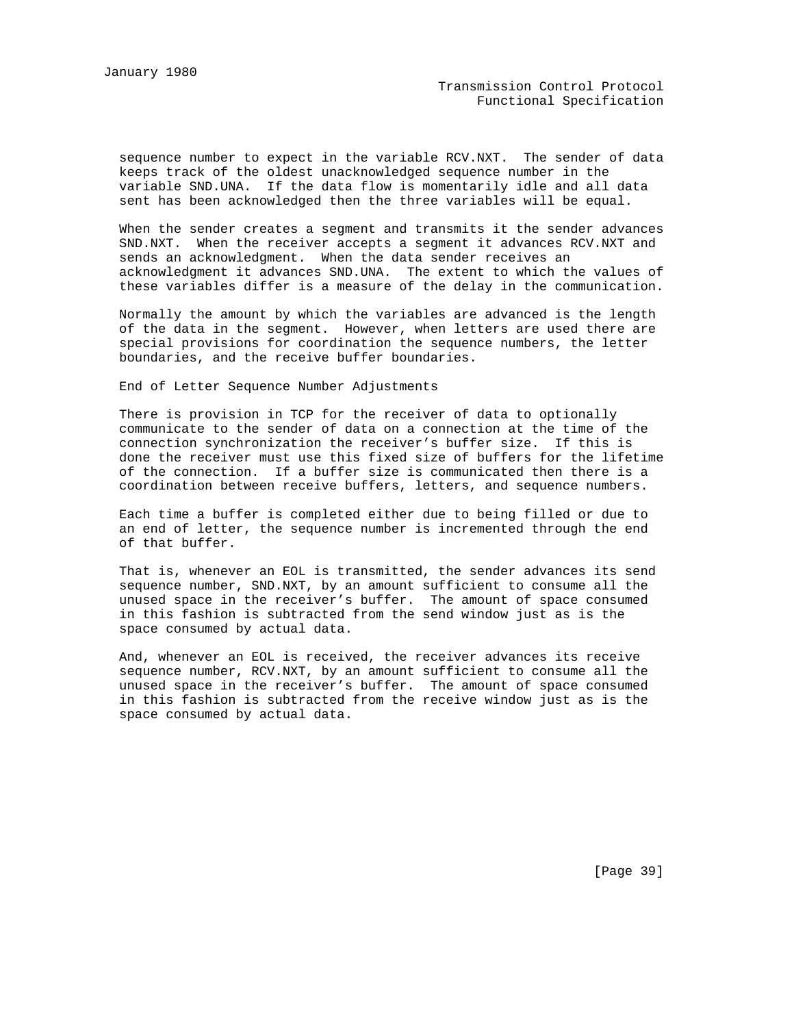sequence number to expect in the variable RCV.NXT. The sender of data keeps track of the oldest unacknowledged sequence number in the variable SND.UNA. If the data flow is momentarily idle and all data sent has been acknowledged then the three variables will be equal.

 When the sender creates a segment and transmits it the sender advances SND.NXT. When the receiver accepts a segment it advances RCV.NXT and sends an acknowledgment. When the data sender receives an acknowledgment it advances SND.UNA. The extent to which the values of these variables differ is a measure of the delay in the communication.

 Normally the amount by which the variables are advanced is the length of the data in the segment. However, when letters are used there are special provisions for coordination the sequence numbers, the letter boundaries, and the receive buffer boundaries.

End of Letter Sequence Number Adjustments

 There is provision in TCP for the receiver of data to optionally communicate to the sender of data on a connection at the time of the connection synchronization the receiver's buffer size. If this is done the receiver must use this fixed size of buffers for the lifetime of the connection. If a buffer size is communicated then there is a coordination between receive buffers, letters, and sequence numbers.

 Each time a buffer is completed either due to being filled or due to an end of letter, the sequence number is incremented through the end of that buffer.

 That is, whenever an EOL is transmitted, the sender advances its send sequence number, SND.NXT, by an amount sufficient to consume all the unused space in the receiver's buffer. The amount of space consumed in this fashion is subtracted from the send window just as is the space consumed by actual data.

 And, whenever an EOL is received, the receiver advances its receive sequence number, RCV.NXT, by an amount sufficient to consume all the unused space in the receiver's buffer. The amount of space consumed in this fashion is subtracted from the receive window just as is the space consumed by actual data.

[Page 39]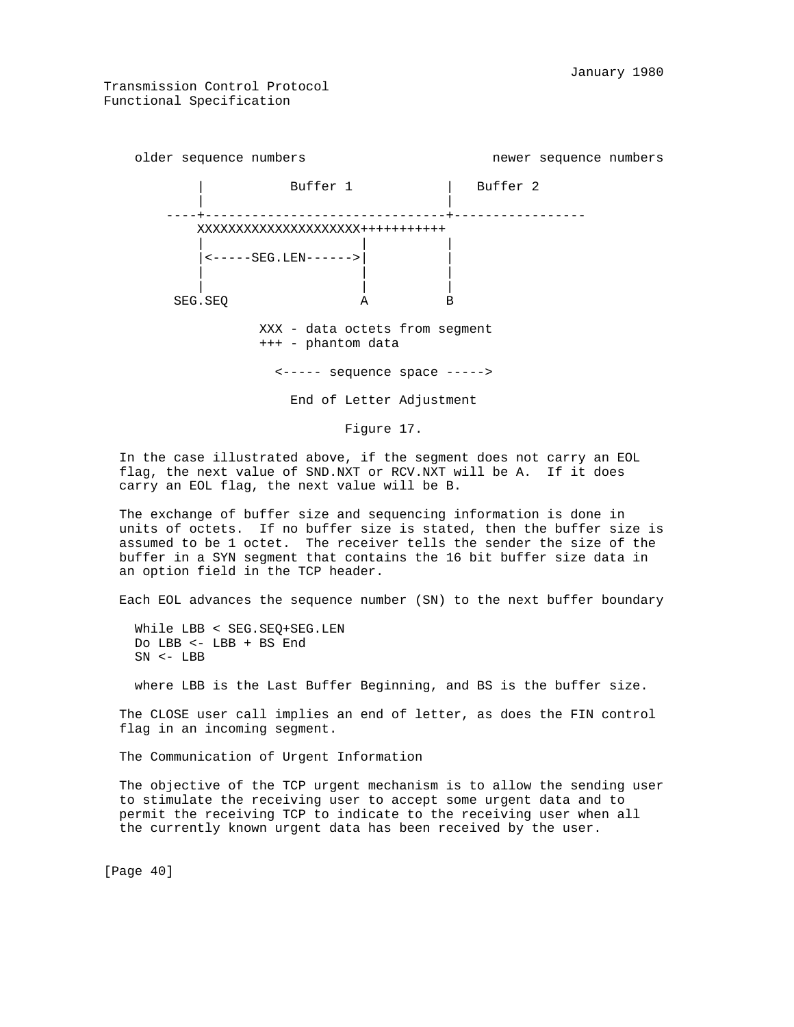older sequence numbers newer sequence numbers | Buffer 1 | Buffer 2 | | ----+-------------------------------+----------------- XXXXXXXXXXXXXXXXXXXXX+++++++++++ | | | |<-----SEG.LEN------>| | | | | | | | SEG.SEQ A B XXX - data octets from segment +++ - phantom data <----- sequence space -----> End of Letter Adjustment Figure 17.

 In the case illustrated above, if the segment does not carry an EOL flag, the next value of SND.NXT or RCV.NXT will be A. If it does carry an EOL flag, the next value will be B.

 The exchange of buffer size and sequencing information is done in units of octets. If no buffer size is stated, then the buffer size is assumed to be 1 octet. The receiver tells the sender the size of the buffer in a SYN segment that contains the 16 bit buffer size data in an option field in the TCP header.

Each EOL advances the sequence number (SN) to the next buffer boundary

 While LBB < SEG.SEQ+SEG.LEN Do LBB <- LBB + BS End SN <- LBB

where LBB is the Last Buffer Beginning, and BS is the buffer size.

 The CLOSE user call implies an end of letter, as does the FIN control flag in an incoming segment.

The Communication of Urgent Information

 The objective of the TCP urgent mechanism is to allow the sending user to stimulate the receiving user to accept some urgent data and to permit the receiving TCP to indicate to the receiving user when all the currently known urgent data has been received by the user.

[Page 40]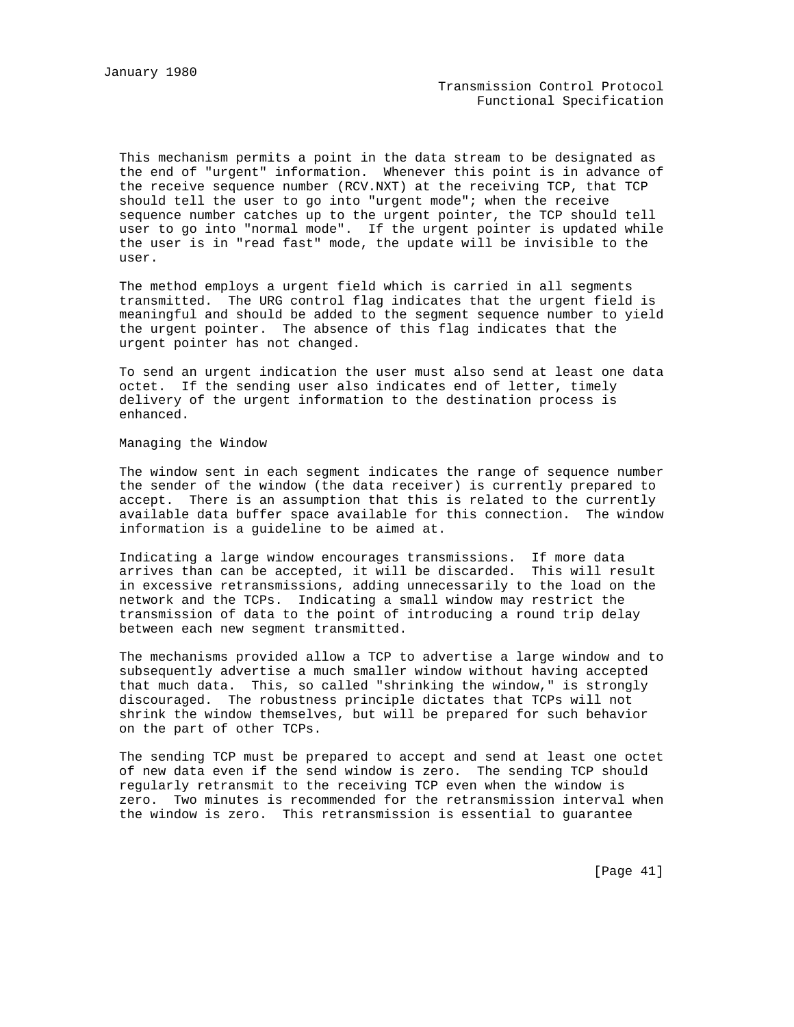This mechanism permits a point in the data stream to be designated as the end of "urgent" information. Whenever this point is in advance of the receive sequence number (RCV.NXT) at the receiving TCP, that TCP should tell the user to go into "urgent mode"; when the receive sequence number catches up to the urgent pointer, the TCP should tell user to go into "normal mode". If the urgent pointer is updated while the user is in "read fast" mode, the update will be invisible to the user.

 The method employs a urgent field which is carried in all segments transmitted. The URG control flag indicates that the urgent field is meaningful and should be added to the segment sequence number to yield the urgent pointer. The absence of this flag indicates that the urgent pointer has not changed.

 To send an urgent indication the user must also send at least one data octet. If the sending user also indicates end of letter, timely delivery of the urgent information to the destination process is enhanced.

## Managing the Window

 The window sent in each segment indicates the range of sequence number the sender of the window (the data receiver) is currently prepared to accept. There is an assumption that this is related to the currently available data buffer space available for this connection. The window information is a guideline to be aimed at.

 Indicating a large window encourages transmissions. If more data arrives than can be accepted, it will be discarded. This will result in excessive retransmissions, adding unnecessarily to the load on the network and the TCPs. Indicating a small window may restrict the transmission of data to the point of introducing a round trip delay between each new segment transmitted.

 The mechanisms provided allow a TCP to advertise a large window and to subsequently advertise a much smaller window without having accepted that much data. This, so called "shrinking the window," is strongly discouraged. The robustness principle dictates that TCPs will not shrink the window themselves, but will be prepared for such behavior on the part of other TCPs.

 The sending TCP must be prepared to accept and send at least one octet of new data even if the send window is zero. The sending TCP should regularly retransmit to the receiving TCP even when the window is zero. Two minutes is recommended for the retransmission interval when the window is zero. This retransmission is essential to guarantee

[Page 41]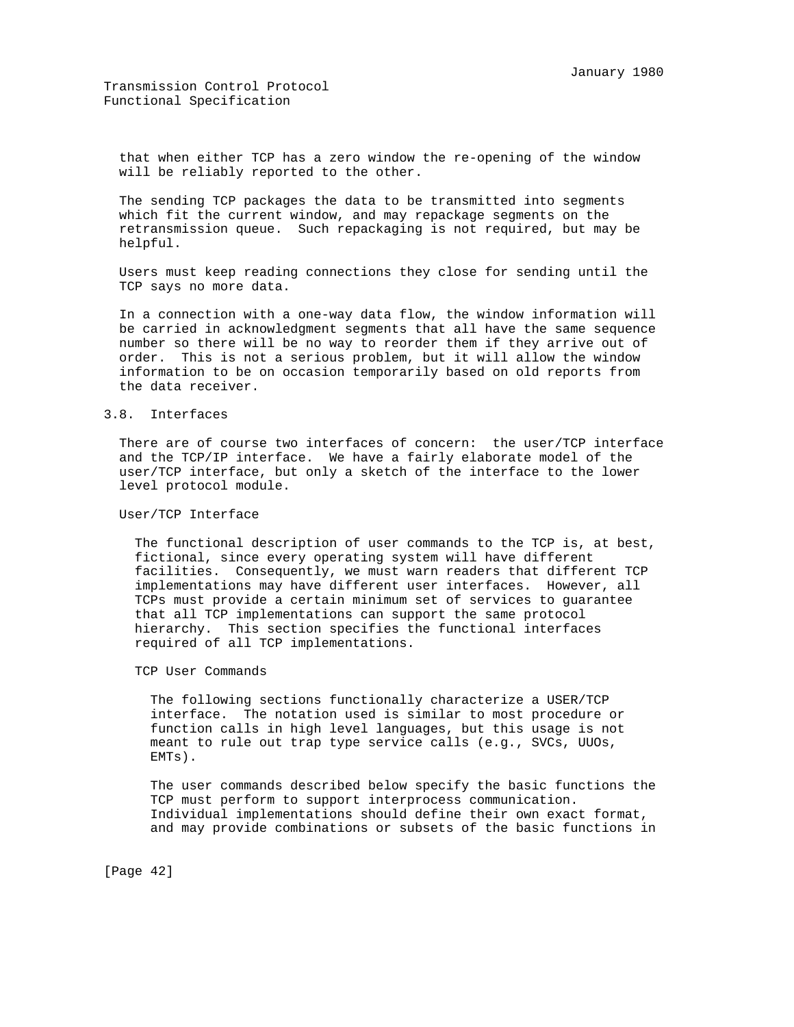that when either TCP has a zero window the re-opening of the window will be reliably reported to the other.

 The sending TCP packages the data to be transmitted into segments which fit the current window, and may repackage segments on the retransmission queue. Such repackaging is not required, but may be helpful.

 Users must keep reading connections they close for sending until the TCP says no more data.

 In a connection with a one-way data flow, the window information will be carried in acknowledgment segments that all have the same sequence number so there will be no way to reorder them if they arrive out of order. This is not a serious problem, but it will allow the window information to be on occasion temporarily based on old reports from the data receiver.

## 3.8. Interfaces

 There are of course two interfaces of concern: the user/TCP interface and the TCP/IP interface. We have a fairly elaborate model of the user/TCP interface, but only a sketch of the interface to the lower level protocol module.

# User/TCP Interface

 The functional description of user commands to the TCP is, at best, fictional, since every operating system will have different facilities. Consequently, we must warn readers that different TCP implementations may have different user interfaces. However, all TCPs must provide a certain minimum set of services to guarantee that all TCP implementations can support the same protocol hierarchy. This section specifies the functional interfaces required of all TCP implementations.

TCP User Commands

 The following sections functionally characterize a USER/TCP interface. The notation used is similar to most procedure or function calls in high level languages, but this usage is not meant to rule out trap type service calls (e.g., SVCs, UUOs, EMTs).

 The user commands described below specify the basic functions the TCP must perform to support interprocess communication. Individual implementations should define their own exact format, and may provide combinations or subsets of the basic functions in

[Page 42]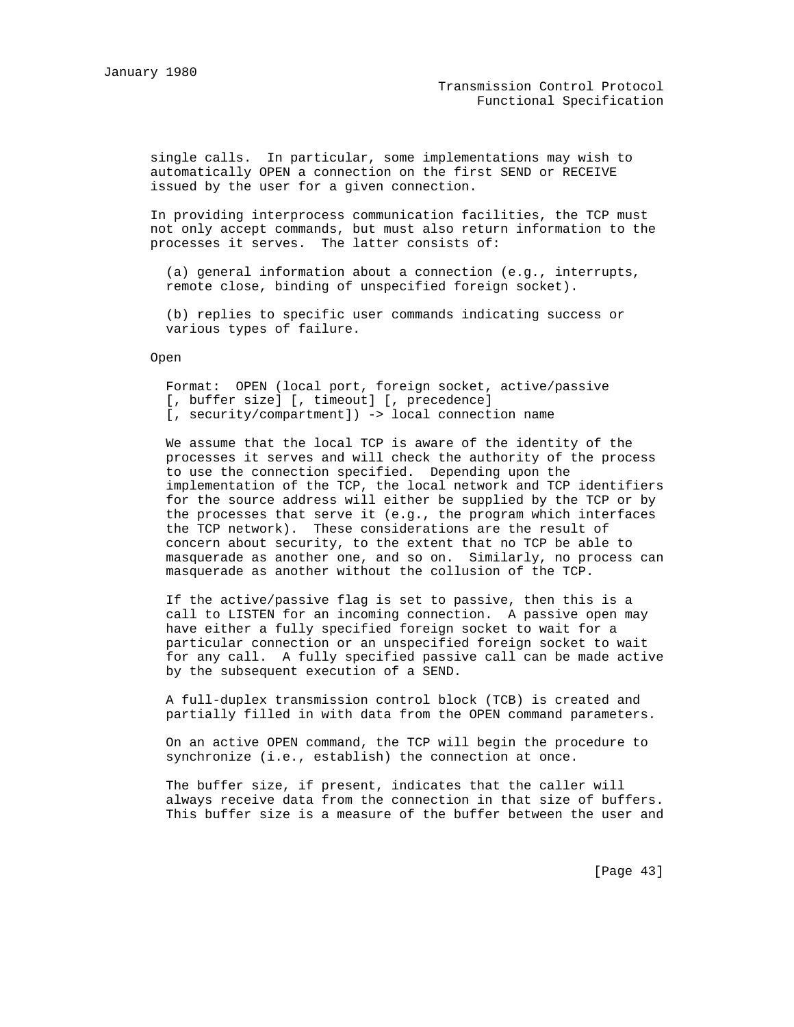single calls. In particular, some implementations may wish to automatically OPEN a connection on the first SEND or RECEIVE issued by the user for a given connection.

 In providing interprocess communication facilities, the TCP must not only accept commands, but must also return information to the processes it serves. The latter consists of:

 (a) general information about a connection (e.g., interrupts, remote close, binding of unspecified foreign socket).

 (b) replies to specific user commands indicating success or various types of failure.

### Open

 Format: OPEN (local port, foreign socket, active/passive [, buffer size] [, timeout] [, precedence] [, security/compartment]) -> local connection name

 We assume that the local TCP is aware of the identity of the processes it serves and will check the authority of the process to use the connection specified. Depending upon the implementation of the TCP, the local network and TCP identifiers for the source address will either be supplied by the TCP or by the processes that serve it (e.g., the program which interfaces the TCP network). These considerations are the result of concern about security, to the extent that no TCP be able to masquerade as another one, and so on. Similarly, no process can masquerade as another without the collusion of the TCP.

 If the active/passive flag is set to passive, then this is a call to LISTEN for an incoming connection. A passive open may have either a fully specified foreign socket to wait for a particular connection or an unspecified foreign socket to wait for any call. A fully specified passive call can be made active by the subsequent execution of a SEND.

 A full-duplex transmission control block (TCB) is created and partially filled in with data from the OPEN command parameters.

 On an active OPEN command, the TCP will begin the procedure to synchronize (i.e., establish) the connection at once.

 The buffer size, if present, indicates that the caller will always receive data from the connection in that size of buffers. This buffer size is a measure of the buffer between the user and

[Page 43]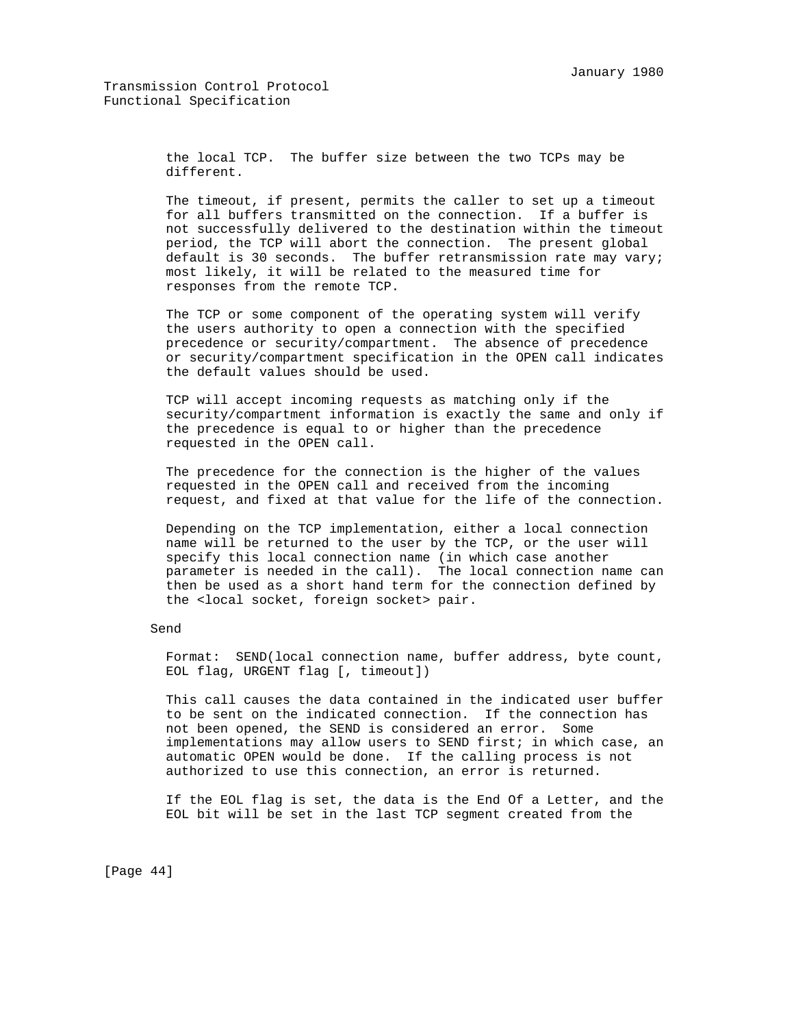> the local TCP. The buffer size between the two TCPs may be different.

 The timeout, if present, permits the caller to set up a timeout for all buffers transmitted on the connection. If a buffer is not successfully delivered to the destination within the timeout period, the TCP will abort the connection. The present global default is 30 seconds. The buffer retransmission rate may vary; most likely, it will be related to the measured time for responses from the remote TCP.

 The TCP or some component of the operating system will verify the users authority to open a connection with the specified precedence or security/compartment. The absence of precedence or security/compartment specification in the OPEN call indicates the default values should be used.

 TCP will accept incoming requests as matching only if the security/compartment information is exactly the same and only if the precedence is equal to or higher than the precedence requested in the OPEN call.

 The precedence for the connection is the higher of the values requested in the OPEN call and received from the incoming request, and fixed at that value for the life of the connection.

 Depending on the TCP implementation, either a local connection name will be returned to the user by the TCP, or the user will specify this local connection name (in which case another parameter is needed in the call). The local connection name can then be used as a short hand term for the connection defined by the <local socket, foreign socket> pair.

#### Send

 Format: SEND(local connection name, buffer address, byte count, EOL flag, URGENT flag [, timeout])

 This call causes the data contained in the indicated user buffer to be sent on the indicated connection. If the connection has not been opened, the SEND is considered an error. Some implementations may allow users to SEND first; in which case, an automatic OPEN would be done. If the calling process is not authorized to use this connection, an error is returned.

 If the EOL flag is set, the data is the End Of a Letter, and the EOL bit will be set in the last TCP segment created from the

[Page 44]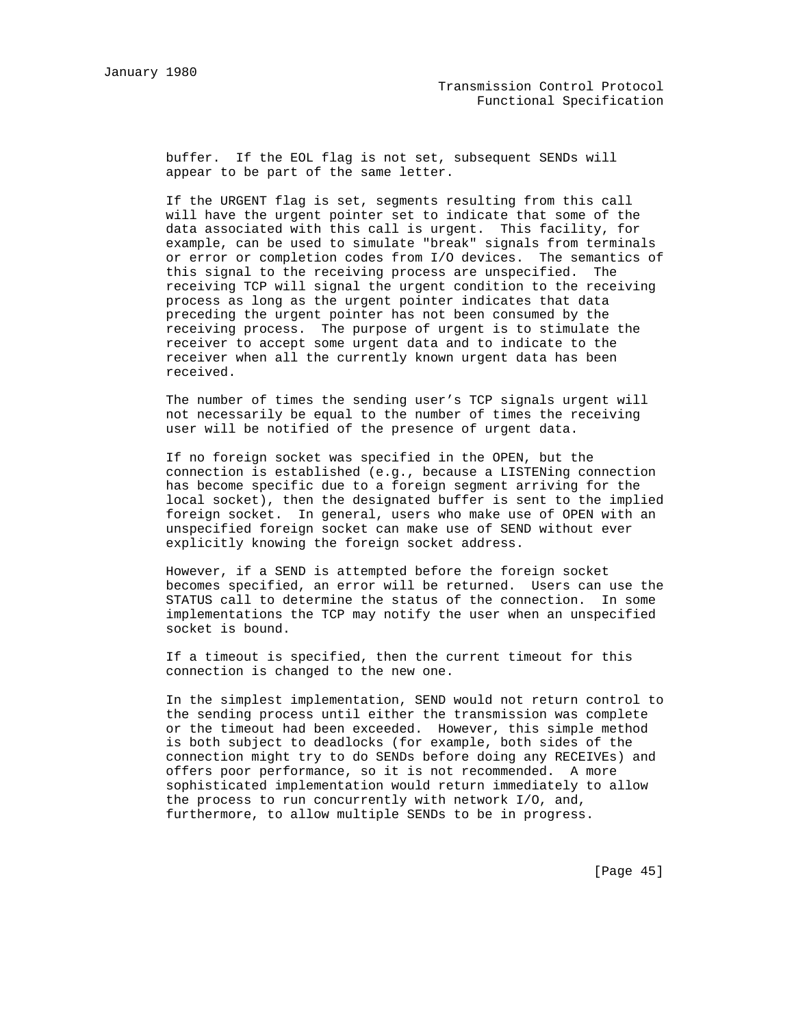buffer. If the EOL flag is not set, subsequent SENDs will appear to be part of the same letter.

 If the URGENT flag is set, segments resulting from this call will have the urgent pointer set to indicate that some of the data associated with this call is urgent. This facility, for example, can be used to simulate "break" signals from terminals or error or completion codes from I/O devices. The semantics of this signal to the receiving process are unspecified. The receiving TCP will signal the urgent condition to the receiving process as long as the urgent pointer indicates that data preceding the urgent pointer has not been consumed by the receiving process. The purpose of urgent is to stimulate the receiver to accept some urgent data and to indicate to the receiver when all the currently known urgent data has been received.

 The number of times the sending user's TCP signals urgent will not necessarily be equal to the number of times the receiving user will be notified of the presence of urgent data.

 If no foreign socket was specified in the OPEN, but the connection is established (e.g., because a LISTENing connection has become specific due to a foreign segment arriving for the local socket), then the designated buffer is sent to the implied foreign socket. In general, users who make use of OPEN with an unspecified foreign socket can make use of SEND without ever explicitly knowing the foreign socket address.

 However, if a SEND is attempted before the foreign socket becomes specified, an error will be returned. Users can use the STATUS call to determine the status of the connection. In some implementations the TCP may notify the user when an unspecified socket is bound.

 If a timeout is specified, then the current timeout for this connection is changed to the new one.

 In the simplest implementation, SEND would not return control to the sending process until either the transmission was complete or the timeout had been exceeded. However, this simple method is both subject to deadlocks (for example, both sides of the connection might try to do SENDs before doing any RECEIVEs) and offers poor performance, so it is not recommended. A more sophisticated implementation would return immediately to allow the process to run concurrently with network I/O, and, furthermore, to allow multiple SENDs to be in progress.

[Page 45]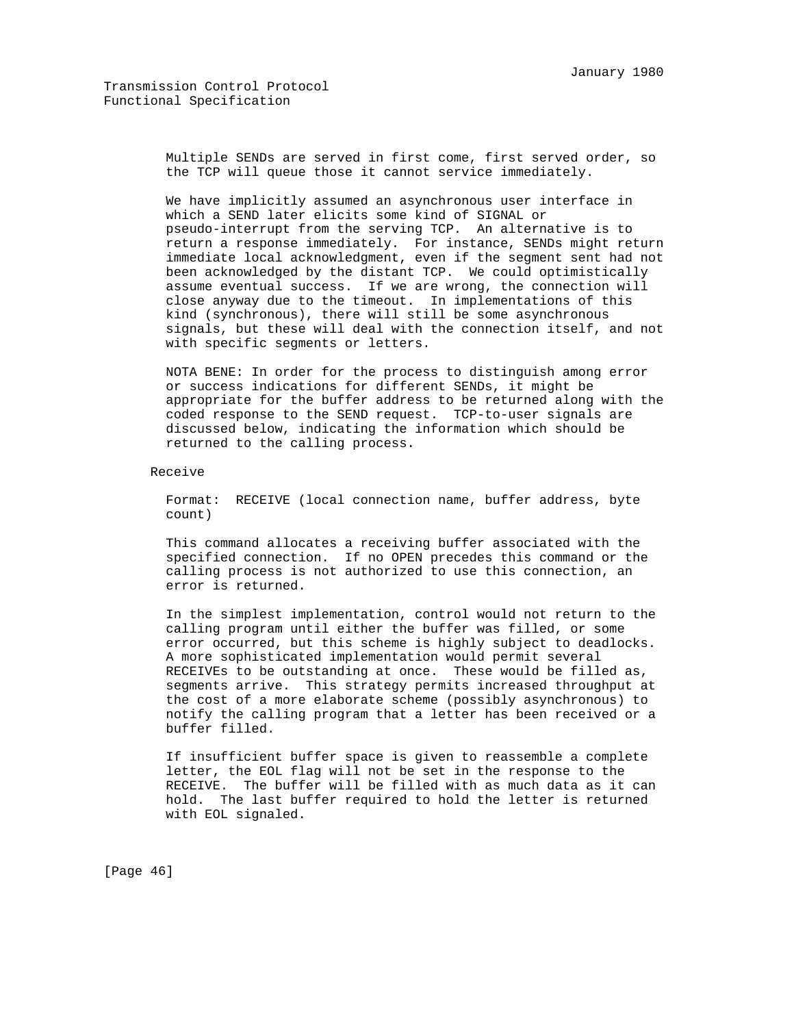Multiple SENDs are served in first come, first served order, so the TCP will queue those it cannot service immediately.

 We have implicitly assumed an asynchronous user interface in which a SEND later elicits some kind of SIGNAL or pseudo-interrupt from the serving TCP. An alternative is to return a response immediately. For instance, SENDs might return immediate local acknowledgment, even if the segment sent had not been acknowledged by the distant TCP. We could optimistically assume eventual success. If we are wrong, the connection will close anyway due to the timeout. In implementations of this kind (synchronous), there will still be some asynchronous signals, but these will deal with the connection itself, and not with specific segments or letters.

 NOTA BENE: In order for the process to distinguish among error or success indications for different SENDs, it might be appropriate for the buffer address to be returned along with the coded response to the SEND request. TCP-to-user signals are discussed below, indicating the information which should be returned to the calling process.

#### Receive

 Format: RECEIVE (local connection name, buffer address, byte count)

 This command allocates a receiving buffer associated with the specified connection. If no OPEN precedes this command or the calling process is not authorized to use this connection, an error is returned.

 In the simplest implementation, control would not return to the calling program until either the buffer was filled, or some error occurred, but this scheme is highly subject to deadlocks. A more sophisticated implementation would permit several RECEIVEs to be outstanding at once. These would be filled as, segments arrive. This strategy permits increased throughput at the cost of a more elaborate scheme (possibly asynchronous) to notify the calling program that a letter has been received or a buffer filled.

 If insufficient buffer space is given to reassemble a complete letter, the EOL flag will not be set in the response to the RECEIVE. The buffer will be filled with as much data as it can hold. The last buffer required to hold the letter is returned with EOL signaled.

[Page 46]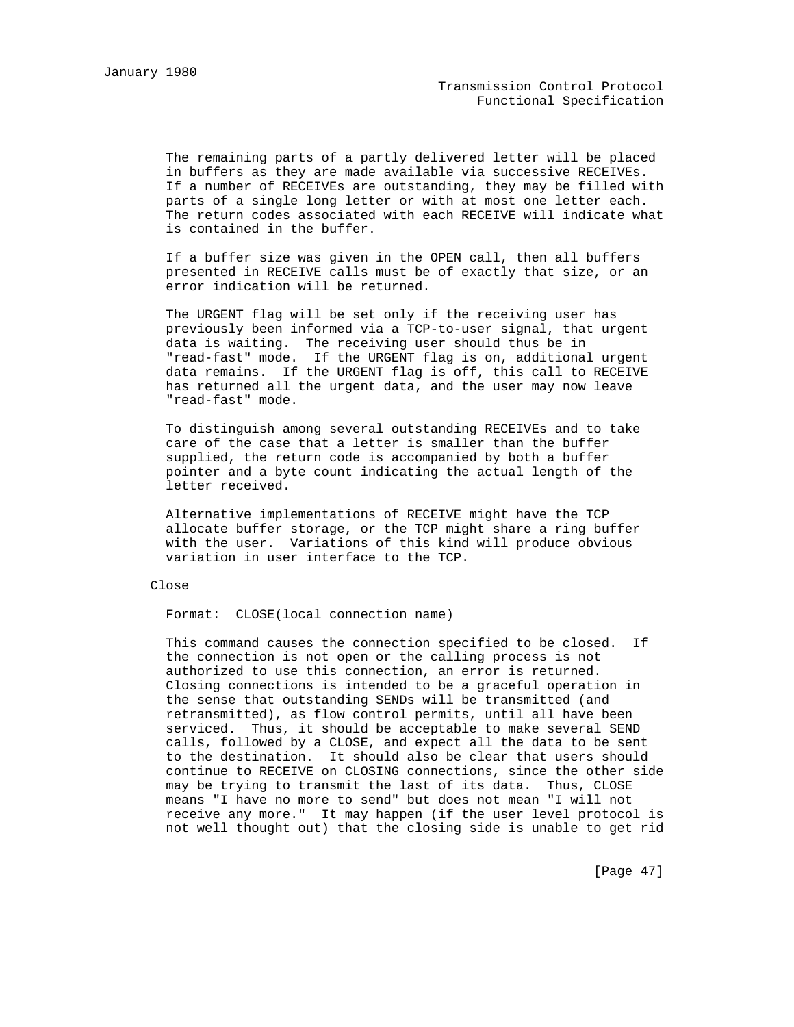The remaining parts of a partly delivered letter will be placed in buffers as they are made available via successive RECEIVEs. If a number of RECEIVEs are outstanding, they may be filled with parts of a single long letter or with at most one letter each. The return codes associated with each RECEIVE will indicate what is contained in the buffer.

 If a buffer size was given in the OPEN call, then all buffers presented in RECEIVE calls must be of exactly that size, or an error indication will be returned.

 The URGENT flag will be set only if the receiving user has previously been informed via a TCP-to-user signal, that urgent data is waiting. The receiving user should thus be in "read-fast" mode. If the URGENT flag is on, additional urgent data remains. If the URGENT flag is off, this call to RECEIVE has returned all the urgent data, and the user may now leave "read-fast" mode.

 To distinguish among several outstanding RECEIVEs and to take care of the case that a letter is smaller than the buffer supplied, the return code is accompanied by both a buffer pointer and a byte count indicating the actual length of the letter received.

 Alternative implementations of RECEIVE might have the TCP allocate buffer storage, or the TCP might share a ring buffer with the user. Variations of this kind will produce obvious variation in user interface to the TCP.

## Close

Format: CLOSE(local connection name)

 This command causes the connection specified to be closed. If the connection is not open or the calling process is not authorized to use this connection, an error is returned. Closing connections is intended to be a graceful operation in the sense that outstanding SENDs will be transmitted (and retransmitted), as flow control permits, until all have been serviced. Thus, it should be acceptable to make several SEND calls, followed by a CLOSE, and expect all the data to be sent to the destination. It should also be clear that users should continue to RECEIVE on CLOSING connections, since the other side may be trying to transmit the last of its data. Thus, CLOSE means "I have no more to send" but does not mean "I will not receive any more." It may happen (if the user level protocol is not well thought out) that the closing side is unable to get rid

[Page 47]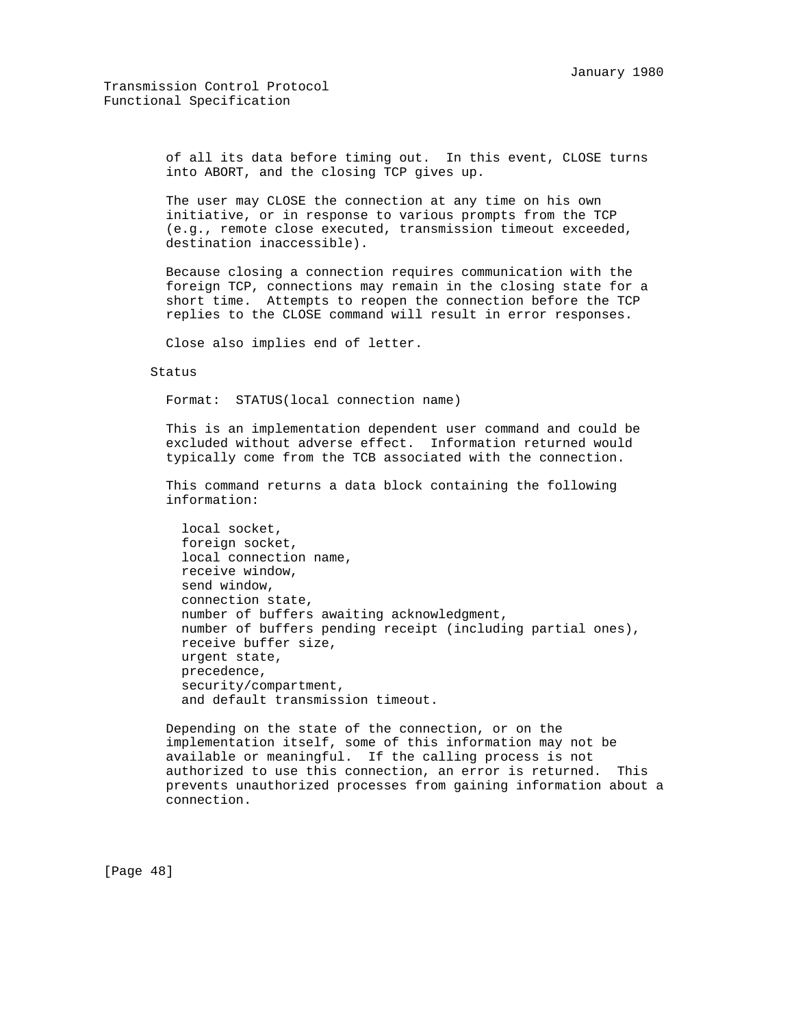> of all its data before timing out. In this event, CLOSE turns into ABORT, and the closing TCP gives up.

 The user may CLOSE the connection at any time on his own initiative, or in response to various prompts from the TCP (e.g., remote close executed, transmission timeout exceeded, destination inaccessible).

 Because closing a connection requires communication with the foreign TCP, connections may remain in the closing state for a short time. Attempts to reopen the connection before the TCP replies to the CLOSE command will result in error responses.

Close also implies end of letter.

#### Status

Format: STATUS(local connection name)

 This is an implementation dependent user command and could be excluded without adverse effect. Information returned would typically come from the TCB associated with the connection.

 This command returns a data block containing the following information:

 local socket, foreign socket, local connection name, receive window, send window, connection state, number of buffers awaiting acknowledgment, number of buffers pending receipt (including partial ones), receive buffer size, urgent state, precedence, security/compartment, and default transmission timeout.

 Depending on the state of the connection, or on the implementation itself, some of this information may not be available or meaningful. If the calling process is not authorized to use this connection, an error is returned. This prevents unauthorized processes from gaining information about a connection.

[Page 48]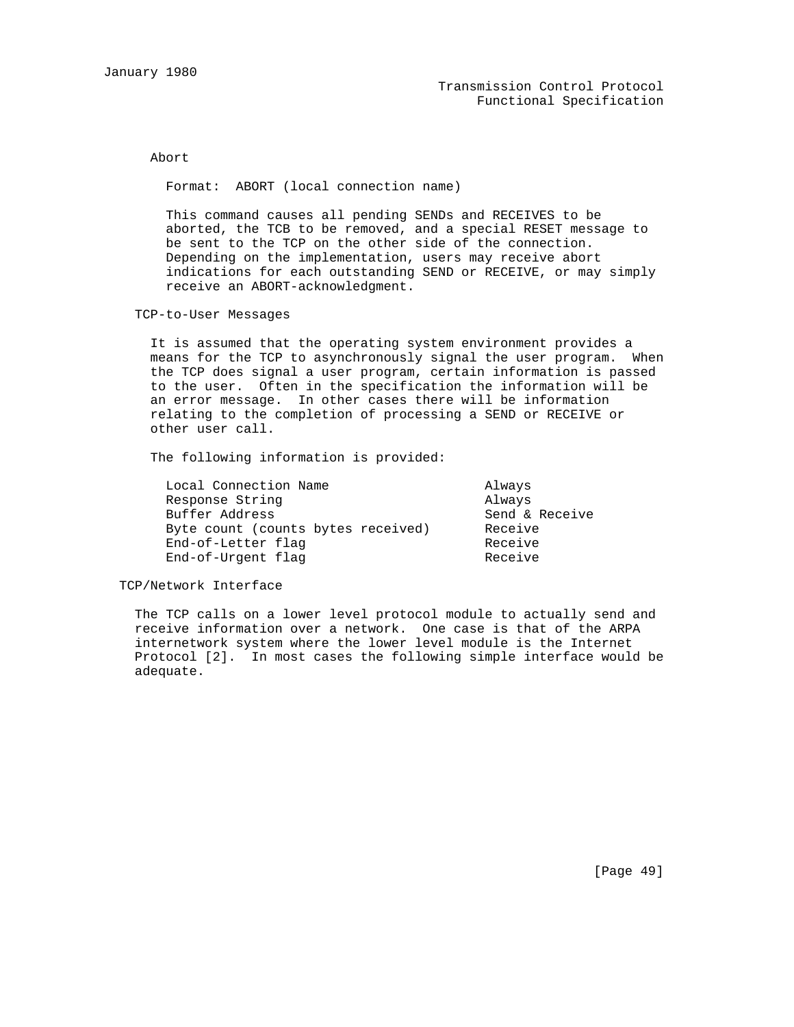## Abort

Format: ABORT (local connection name)

 This command causes all pending SENDs and RECEIVES to be aborted, the TCB to be removed, and a special RESET message to be sent to the TCP on the other side of the connection. Depending on the implementation, users may receive abort indications for each outstanding SEND or RECEIVE, or may simply receive an ABORT-acknowledgment.

TCP-to-User Messages

 It is assumed that the operating system environment provides a means for the TCP to asynchronously signal the user program. When the TCP does signal a user program, certain information is passed to the user. Often in the specification the information will be an error message. In other cases there will be information relating to the completion of processing a SEND or RECEIVE or other user call.

The following information is provided:

| Local Connection Name              | Always         |
|------------------------------------|----------------|
| Response String                    | Always         |
| Buffer Address                     | Send & Receive |
| Byte count (counts bytes received) | Receive        |
| End-of-Letter flag                 | Receive        |
| End-of-Urgent flag                 | Receive        |

TCP/Network Interface

 The TCP calls on a lower level protocol module to actually send and receive information over a network. One case is that of the ARPA internetwork system where the lower level module is the Internet Protocol [2]. In most cases the following simple interface would be adequate.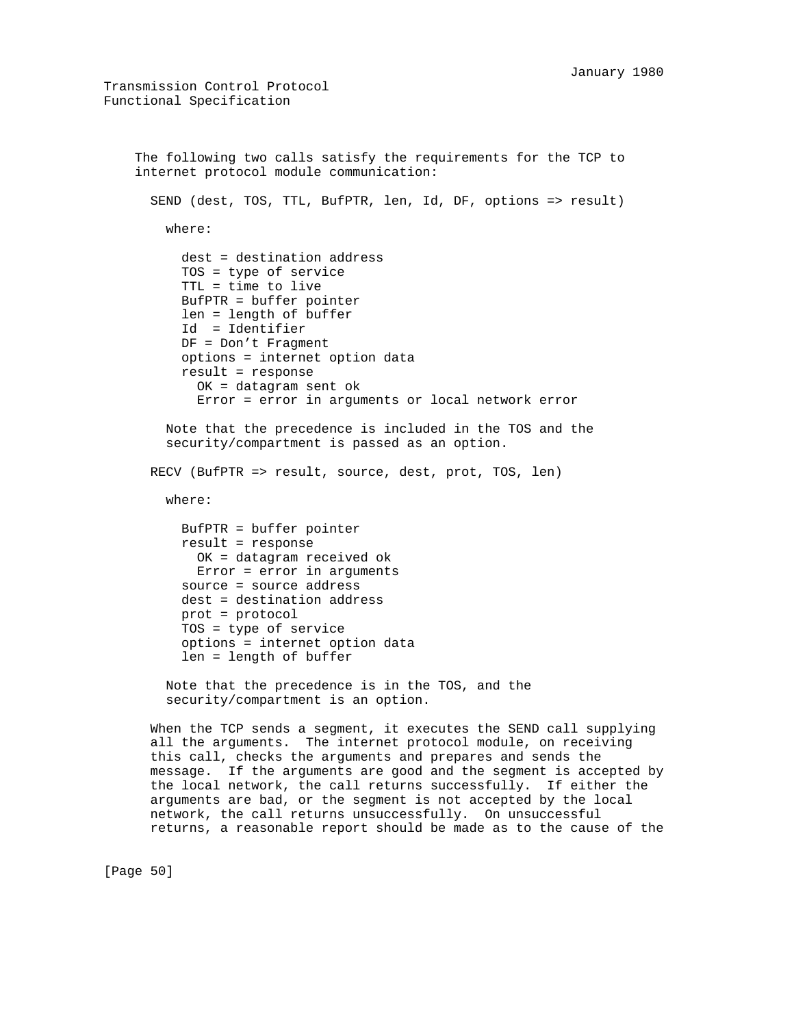```
Transmission Control Protocol
Functional Specification
     The following two calls satisfy the requirements for the TCP to
     internet protocol module communication:
       SEND (dest, TOS, TTL, BufPTR, len, Id, DF, options => result)
         where:
           dest = destination address
           TOS = type of service
           TTL = time to live
           BufPTR = buffer pointer
           len = length of buffer
           Id = Identifier
           DF = Don't Fragment
           options = internet option data
           result = response
             OK = datagram sent ok
             Error = error in arguments or local network error
         Note that the precedence is included in the TOS and the
         security/compartment is passed as an option.
       RECV (BufPTR => result, source, dest, prot, TOS, len)
         where:
           BufPTR = buffer pointer
           result = response
             OK = datagram received ok
             Error = error in arguments
           source = source address
           dest = destination address
           prot = protocol
           TOS = type of service
           options = internet option data
           len = length of buffer
         Note that the precedence is in the TOS, and the
         security/compartment is an option.
       When the TCP sends a segment, it executes the SEND call supplying
       all the arguments. The internet protocol module, on receiving
       this call, checks the arguments and prepares and sends the
       message. If the arguments are good and the segment is accepted by
```
 the local network, the call returns successfully. If either the arguments are bad, or the segment is not accepted by the local network, the call returns unsuccessfully. On unsuccessful returns, a reasonable report should be made as to the cause of the

[Page 50]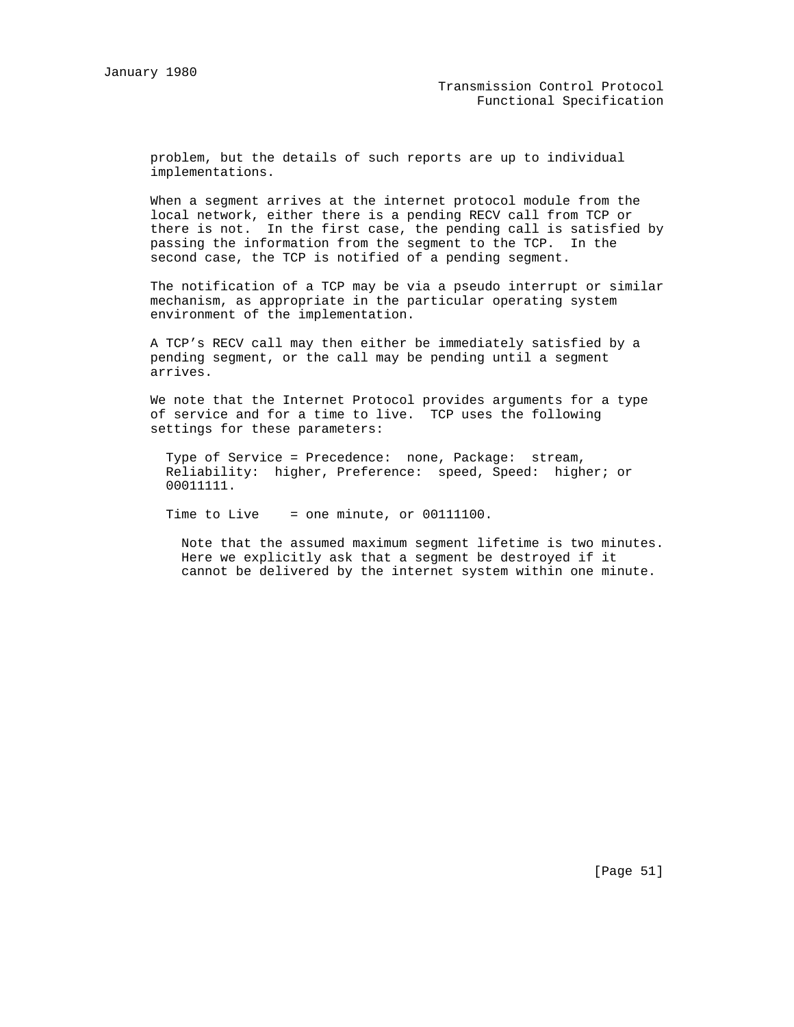problem, but the details of such reports are up to individual implementations.

 When a segment arrives at the internet protocol module from the local network, either there is a pending RECV call from TCP or there is not. In the first case, the pending call is satisfied by passing the information from the segment to the TCP. In the second case, the TCP is notified of a pending segment.

 The notification of a TCP may be via a pseudo interrupt or similar mechanism, as appropriate in the particular operating system environment of the implementation.

 A TCP's RECV call may then either be immediately satisfied by a pending segment, or the call may be pending until a segment arrives.

 We note that the Internet Protocol provides arguments for a type of service and for a time to live. TCP uses the following settings for these parameters:

 Type of Service = Precedence: none, Package: stream, Reliability: higher, Preference: speed, Speed: higher; or 00011111.

Time to Live = one minute, or 00111100.

 Note that the assumed maximum segment lifetime is two minutes. Here we explicitly ask that a segment be destroyed if it cannot be delivered by the internet system within one minute.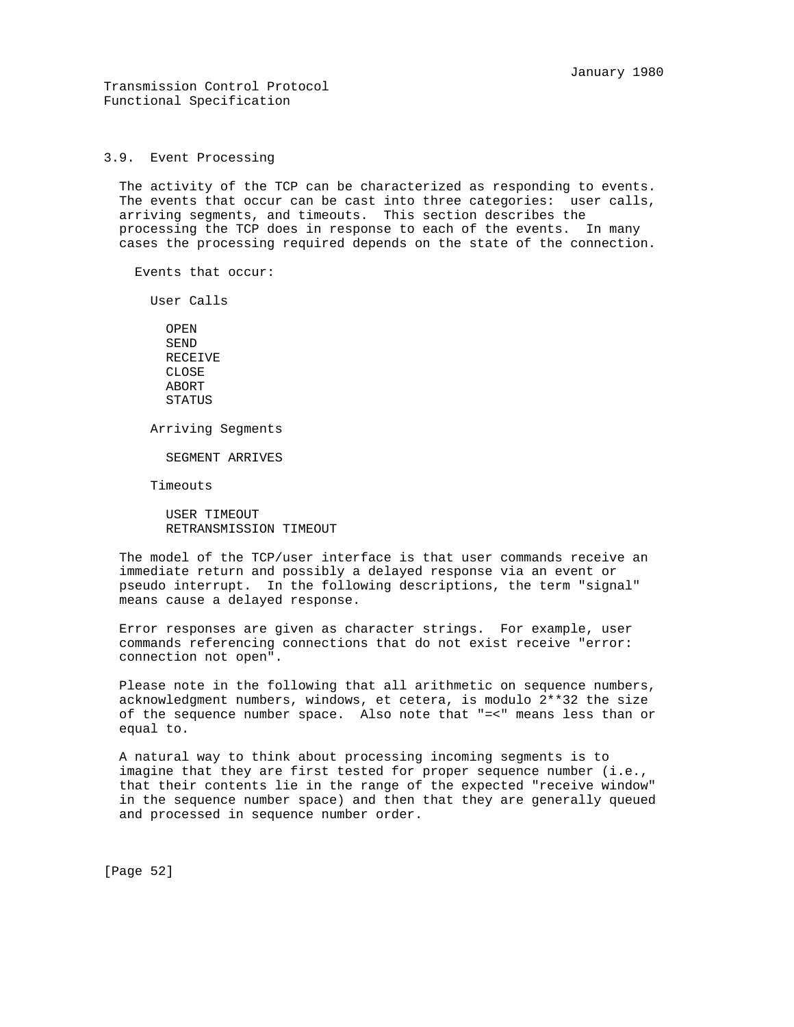## 3.9. Event Processing

 The activity of the TCP can be characterized as responding to events. The events that occur can be cast into three categories: user calls, arriving segments, and timeouts. This section describes the processing the TCP does in response to each of the events. In many cases the processing required depends on the state of the connection.

Events that occur:

User Calls

 OPEN SEND RECEIVE CLOSE ABORT STATUS

Arriving Segments

SEGMENT ARRIVES

Timeouts

 USER TIMEOUT RETRANSMISSION TIMEOUT

 The model of the TCP/user interface is that user commands receive an immediate return and possibly a delayed response via an event or pseudo interrupt. In the following descriptions, the term "signal" means cause a delayed response.

 Error responses are given as character strings. For example, user commands referencing connections that do not exist receive "error: connection not open".

 Please note in the following that all arithmetic on sequence numbers, acknowledgment numbers, windows, et cetera, is modulo 2\*\*32 the size of the sequence number space. Also note that "=<" means less than or equal to.

 A natural way to think about processing incoming segments is to imagine that they are first tested for proper sequence number (i.e., that their contents lie in the range of the expected "receive window" in the sequence number space) and then that they are generally queued and processed in sequence number order.

[Page 52]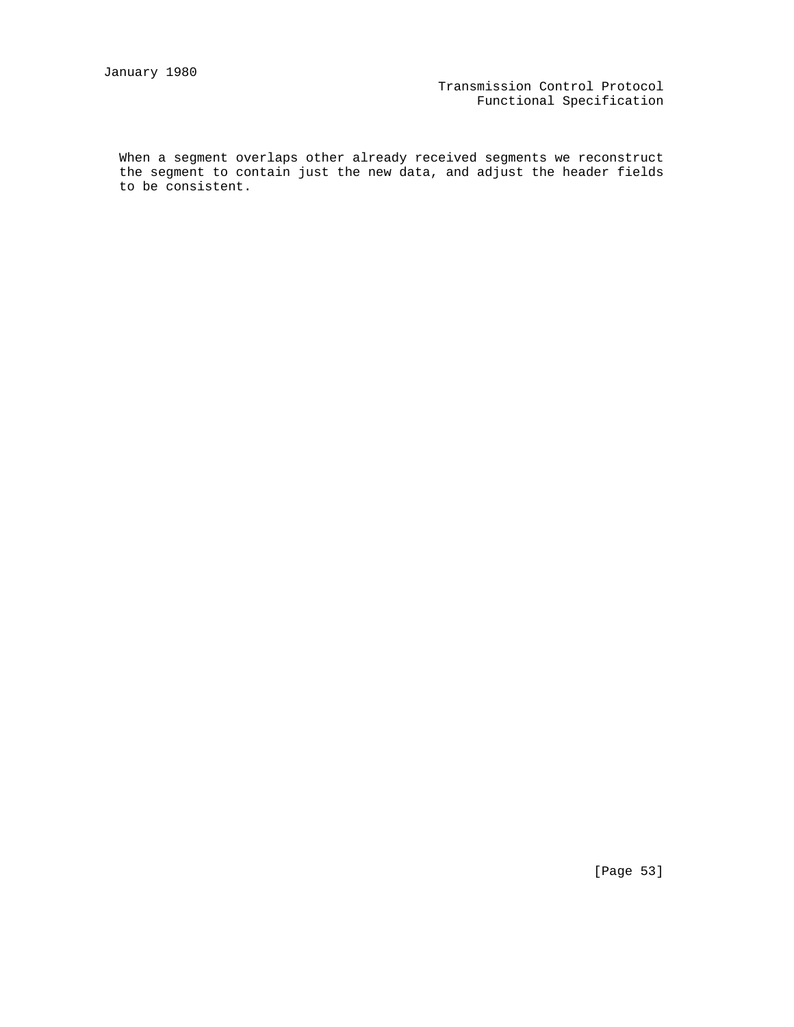When a segment overlaps other already received segments we reconstruct the segment to contain just the new data, and adjust the header fields to be consistent.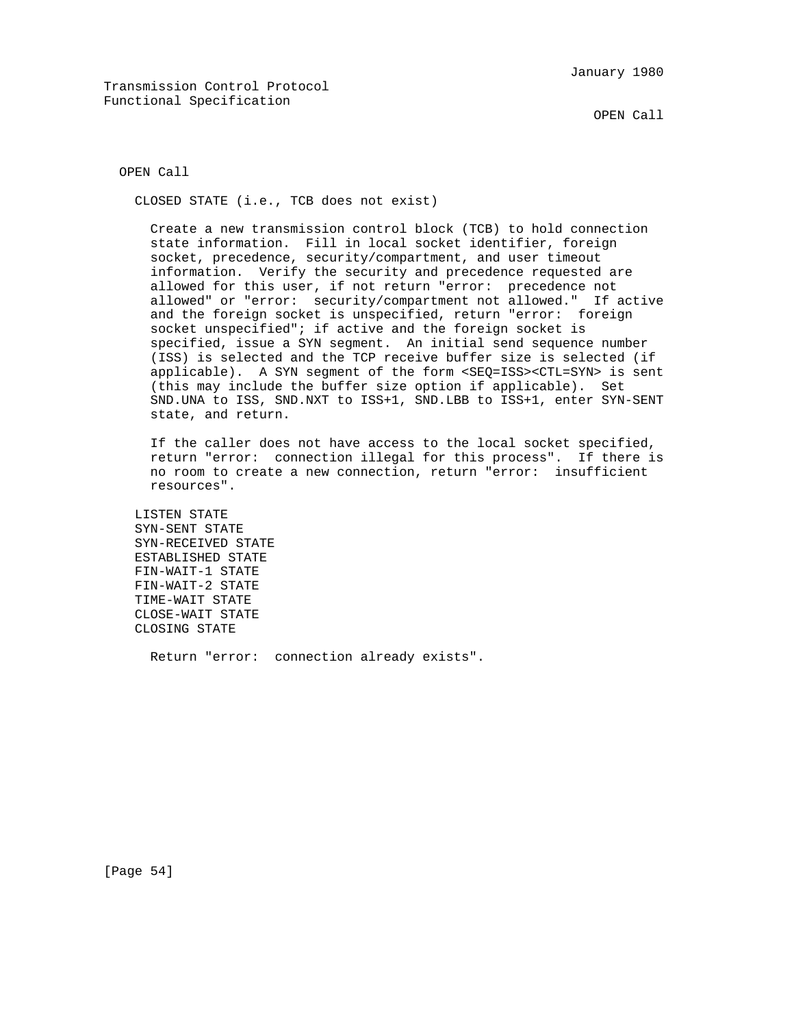Transmission Control Protocol Functional Specification

OPEN Call

OPEN Call

CLOSED STATE (i.e., TCB does not exist)

 Create a new transmission control block (TCB) to hold connection state information. Fill in local socket identifier, foreign socket, precedence, security/compartment, and user timeout information. Verify the security and precedence requested are allowed for this user, if not return "error: precedence not allowed" or "error: security/compartment not allowed." If active and the foreign socket is unspecified, return "error: foreign socket unspecified"; if active and the foreign socket is specified, issue a SYN segment. An initial send sequence number (ISS) is selected and the TCP receive buffer size is selected (if applicable). A SYN segment of the form <SEQ=ISS><CTL=SYN> is sent (this may include the buffer size option if applicable). Set SND.UNA to ISS, SND.NXT to ISS+1, SND.LBB to ISS+1, enter SYN-SENT state, and return.

 If the caller does not have access to the local socket specified, return "error: connection illegal for this process". If there is no room to create a new connection, return "error: insufficient resources".

 LISTEN STATE SYN-SENT STATE SYN-RECEIVED STATE ESTABLISHED STATE FIN-WAIT-1 STATE FIN-WAIT-2 STATE TIME-WAIT STATE CLOSE-WAIT STATE CLOSING STATE

Return "error: connection already exists".

[Page 54]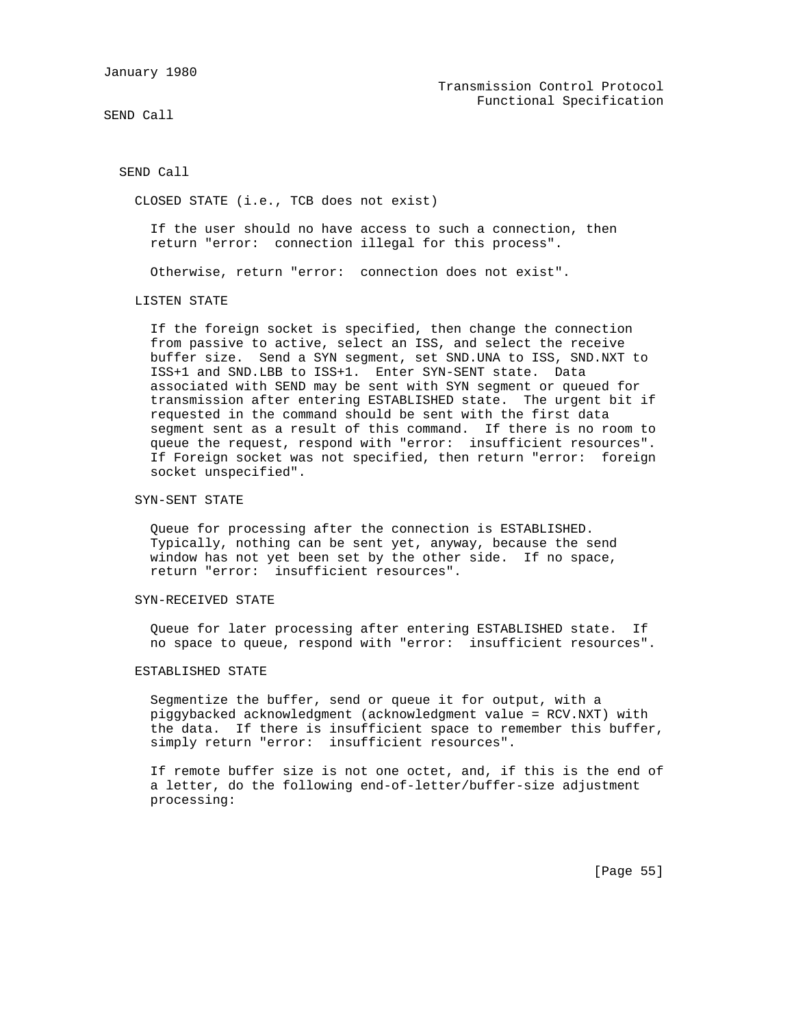SEND Call

SEND Call

CLOSED STATE (i.e., TCB does not exist)

 If the user should no have access to such a connection, then return "error: connection illegal for this process".

Otherwise, return "error: connection does not exist".

LISTEN STATE

 If the foreign socket is specified, then change the connection from passive to active, select an ISS, and select the receive buffer size. Send a SYN segment, set SND.UNA to ISS, SND.NXT to ISS+1 and SND.LBB to ISS+1. Enter SYN-SENT state. Data associated with SEND may be sent with SYN segment or queued for transmission after entering ESTABLISHED state. The urgent bit if requested in the command should be sent with the first data segment sent as a result of this command. If there is no room to queue the request, respond with "error: insufficient resources". If Foreign socket was not specified, then return "error: foreign socket unspecified".

# SYN-SENT STATE

 Queue for processing after the connection is ESTABLISHED. Typically, nothing can be sent yet, anyway, because the send window has not yet been set by the other side. If no space, return "error: insufficient resources".

#### SYN-RECEIVED STATE

 Queue for later processing after entering ESTABLISHED state. If no space to queue, respond with "error: insufficient resources".

#### ESTABLISHED STATE

 Segmentize the buffer, send or queue it for output, with a piggybacked acknowledgment (acknowledgment value = RCV.NXT) with the data. If there is insufficient space to remember this buffer, simply return "error: insufficient resources".

 If remote buffer size is not one octet, and, if this is the end of a letter, do the following end-of-letter/buffer-size adjustment processing:

[Page 55]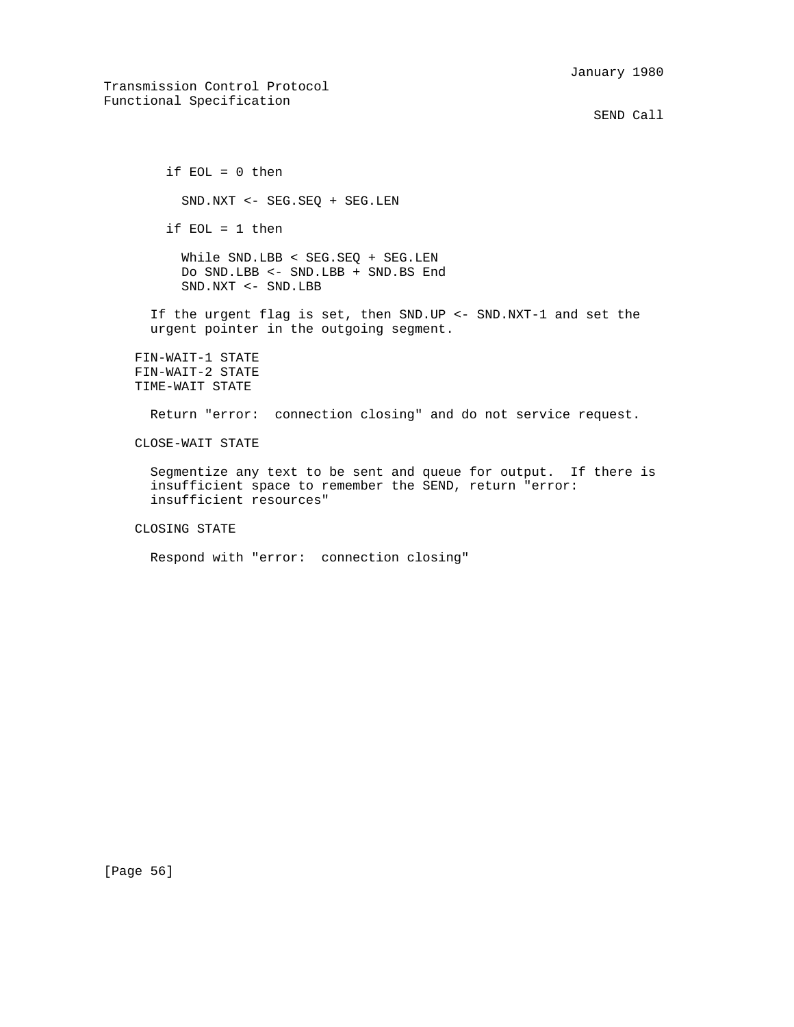Transmission Control Protocol Functional Specification

SEND Call

if  $EOL = 0$  then SND.NXT <- SEG.SEQ + SEG.LEN if EOL = 1 then While SND.LBB < SEG.SEQ + SEG.LEN Do SND.LBB <- SND.LBB + SND.BS End SND.NXT <- SND.LBB If the urgent flag is set, then SND.UP <- SND.NXT-1 and set the urgent pointer in the outgoing segment. FIN-WAIT-1 STATE FIN-WAIT-2 STATE TIME-WAIT STATE Return "error: connection closing" and do not service request. CLOSE-WAIT STATE

 Segmentize any text to be sent and queue for output. If there is insufficient space to remember the SEND, return "error: insufficient resources"

CLOSING STATE

Respond with "error: connection closing"

[Page 56]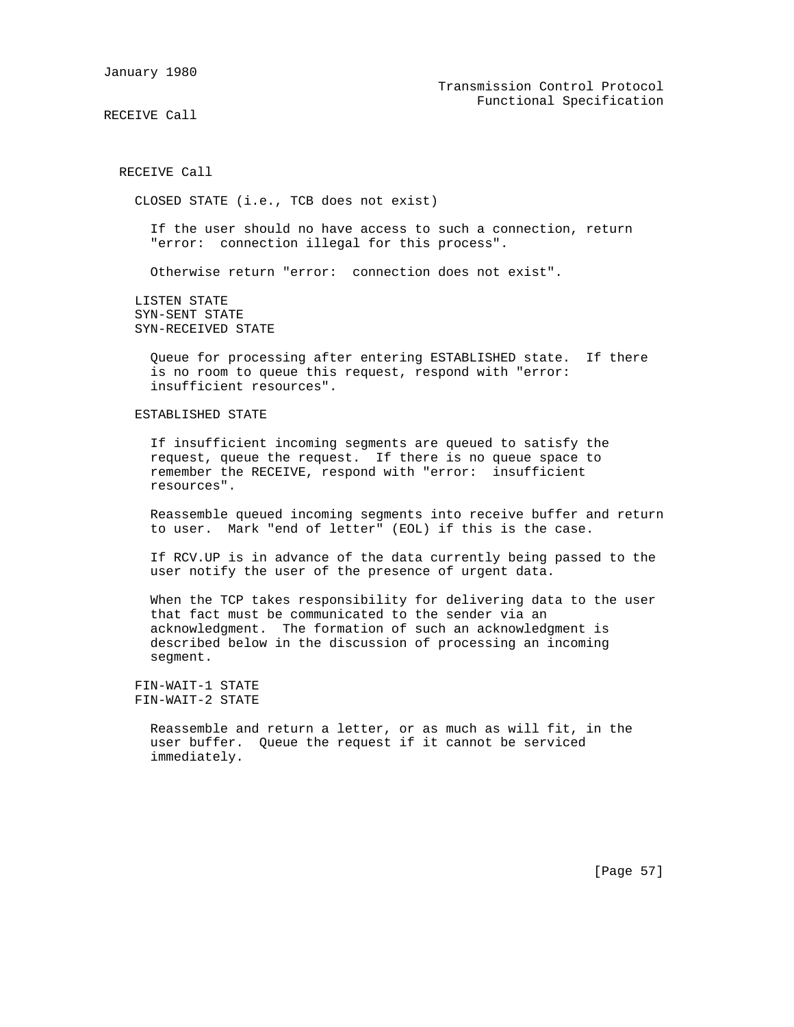Transmission Control Protocol Functional Specification

RECEIVE Call

RECEIVE Call

CLOSED STATE (i.e., TCB does not exist)

 If the user should no have access to such a connection, return "error: connection illegal for this process".

Otherwise return "error: connection does not exist".

 LISTEN STATE SYN-SENT STATE SYN-RECEIVED STATE

> Queue for processing after entering ESTABLISHED state. If there is no room to queue this request, respond with "error: insufficient resources".

# ESTABLISHED STATE

 If insufficient incoming segments are queued to satisfy the request, queue the request. If there is no queue space to remember the RECEIVE, respond with "error: insufficient resources".

 Reassemble queued incoming segments into receive buffer and return to user. Mark "end of letter" (EOL) if this is the case.

 If RCV.UP is in advance of the data currently being passed to the user notify the user of the presence of urgent data.

 When the TCP takes responsibility for delivering data to the user that fact must be communicated to the sender via an acknowledgment. The formation of such an acknowledgment is described below in the discussion of processing an incoming segment.

 FIN-WAIT-1 STATE FIN-WAIT-2 STATE

> Reassemble and return a letter, or as much as will fit, in the user buffer. Queue the request if it cannot be serviced immediately.

> > [Page 57]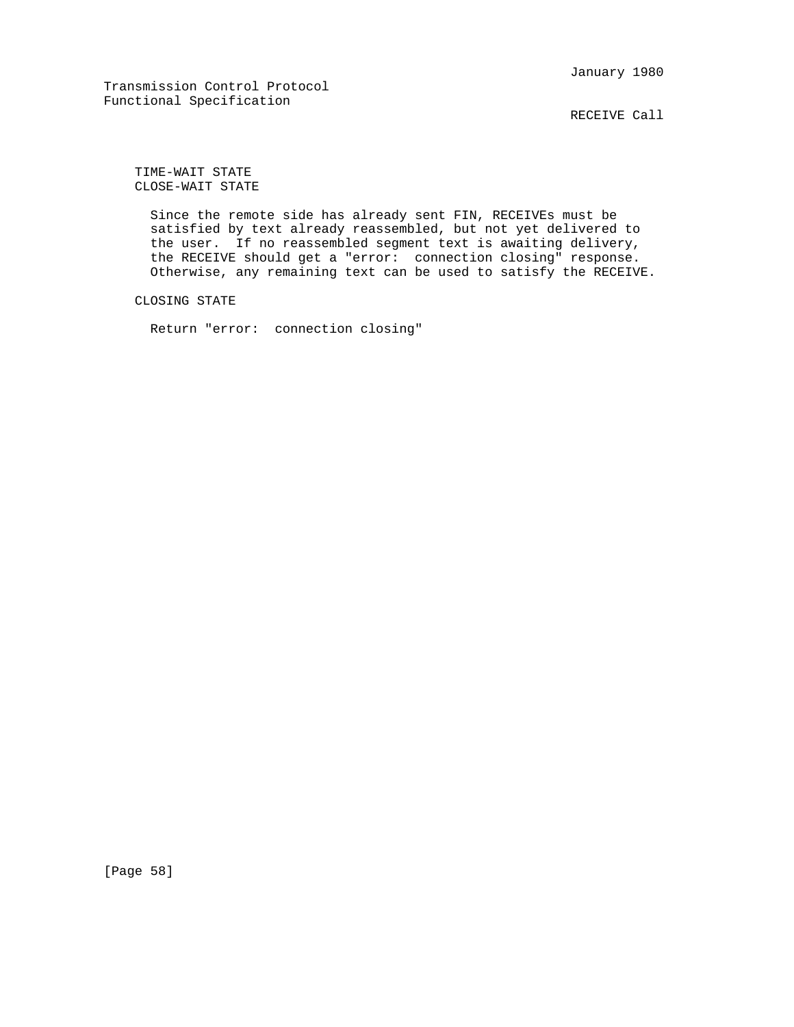Transmission Control Protocol Functional Specification

RECEIVE Call

 TIME-WAIT STATE CLOSE-WAIT STATE

> Since the remote side has already sent FIN, RECEIVEs must be satisfied by text already reassembled, but not yet delivered to the user. If no reassembled segment text is awaiting delivery, the RECEIVE should get a "error: connection closing" response. Otherwise, any remaining text can be used to satisfy the RECEIVE.

CLOSING STATE

Return "error: connection closing"

[Page 58]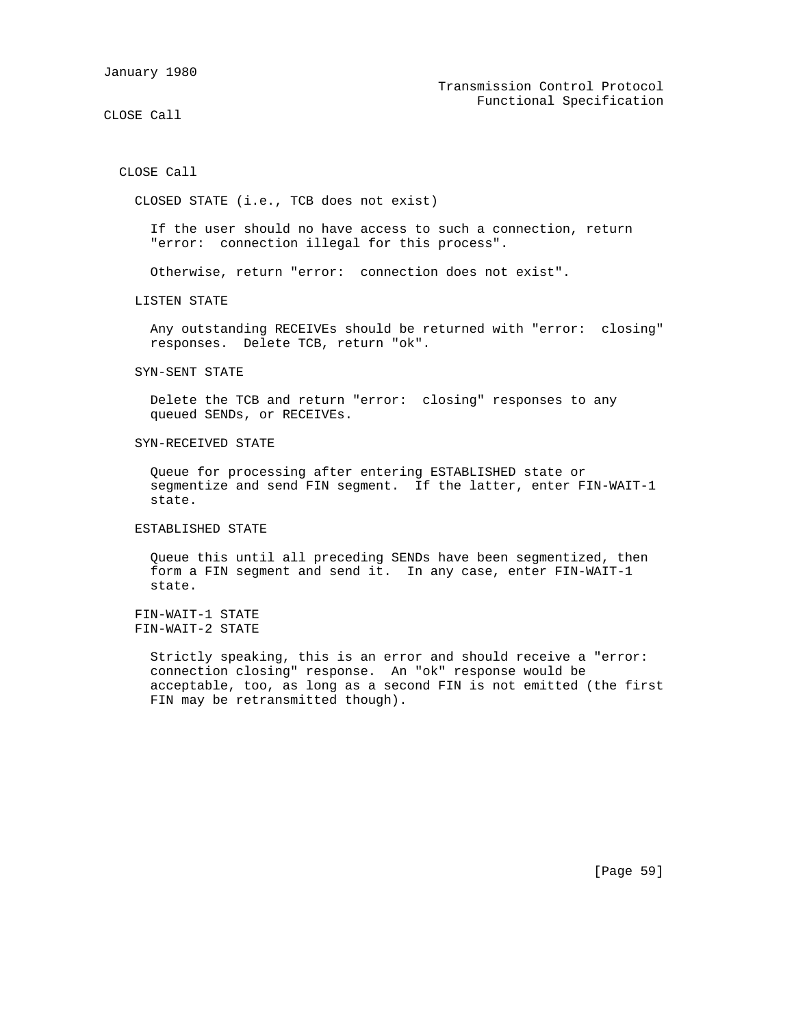CLOSE Call

CLOSE Call

CLOSED STATE (i.e., TCB does not exist)

 If the user should no have access to such a connection, return "error: connection illegal for this process".

Otherwise, return "error: connection does not exist".

LISTEN STATE

 Any outstanding RECEIVEs should be returned with "error: closing" responses. Delete TCB, return "ok".

SYN-SENT STATE

 Delete the TCB and return "error: closing" responses to any queued SENDs, or RECEIVEs.

SYN-RECEIVED STATE

 Queue for processing after entering ESTABLISHED state or segmentize and send FIN segment. If the latter, enter FIN-WAIT-1 state.

ESTABLISHED STATE

 Queue this until all preceding SENDs have been segmentized, then form a FIN segment and send it. In any case, enter FIN-WAIT-1 state.

 FIN-WAIT-1 STATE FIN-WAIT-2 STATE

> Strictly speaking, this is an error and should receive a "error: connection closing" response. An "ok" response would be acceptable, too, as long as a second FIN is not emitted (the first FIN may be retransmitted though).

> > [Page 59]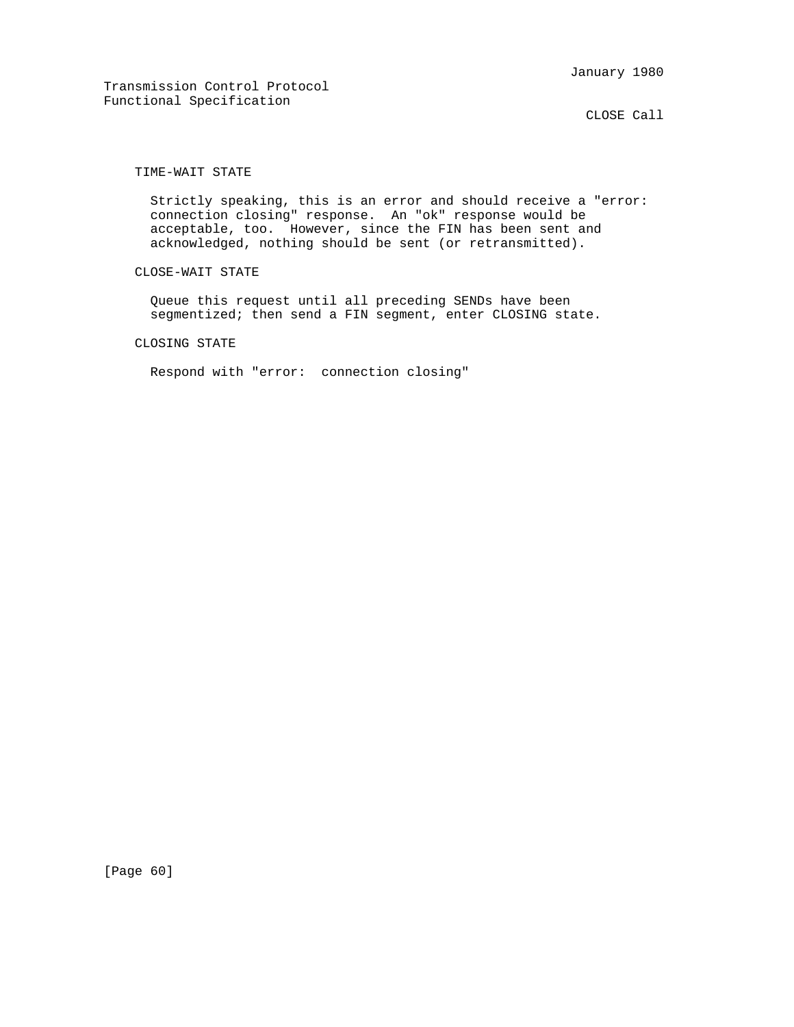Transmission Control Protocol Functional Specification

CLOSE Call

## TIME-WAIT STATE

 Strictly speaking, this is an error and should receive a "error: connection closing" response. An "ok" response would be acceptable, too. However, since the FIN has been sent and acknowledged, nothing should be sent (or retransmitted).

CLOSE-WAIT STATE

 Queue this request until all preceding SENDs have been segmentized; then send a FIN segment, enter CLOSING state.

CLOSING STATE

Respond with "error: connection closing"

[Page 60]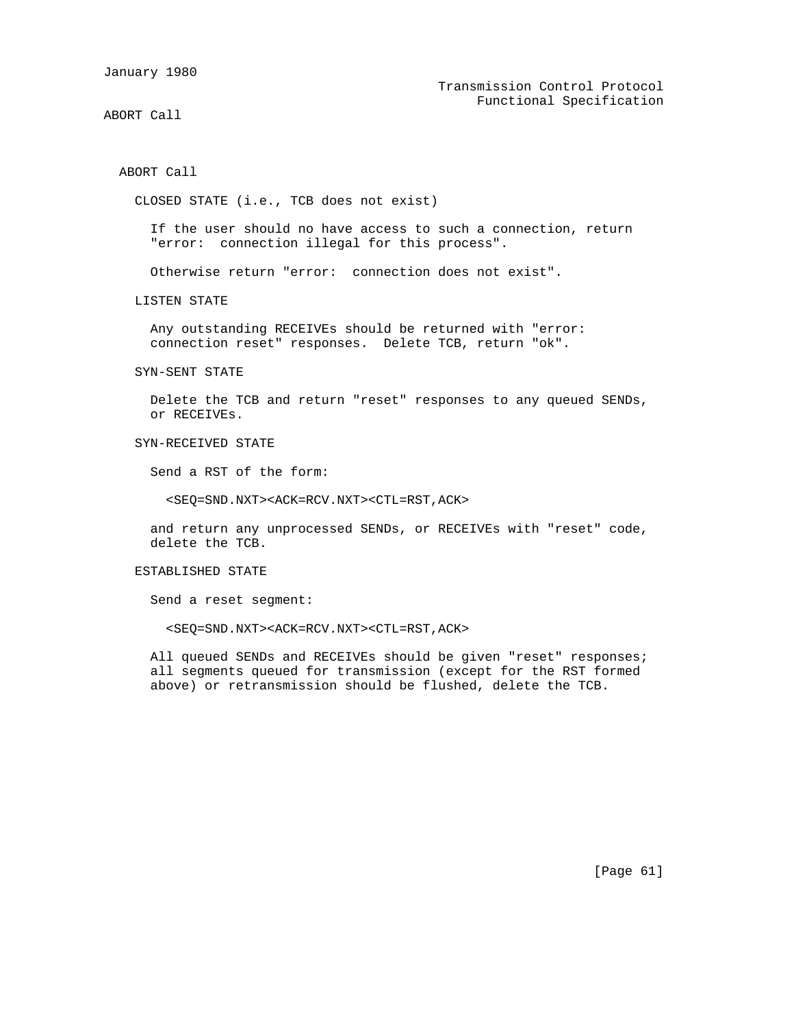ABORT Call

ABORT Call

CLOSED STATE (i.e., TCB does not exist)

 If the user should no have access to such a connection, return "error: connection illegal for this process".

Otherwise return "error: connection does not exist".

LISTEN STATE

 Any outstanding RECEIVEs should be returned with "error: connection reset" responses. Delete TCB, return "ok".

SYN-SENT STATE

 Delete the TCB and return "reset" responses to any queued SENDs, or RECEIVEs.

SYN-RECEIVED STATE

Send a RST of the form:

<SEQ=SND.NXT><ACK=RCV.NXT><CTL=RST,ACK>

 and return any unprocessed SENDs, or RECEIVEs with "reset" code, delete the TCB.

### ESTABLISHED STATE

Send a reset segment:

<SEQ=SND.NXT><ACK=RCV.NXT><CTL=RST,ACK>

 All queued SENDs and RECEIVEs should be given "reset" responses; all segments queued for transmission (except for the RST formed above) or retransmission should be flushed, delete the TCB.

[Page 61]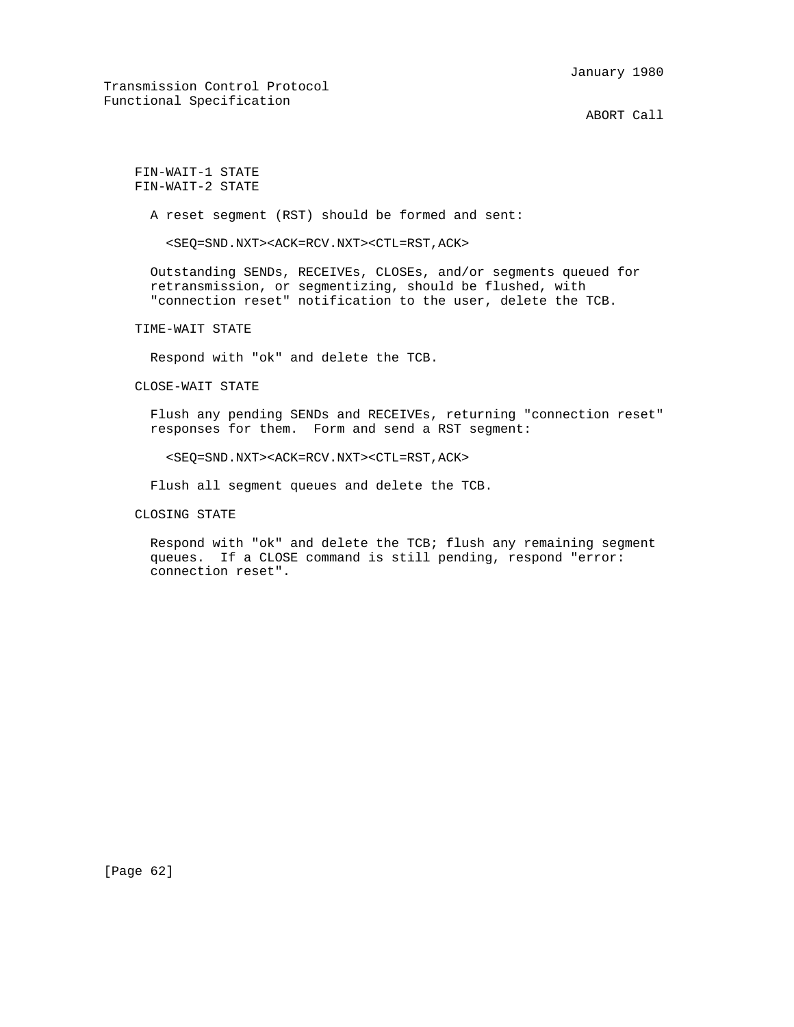Transmission Control Protocol Functional Specification

ABORT Call

 FIN-WAIT-1 STATE FIN-WAIT-2 STATE

A reset segment (RST) should be formed and sent:

<SEQ=SND.NXT><ACK=RCV.NXT><CTL=RST,ACK>

 Outstanding SENDs, RECEIVEs, CLOSEs, and/or segments queued for retransmission, or segmentizing, should be flushed, with "connection reset" notification to the user, delete the TCB.

TIME-WAIT STATE

Respond with "ok" and delete the TCB.

CLOSE-WAIT STATE

 Flush any pending SENDs and RECEIVEs, returning "connection reset" responses for them. Form and send a RST segment:

<SEQ=SND.NXT><ACK=RCV.NXT><CTL=RST,ACK>

Flush all segment queues and delete the TCB.

CLOSING STATE

 Respond with "ok" and delete the TCB; flush any remaining segment queues. If a CLOSE command is still pending, respond "error: connection reset".

[Page 62]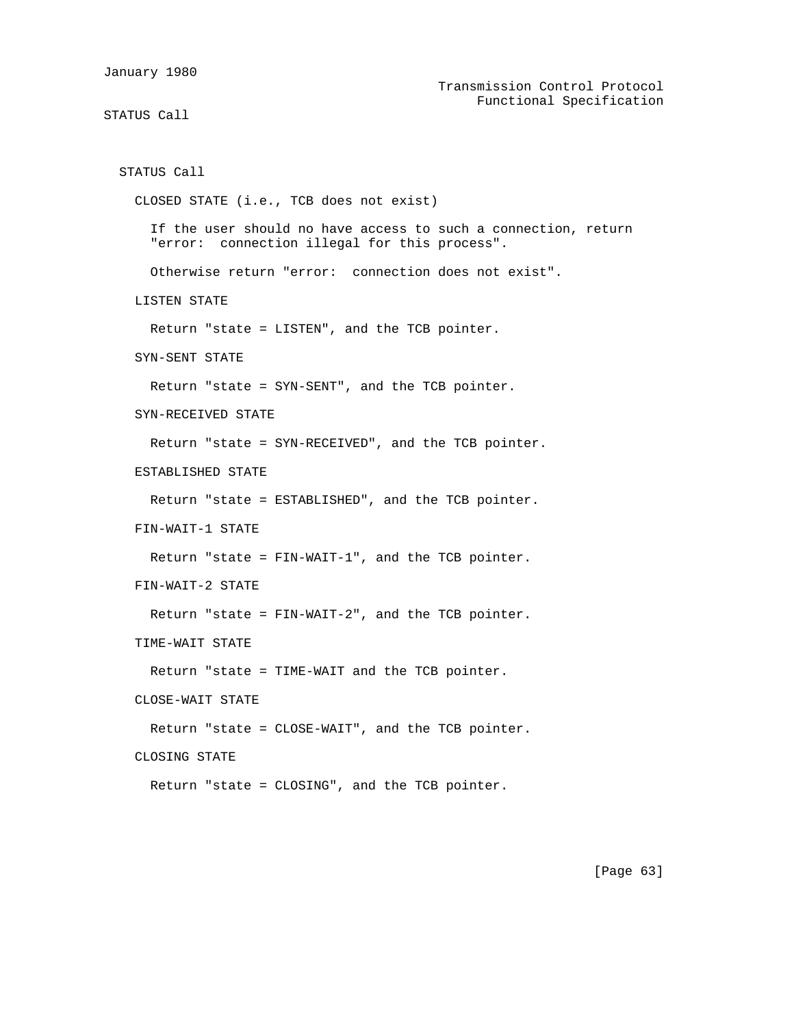```
January 1980 
                                             Transmission Control Protocol
                                                   Functional Specification
STATUS Call
   STATUS Call
     CLOSED STATE (i.e., TCB does not exist)
       If the user should no have access to such a connection, return
       "error: connection illegal for this process".
       Otherwise return "error: connection does not exist".
     LISTEN STATE
      Return "state = LISTEN", and the TCB pointer.
     SYN-SENT STATE
       Return "state = SYN-SENT", and the TCB pointer.
     SYN-RECEIVED STATE
       Return "state = SYN-RECEIVED", and the TCB pointer.
     ESTABLISHED STATE
       Return "state = ESTABLISHED", and the TCB pointer.
     FIN-WAIT-1 STATE
       Return "state = FIN-WAIT-1", and the TCB pointer.
     FIN-WAIT-2 STATE
       Return "state = FIN-WAIT-2", and the TCB pointer.
     TIME-WAIT STATE
       Return "state = TIME-WAIT and the TCB pointer.
     CLOSE-WAIT STATE
       Return "state = CLOSE-WAIT", and the TCB pointer.
     CLOSING STATE
       Return "state = CLOSING", and the TCB pointer.
```
[Page 63]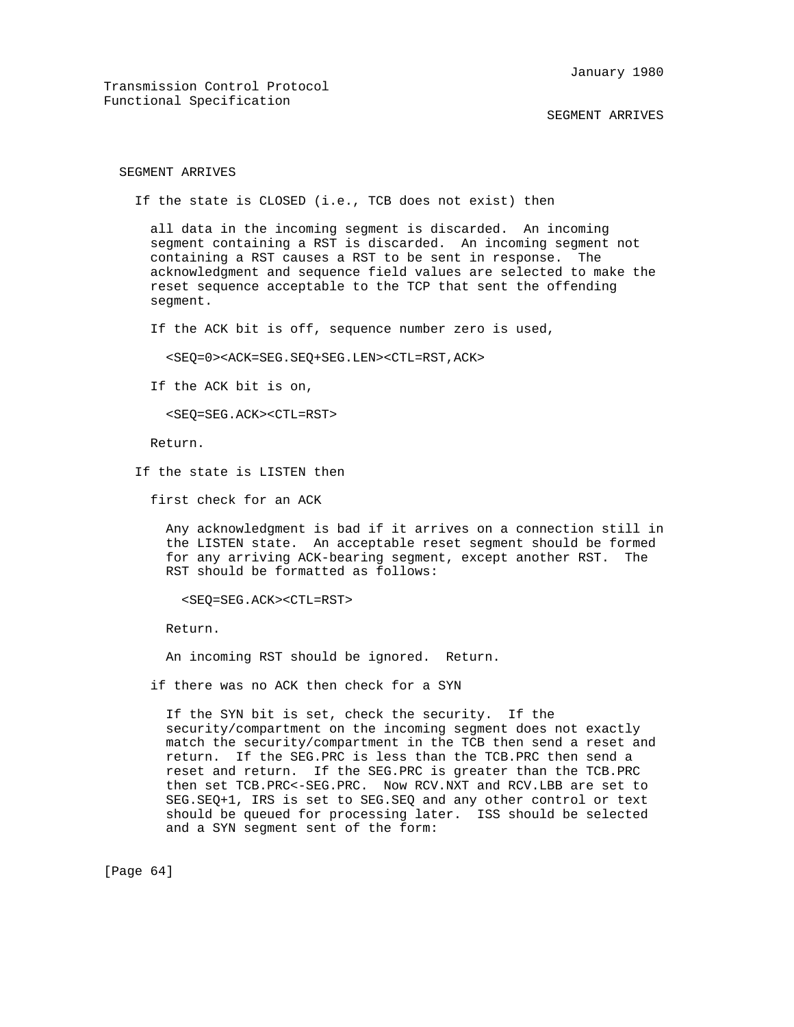Transmission Control Protocol Functional Specification

SEGMENT ARRIVES

#### SEGMENT ARRIVES

If the state is CLOSED (i.e., TCB does not exist) then

 all data in the incoming segment is discarded. An incoming segment containing a RST is discarded. An incoming segment not containing a RST causes a RST to be sent in response. The acknowledgment and sequence field values are selected to make the reset sequence acceptable to the TCP that sent the offending segment.

If the ACK bit is off, sequence number zero is used,

<SEQ=0><ACK=SEG.SEQ+SEG.LEN><CTL=RST,ACK>

If the ACK bit is on,

<SEQ=SEG.ACK><CTL=RST>

Return.

If the state is LISTEN then

first check for an ACK

 Any acknowledgment is bad if it arrives on a connection still in the LISTEN state. An acceptable reset segment should be formed for any arriving ACK-bearing segment, except another RST. The RST should be formatted as follows:

<SEQ=SEG.ACK><CTL=RST>

Return.

An incoming RST should be ignored. Return.

if there was no ACK then check for a SYN

 If the SYN bit is set, check the security. If the security/compartment on the incoming segment does not exactly match the security/compartment in the TCB then send a reset and return. If the SEG.PRC is less than the TCB.PRC then send a reset and return. If the SEG.PRC is greater than the TCB.PRC then set TCB.PRC<-SEG.PRC. Now RCV.NXT and RCV.LBB are set to SEG.SEQ+1, IRS is set to SEG.SEQ and any other control or text should be queued for processing later. ISS should be selected and a SYN segment sent of the form:

[Page 64]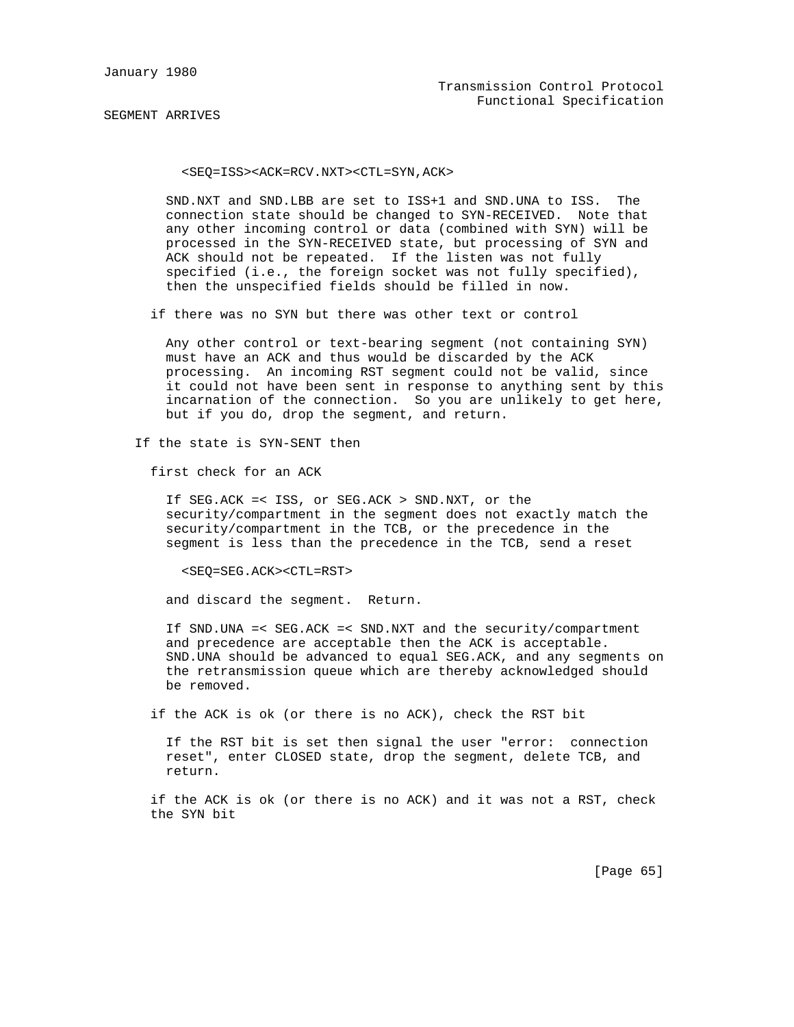SEGMENT ARRIVES

<SEQ=ISS><ACK=RCV.NXT><CTL=SYN,ACK>

 SND.NXT and SND.LBB are set to ISS+1 and SND.UNA to ISS. The connection state should be changed to SYN-RECEIVED. Note that any other incoming control or data (combined with SYN) will be processed in the SYN-RECEIVED state, but processing of SYN and ACK should not be repeated. If the listen was not fully specified (i.e., the foreign socket was not fully specified), then the unspecified fields should be filled in now.

if there was no SYN but there was other text or control

 Any other control or text-bearing segment (not containing SYN) must have an ACK and thus would be discarded by the ACK processing. An incoming RST segment could not be valid, since it could not have been sent in response to anything sent by this incarnation of the connection. So you are unlikely to get here, but if you do, drop the segment, and return.

If the state is SYN-SENT then

first check for an ACK

 If SEG.ACK =< ISS, or SEG.ACK > SND.NXT, or the security/compartment in the segment does not exactly match the security/compartment in the TCB, or the precedence in the segment is less than the precedence in the TCB, send a reset

<SEQ=SEG.ACK><CTL=RST>

and discard the segment. Return.

 If SND.UNA =< SEG.ACK =< SND.NXT and the security/compartment and precedence are acceptable then the ACK is acceptable. SND.UNA should be advanced to equal SEG.ACK, and any segments on the retransmission queue which are thereby acknowledged should be removed.

if the ACK is ok (or there is no ACK), check the RST bit

 If the RST bit is set then signal the user "error: connection reset", enter CLOSED state, drop the segment, delete TCB, and return.

 if the ACK is ok (or there is no ACK) and it was not a RST, check the SYN bit

[Page 65]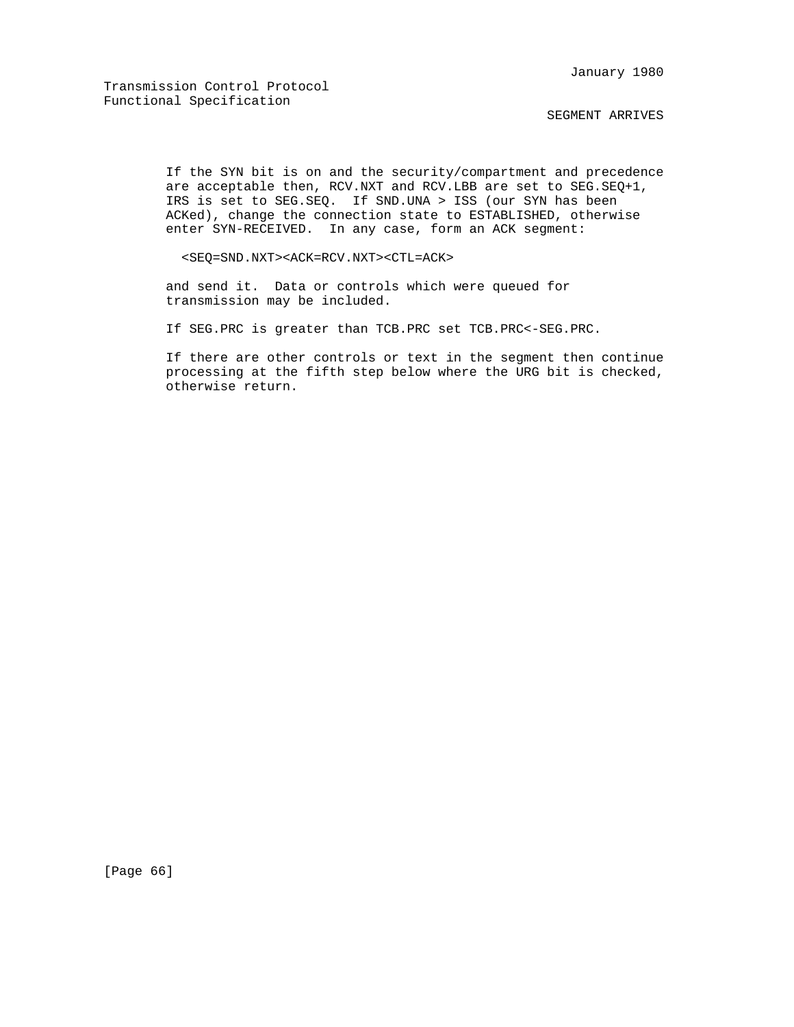SEGMENT ARRIVES

 If the SYN bit is on and the security/compartment and precedence are acceptable then, RCV.NXT and RCV.LBB are set to SEG.SEQ+1, IRS is set to SEG.SEQ. If SND.UNA > ISS (our SYN has been ACKed), change the connection state to ESTABLISHED, otherwise enter SYN-RECEIVED. In any case, form an ACK segment:

<SEQ=SND.NXT><ACK=RCV.NXT><CTL=ACK>

 and send it. Data or controls which were queued for transmission may be included.

If SEG.PRC is greater than TCB.PRC set TCB.PRC<-SEG.PRC.

 If there are other controls or text in the segment then continue processing at the fifth step below where the URG bit is checked, otherwise return.

[Page 66]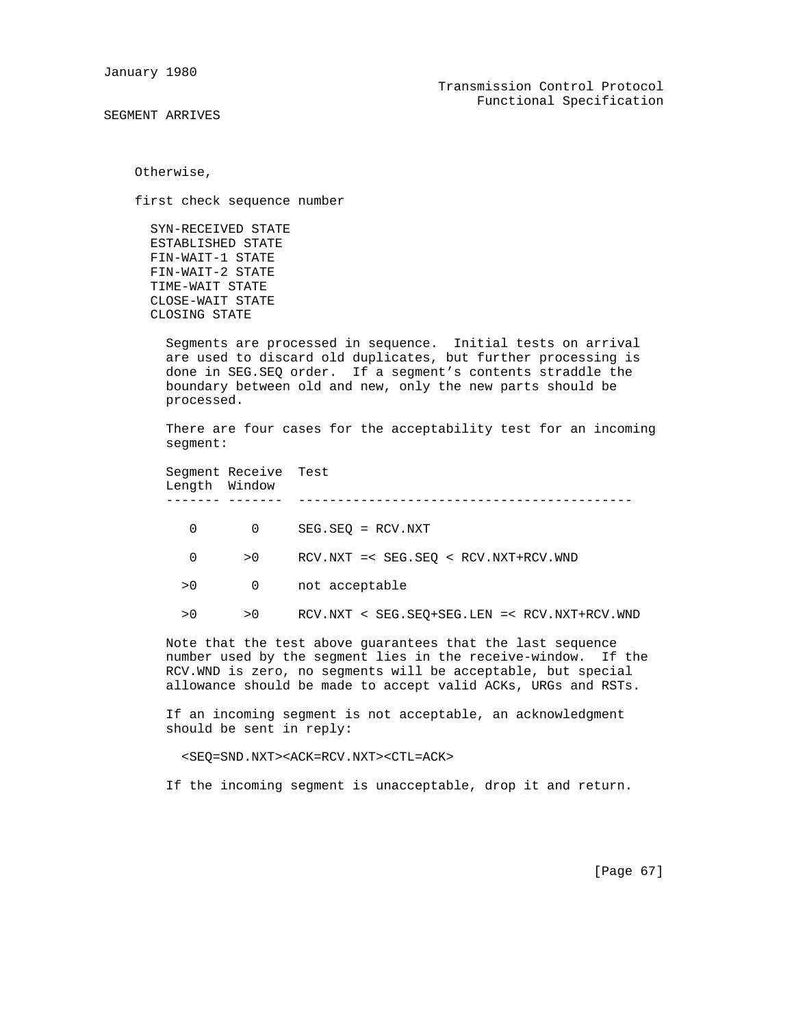SEGMENT ARRIVES

Otherwise,

first check sequence number

 SYN-RECEIVED STATE ESTABLISHED STATE FIN-WAIT-1 STATE FIN-WAIT-2 STATE TIME-WAIT STATE CLOSE-WAIT STATE CLOSING STATE

> Segments are processed in sequence. Initial tests on arrival are used to discard old duplicates, but further processing is done in SEG.SEQ order. If a segment's contents straddle the boundary between old and new, only the new parts should be processed.

 There are four cases for the acceptability test for an incoming segment:

 Segment Receive Test Length Window<br>------- ------- ------- ------- ------------------------------------------- 0 0 SEG.SEQ = RCV.NXT 0 >0 RCV.NXT =< SEG.SEQ < RCV.NXT+RCV.WND >0 0 not acceptable >0 >0 RCV.NXT < SEG.SEQ+SEG.LEN =< RCV.NXT+RCV.WND

 Note that the test above guarantees that the last sequence number used by the segment lies in the receive-window. If the RCV.WND is zero, no segments will be acceptable, but special allowance should be made to accept valid ACKs, URGs and RSTs.

 If an incoming segment is not acceptable, an acknowledgment should be sent in reply:

<SEQ=SND.NXT><ACK=RCV.NXT><CTL=ACK>

If the incoming segment is unacceptable, drop it and return.

[Page 67]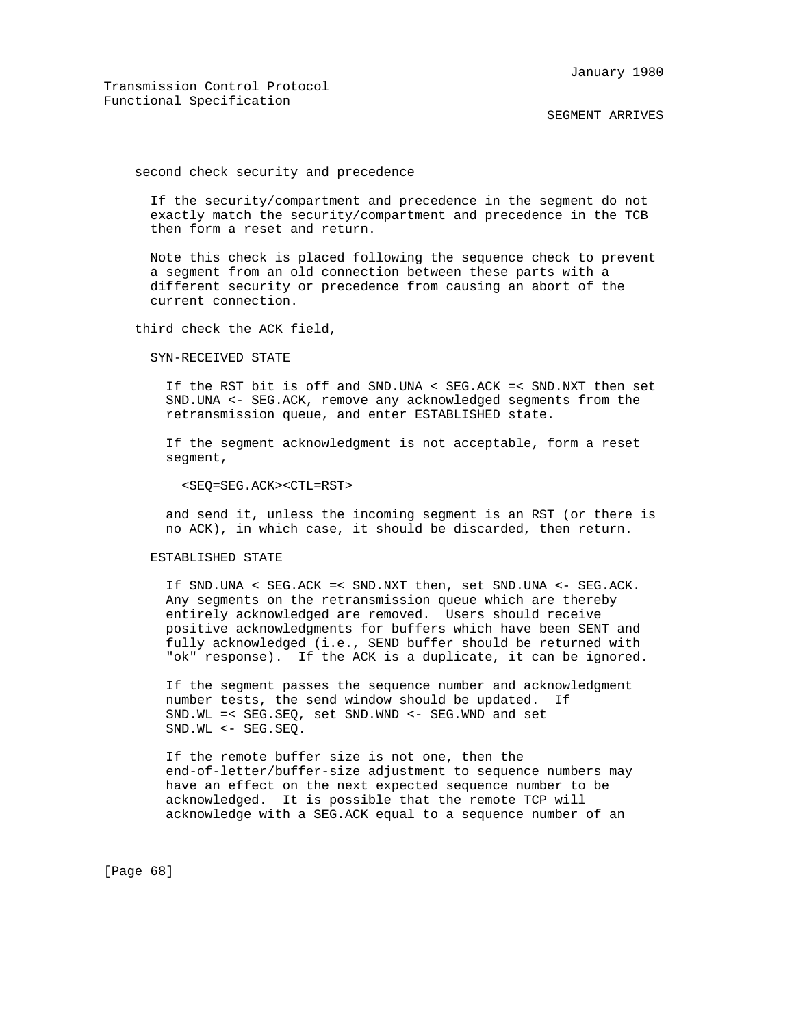Transmission Control Protocol Functional Specification

SEGMENT ARRIVES

second check security and precedence

 If the security/compartment and precedence in the segment do not exactly match the security/compartment and precedence in the TCB then form a reset and return.

 Note this check is placed following the sequence check to prevent a segment from an old connection between these parts with a different security or precedence from causing an abort of the current connection.

third check the ACK field,

### SYN-RECEIVED STATE

 If the RST bit is off and SND.UNA < SEG.ACK =< SND.NXT then set SND.UNA <- SEG.ACK, remove any acknowledged segments from the retransmission queue, and enter ESTABLISHED state.

 If the segment acknowledgment is not acceptable, form a reset segment,

<SEQ=SEG.ACK><CTL=RST>

 and send it, unless the incoming segment is an RST (or there is no ACK), in which case, it should be discarded, then return.

### ESTABLISHED STATE

 If SND.UNA < SEG.ACK =< SND.NXT then, set SND.UNA <- SEG.ACK. Any segments on the retransmission queue which are thereby entirely acknowledged are removed. Users should receive positive acknowledgments for buffers which have been SENT and fully acknowledged (i.e., SEND buffer should be returned with "ok" response). If the ACK is a duplicate, it can be ignored.

 If the segment passes the sequence number and acknowledgment number tests, the send window should be updated. If SND.WL =< SEG.SEQ, set SND.WND <- SEG.WND and set SND.WL <- SEG.SEQ.

 If the remote buffer size is not one, then the end-of-letter/buffer-size adjustment to sequence numbers may have an effect on the next expected sequence number to be acknowledged. It is possible that the remote TCP will acknowledge with a SEG.ACK equal to a sequence number of an

[Page 68]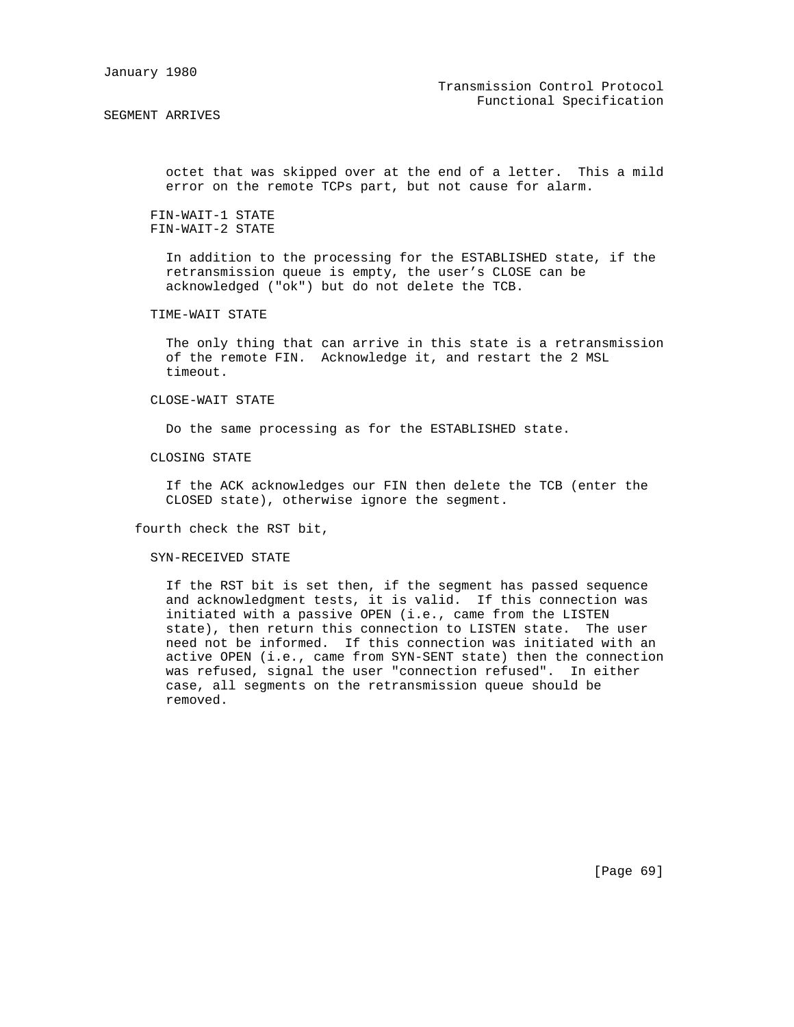SEGMENT ARRIVES

 octet that was skipped over at the end of a letter. This a mild error on the remote TCPs part, but not cause for alarm.

 FIN-WAIT-1 STATE FIN-WAIT-2 STATE

> In addition to the processing for the ESTABLISHED state, if the retransmission queue is empty, the user's CLOSE can be acknowledged ("ok") but do not delete the TCB.

TIME-WAIT STATE

 The only thing that can arrive in this state is a retransmission of the remote FIN. Acknowledge it, and restart the 2 MSL timeout.

### CLOSE-WAIT STATE

Do the same processing as for the ESTABLISHED state.

CLOSING STATE

 If the ACK acknowledges our FIN then delete the TCB (enter the CLOSED state), otherwise ignore the segment.

fourth check the RST bit,

### SYN-RECEIVED STATE

 If the RST bit is set then, if the segment has passed sequence and acknowledgment tests, it is valid. If this connection was initiated with a passive OPEN (i.e., came from the LISTEN state), then return this connection to LISTEN state. The user need not be informed. If this connection was initiated with an active OPEN (i.e., came from SYN-SENT state) then the connection was refused, signal the user "connection refused". In either case, all segments on the retransmission queue should be removed.

[Page 69]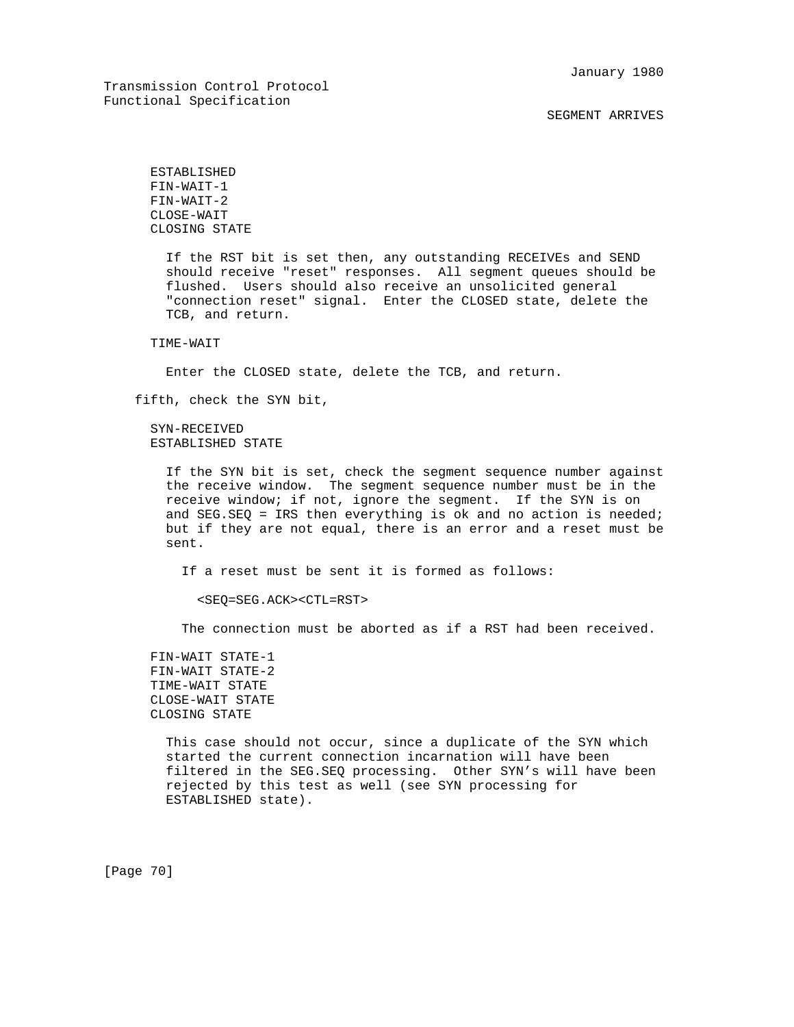SEGMENT ARRIVES

 ESTABLISHED FIN-WAIT-1 FIN-WAIT-2 CLOSE-WAIT CLOSING STATE

> If the RST bit is set then, any outstanding RECEIVEs and SEND should receive "reset" responses. All segment queues should be flushed. Users should also receive an unsolicited general "connection reset" signal. Enter the CLOSED state, delete the TCB, and return.

TIME-WAIT

Enter the CLOSED state, delete the TCB, and return.

fifth, check the SYN bit,

 SYN-RECEIVED ESTABLISHED STATE

> If the SYN bit is set, check the segment sequence number against the receive window. The segment sequence number must be in the receive window; if not, ignore the segment. If the SYN is on and SEG.SEQ = IRS then everything is ok and no action is needed; but if they are not equal, there is an error and a reset must be sent.

If a reset must be sent it is formed as follows:

<SEQ=SEG.ACK><CTL=RST>

The connection must be aborted as if a RST had been received.

 FIN-WAIT STATE-1 FIN-WAIT STATE-2 TIME-WAIT STATE CLOSE-WAIT STATE CLOSING STATE

> This case should not occur, since a duplicate of the SYN which started the current connection incarnation will have been filtered in the SEG.SEQ processing. Other SYN's will have been rejected by this test as well (see SYN processing for ESTABLISHED state).

[Page 70]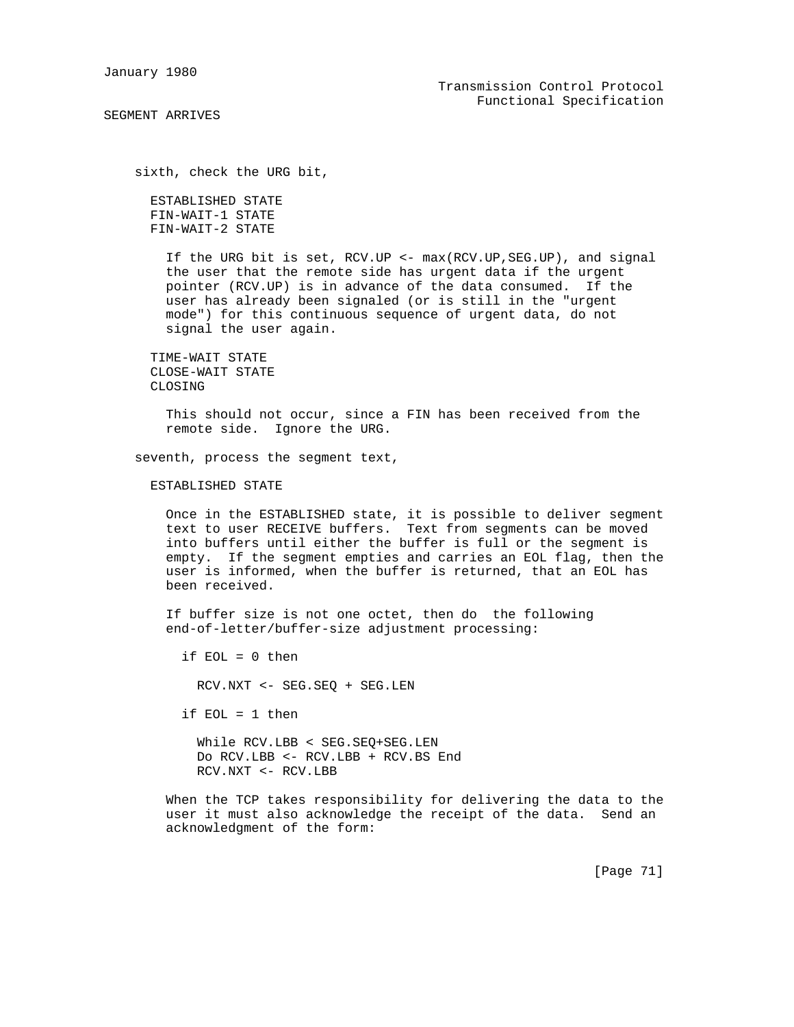SEGMENT ARRIVES

sixth, check the URG bit,

 ESTABLISHED STATE FIN-WAIT-1 STATE FIN-WAIT-2 STATE

> If the URG bit is set, RCV.UP <- max(RCV.UP,SEG.UP), and signal the user that the remote side has urgent data if the urgent pointer (RCV.UP) is in advance of the data consumed. If the user has already been signaled (or is still in the "urgent mode") for this continuous sequence of urgent data, do not signal the user again.

 TIME-WAIT STATE CLOSE-WAIT STATE CLOSING

> This should not occur, since a FIN has been received from the remote side. Ignore the URG.

seventh, process the segment text,

ESTABLISHED STATE

 Once in the ESTABLISHED state, it is possible to deliver segment text to user RECEIVE buffers. Text from segments can be moved into buffers until either the buffer is full or the segment is empty. If the segment empties and carries an EOL flag, then the user is informed, when the buffer is returned, that an EOL has been received.

 If buffer size is not one octet, then do the following end-of-letter/buffer-size adjustment processing:

if EOL = 0 then

RCV.NXT <- SEG.SEQ + SEG.LEN

if  $EOL = 1$  then

 While RCV.LBB < SEG.SEQ+SEG.LEN Do RCV.LBB <- RCV.LBB + RCV.BS End RCV.NXT <- RCV.LBB

 When the TCP takes responsibility for delivering the data to the user it must also acknowledge the receipt of the data. Send an acknowledgment of the form:

[Page 71]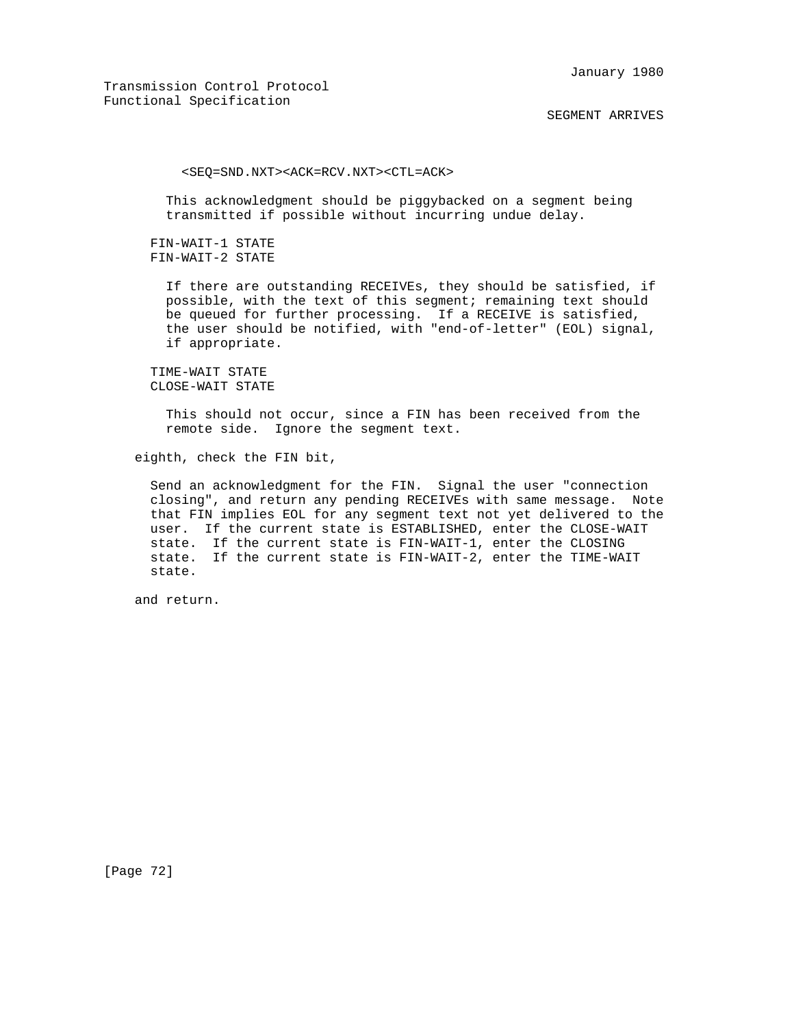January 1980

Transmission Control Protocol Functional Specification

SEGMENT ARRIVES

### <SEQ=SND.NXT><ACK=RCV.NXT><CTL=ACK>

 This acknowledgment should be piggybacked on a segment being transmitted if possible without incurring undue delay.

 FIN-WAIT-1 STATE FIN-WAIT-2 STATE

> If there are outstanding RECEIVEs, they should be satisfied, if possible, with the text of this segment; remaining text should be queued for further processing. If a RECEIVE is satisfied, the user should be notified, with "end-of-letter" (EOL) signal, if appropriate.

 TIME-WAIT STATE CLOSE-WAIT STATE

> This should not occur, since a FIN has been received from the remote side. Ignore the segment text.

eighth, check the FIN bit,

 Send an acknowledgment for the FIN. Signal the user "connection closing", and return any pending RECEIVEs with same message. Note that FIN implies EOL for any segment text not yet delivered to the user. If the current state is ESTABLISHED, enter the CLOSE-WAIT state. If the current state is FIN-WAIT-1, enter the CLOSING state. If the current state is FIN-WAIT-2, enter the TIME-WAIT state.

and return.

[Page 72]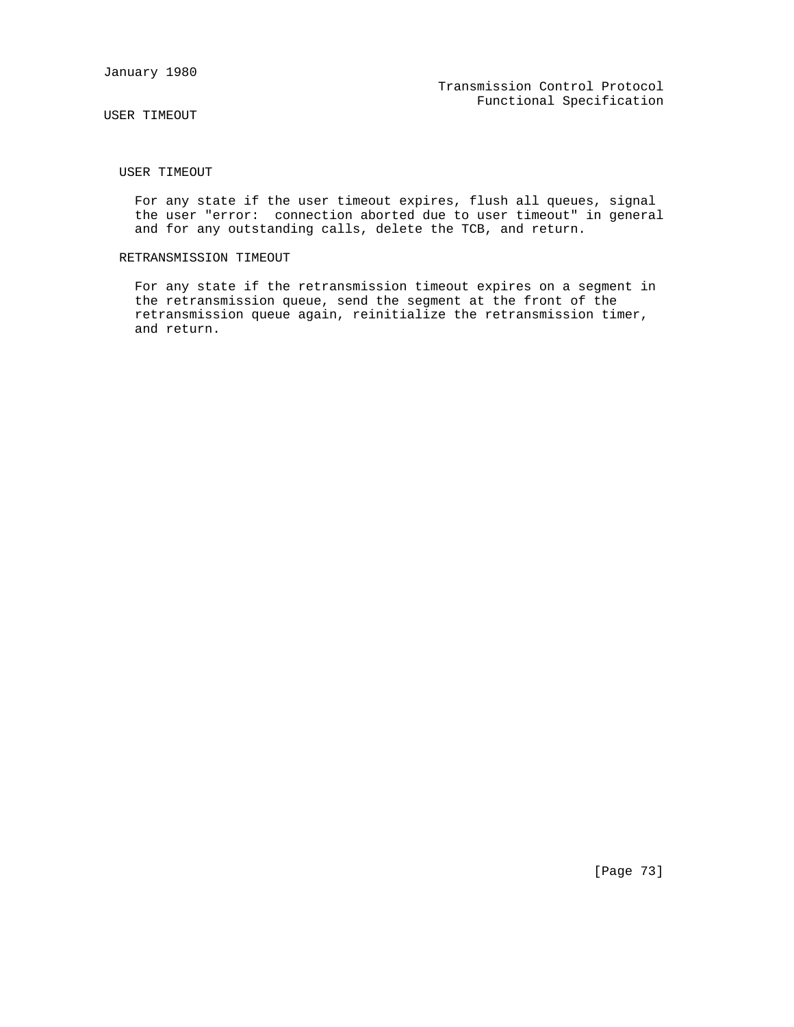USER TIMEOUT

### USER TIMEOUT

 For any state if the user timeout expires, flush all queues, signal the user "error: connection aborted due to user timeout" in general and for any outstanding calls, delete the TCB, and return.

# RETRANSMISSION TIMEOUT

 For any state if the retransmission timeout expires on a segment in the retransmission queue, send the segment at the front of the retransmission queue again, reinitialize the retransmission timer, and return.

[Page 73]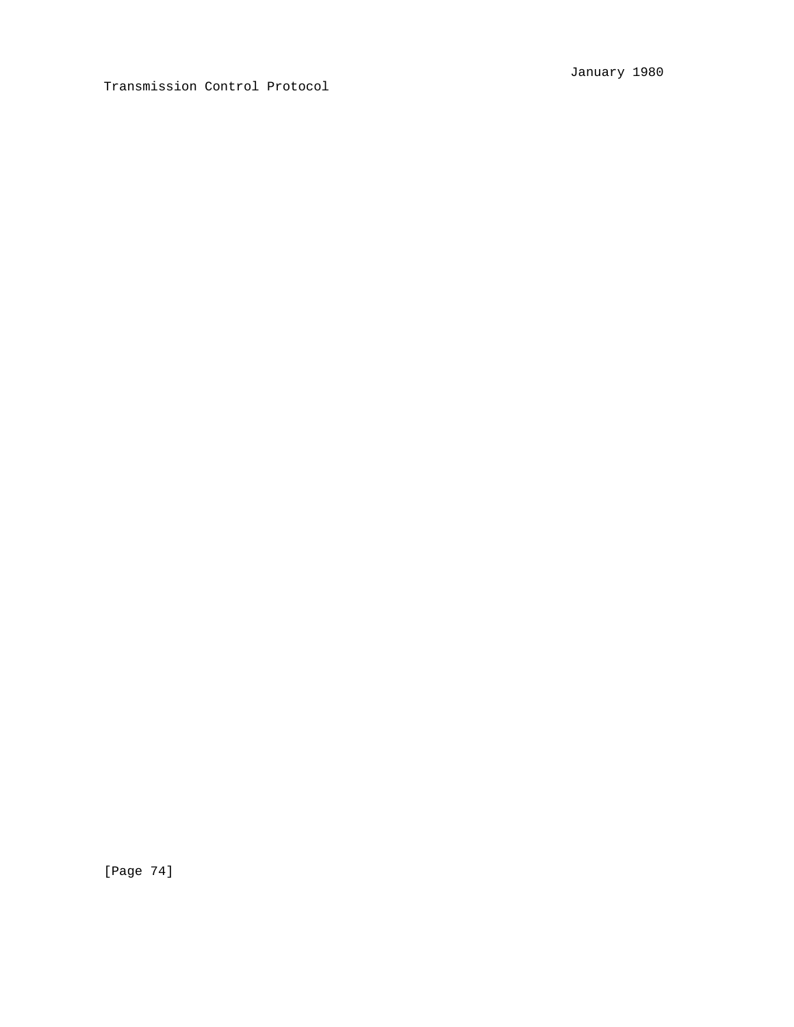Transmission Control Protocol

[Page 74]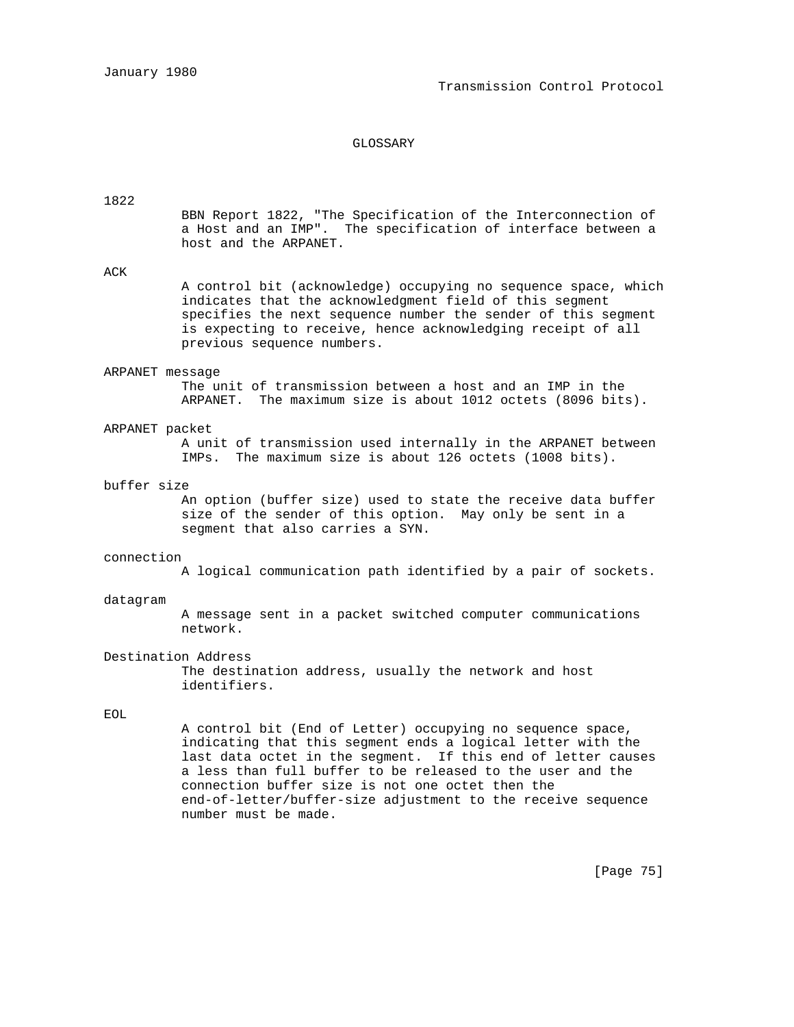### GLOSSARY

# 1822 BBN Report 1822, "The Specification of the Interconnection of a Host and an IMP". The specification of interface between a host and the ARPANET.

ACK

 A control bit (acknowledge) occupying no sequence space, which indicates that the acknowledgment field of this segment specifies the next sequence number the sender of this segment is expecting to receive, hence acknowledging receipt of all previous sequence numbers.

### ARPANET message The unit of transmission between a host and an IMP in the ARPANET. The maximum size is about 1012 octets (8096 bits).

### ARPANET packet

 A unit of transmission used internally in the ARPANET between IMPs. The maximum size is about 126 octets (1008 bits).

### buffer size

 An option (buffer size) used to state the receive data buffer size of the sender of this option. May only be sent in a segment that also carries a SYN.

#### connection

A logical communication path identified by a pair of sockets.

#### datagram

 A message sent in a packet switched computer communications network.

## Destination Address

 The destination address, usually the network and host identifiers.

## EOL

 A control bit (End of Letter) occupying no sequence space, indicating that this segment ends a logical letter with the last data octet in the segment. If this end of letter causes a less than full buffer to be released to the user and the connection buffer size is not one octet then the end-of-letter/buffer-size adjustment to the receive sequence number must be made.

[Page 75]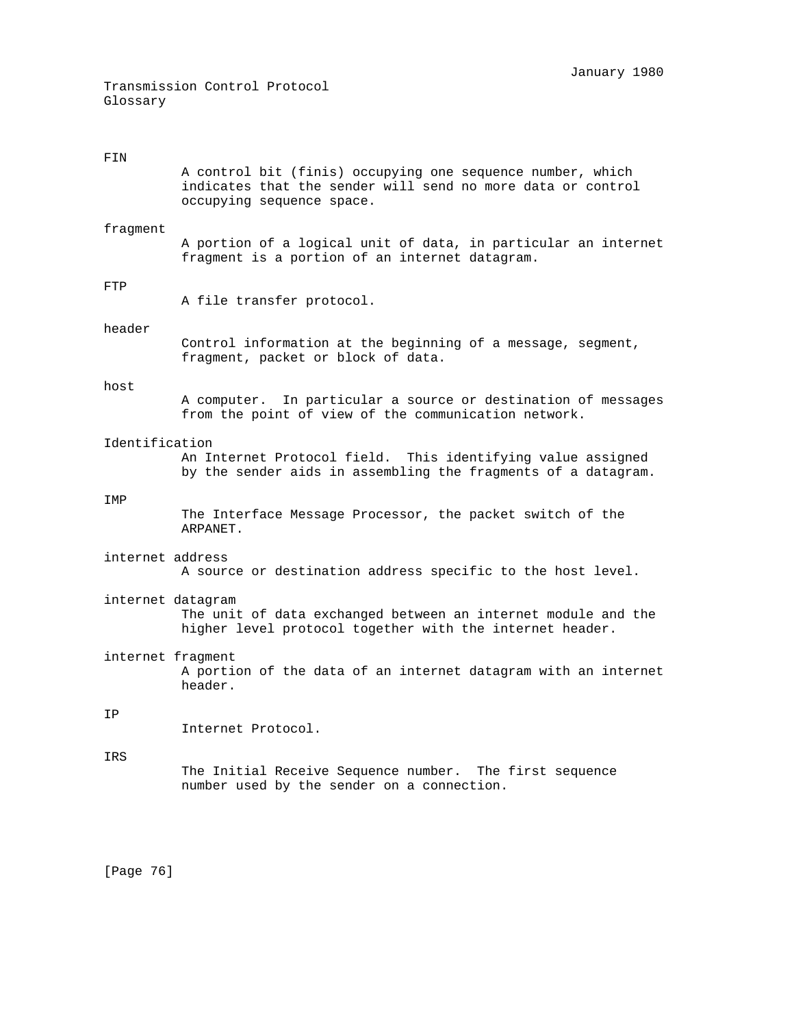Transmission Control Protocol Glossary

## FIN

 A control bit (finis) occupying one sequence number, which indicates that the sender will send no more data or control occupying sequence space.

### fragment

 A portion of a logical unit of data, in particular an internet fragment is a portion of an internet datagram.

## FTP

A file transfer protocol.

### header

 Control information at the beginning of a message, segment, fragment, packet or block of data.

#### host

 A computer. In particular a source or destination of messages from the point of view of the communication network.

### Identification

 An Internet Protocol field. This identifying value assigned by the sender aids in assembling the fragments of a datagram.

### IMP

 The Interface Message Processor, the packet switch of the ARPANET.

- internet address A source or destination address specific to the host level.
- internet datagram The unit of data exchanged between an internet module and the higher level protocol together with the internet header.
- internet fragment A portion of the data of an internet datagram with an internet header.

#### IP

Internet Protocol.

#### IRS

 The Initial Receive Sequence number. The first sequence number used by the sender on a connection.

[Page 76]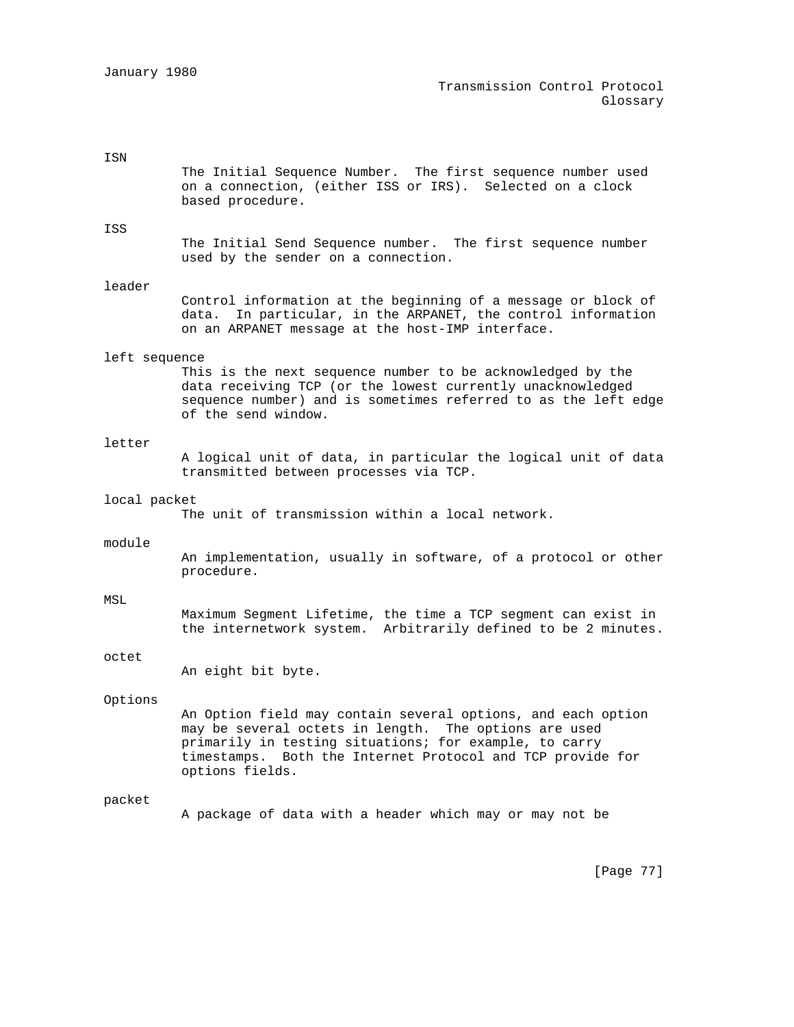## ISN

 The Initial Sequence Number. The first sequence number used on a connection, (either ISS or IRS). Selected on a clock based procedure.

### ISS

 The Initial Send Sequence number. The first sequence number used by the sender on a connection.

### leader

 Control information at the beginning of a message or block of data. In particular, in the ARPANET, the control information on an ARPANET message at the host-IMP interface.

#### left sequence

 This is the next sequence number to be acknowledged by the data receiving TCP (or the lowest currently unacknowledged sequence number) and is sometimes referred to as the left edge of the send window.

## letter

 A logical unit of data, in particular the logical unit of data transmitted between processes via TCP.

#### local packet

The unit of transmission within a local network.

#### module

 An implementation, usually in software, of a protocol or other procedure.

#### MSL

 Maximum Segment Lifetime, the time a TCP segment can exist in the internetwork system. Arbitrarily defined to be 2 minutes.

### octet

An eight bit byte.

### Options

 An Option field may contain several options, and each option may be several octets in length. The options are used primarily in testing situations; for example, to carry timestamps. Both the Internet Protocol and TCP provide for options fields.

#### packet

A package of data with a header which may or may not be

[Page 77]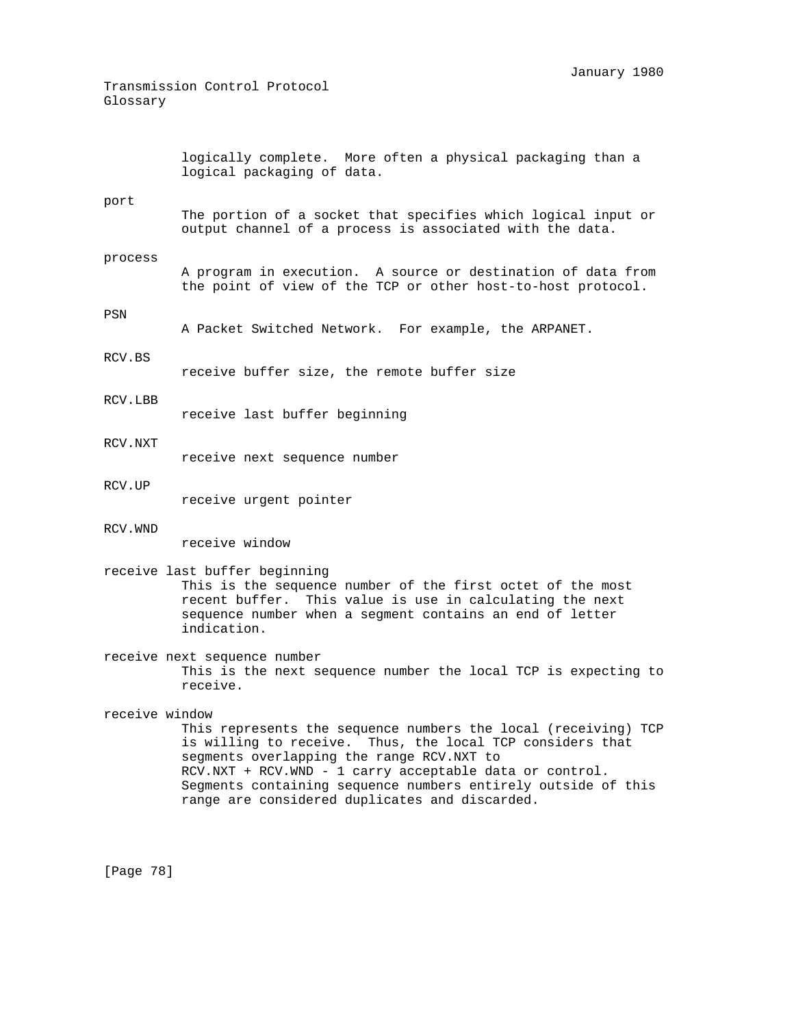# Transmission Control Protocol Glossary

 logically complete. More often a physical packaging than a logical packaging of data.

port

 The portion of a socket that specifies which logical input or output channel of a process is associated with the data.

## process

 A program in execution. A source or destination of data from the point of view of the TCP or other host-to-host protocol.

PSN

A Packet Switched Network. For example, the ARPANET.

RCV.BS

receive buffer size, the remote buffer size

RCV.LBB

receive last buffer beginning

## RCV.NXT

receive next sequence number

### RCV.UP

receive urgent pointer

### RCV.WND

receive window

- receive last buffer beginning This is the sequence number of the first octet of the most recent buffer. This value is use in calculating the next sequence number when a segment contains an end of letter indication.
- receive next sequence number This is the next sequence number the local TCP is expecting to receive.

#### receive window

 This represents the sequence numbers the local (receiving) TCP is willing to receive. Thus, the local TCP considers that segments overlapping the range RCV.NXT to RCV.NXT + RCV.WND - 1 carry acceptable data or control. Segments containing sequence numbers entirely outside of this range are considered duplicates and discarded.

[Page 78]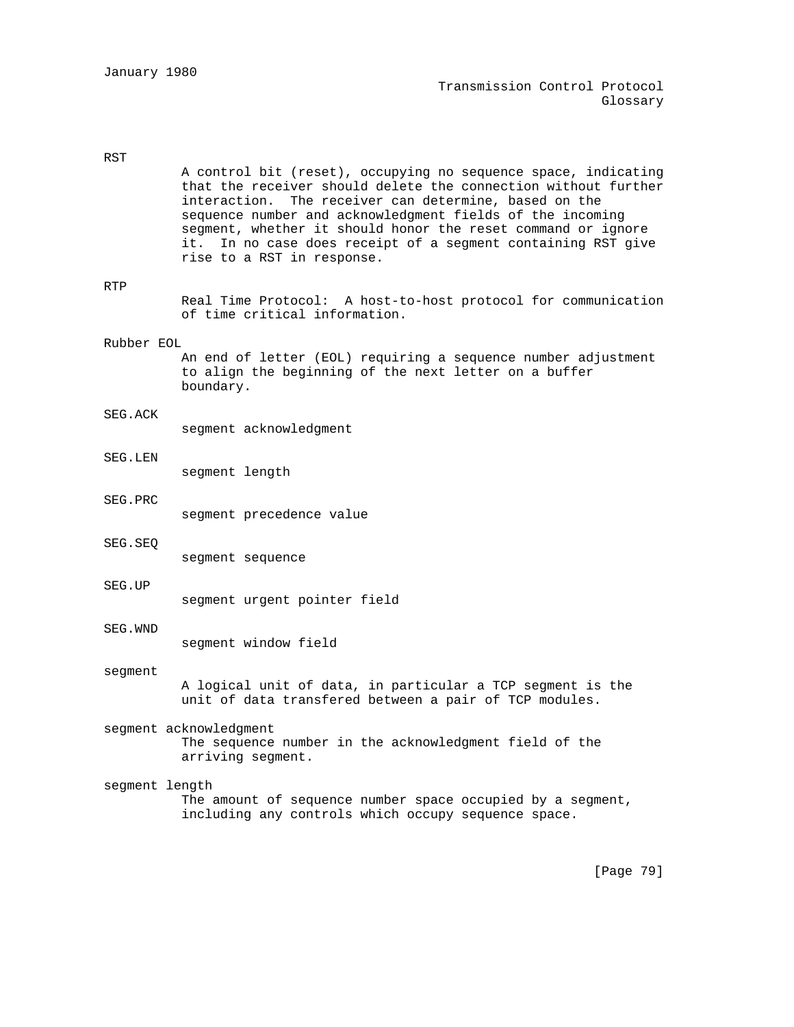| RST            |                                                                                                                                                                                                                                                                                                                                                                                                                         |
|----------------|-------------------------------------------------------------------------------------------------------------------------------------------------------------------------------------------------------------------------------------------------------------------------------------------------------------------------------------------------------------------------------------------------------------------------|
|                | A control bit (reset), occupying no sequence space, indicating<br>that the receiver should delete the connection without further<br>The receiver can determine, based on the<br>interaction.<br>sequence number and acknowledgment fields of the incoming<br>segment, whether it should honor the reset command or ignore<br>it. In no case does receipt of a segment containing RST give<br>rise to a RST in response. |
| RTP            |                                                                                                                                                                                                                                                                                                                                                                                                                         |
|                | Real Time Protocol: A host-to-host protocol for communication<br>of time critical information.                                                                                                                                                                                                                                                                                                                          |
| Rubber EOL     |                                                                                                                                                                                                                                                                                                                                                                                                                         |
|                | An end of letter (EOL) requiring a sequence number adjustment<br>to align the beginning of the next letter on a buffer<br>boundary.                                                                                                                                                                                                                                                                                     |
| SEG.ACK        |                                                                                                                                                                                                                                                                                                                                                                                                                         |
|                | segment acknowledgment                                                                                                                                                                                                                                                                                                                                                                                                  |
| SEG.LEN        |                                                                                                                                                                                                                                                                                                                                                                                                                         |
|                | segment length                                                                                                                                                                                                                                                                                                                                                                                                          |
|                |                                                                                                                                                                                                                                                                                                                                                                                                                         |
| SEG.PRC        | segment precedence value                                                                                                                                                                                                                                                                                                                                                                                                |
| SEG.SEQ        |                                                                                                                                                                                                                                                                                                                                                                                                                         |
|                | segment sequence                                                                                                                                                                                                                                                                                                                                                                                                        |
| SEG.UP         |                                                                                                                                                                                                                                                                                                                                                                                                                         |
|                | segment urgent pointer field                                                                                                                                                                                                                                                                                                                                                                                            |
| SEG.WND        |                                                                                                                                                                                                                                                                                                                                                                                                                         |
|                | segment window field                                                                                                                                                                                                                                                                                                                                                                                                    |
|                |                                                                                                                                                                                                                                                                                                                                                                                                                         |
| segment        | A logical unit of data, in particular a TCP segment is the<br>unit of data transfered between a pair of TCP modules.                                                                                                                                                                                                                                                                                                    |
|                | segment acknowledgment<br>The sequence number in the acknowledgment field of the<br>arriving segment.                                                                                                                                                                                                                                                                                                                   |
|                |                                                                                                                                                                                                                                                                                                                                                                                                                         |
| segment length |                                                                                                                                                                                                                                                                                                                                                                                                                         |
|                | The amount of sequence number space occupied by a segment,<br>including any controls which occupy sequence space.                                                                                                                                                                                                                                                                                                       |

[Page 79]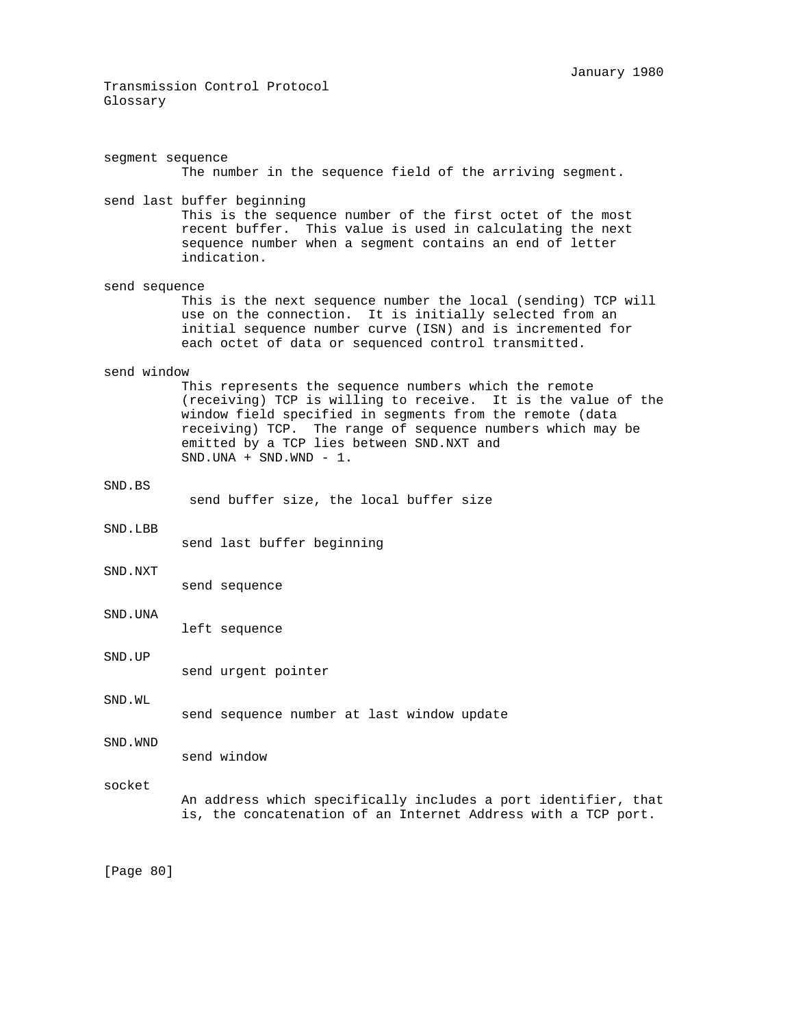Transmission Control Protocol Glossary

| segment sequence | The number in the sequence field of the arriving segment.                                                                                                                                                                                                                                                                 |
|------------------|---------------------------------------------------------------------------------------------------------------------------------------------------------------------------------------------------------------------------------------------------------------------------------------------------------------------------|
|                  | send last buffer beginning<br>This is the sequence number of the first octet of the most<br>recent buffer. This value is used in calculating the next<br>sequence number when a segment contains an end of letter<br>indication.                                                                                          |
| send sequence    |                                                                                                                                                                                                                                                                                                                           |
|                  | This is the next sequence number the local (sending) TCP will<br>use on the connection. It is initially selected from an<br>initial sequence number curve (ISN) and is incremented for<br>each octet of data or sequenced control transmitted.                                                                            |
| send window      |                                                                                                                                                                                                                                                                                                                           |
|                  | This represents the sequence numbers which the remote<br>(receiving) TCP is willing to receive. It is the value of the<br>window field specified in segments from the remote (data<br>receiving) TCP. The range of sequence numbers which may be<br>emitted by a TCP lies between SND.NXT and<br>$SND.UNA + SND.WND - 1.$ |
| SND.BS           |                                                                                                                                                                                                                                                                                                                           |
|                  | send buffer size, the local buffer size                                                                                                                                                                                                                                                                                   |
| SND.LBB          | send last buffer beginning                                                                                                                                                                                                                                                                                                |
| SND.NXT          | send sequence                                                                                                                                                                                                                                                                                                             |
| SND.UNA          | left sequence                                                                                                                                                                                                                                                                                                             |
| SND.UP           | send urgent pointer                                                                                                                                                                                                                                                                                                       |
| SND.WL           | send sequence number at last window update                                                                                                                                                                                                                                                                                |
| SND.WND          | send window                                                                                                                                                                                                                                                                                                               |
| socket           | An address which specifically includes a port identifier, that<br>is, the concatenation of an Internet Address with a TCP port.                                                                                                                                                                                           |
|                  |                                                                                                                                                                                                                                                                                                                           |

[Page 80]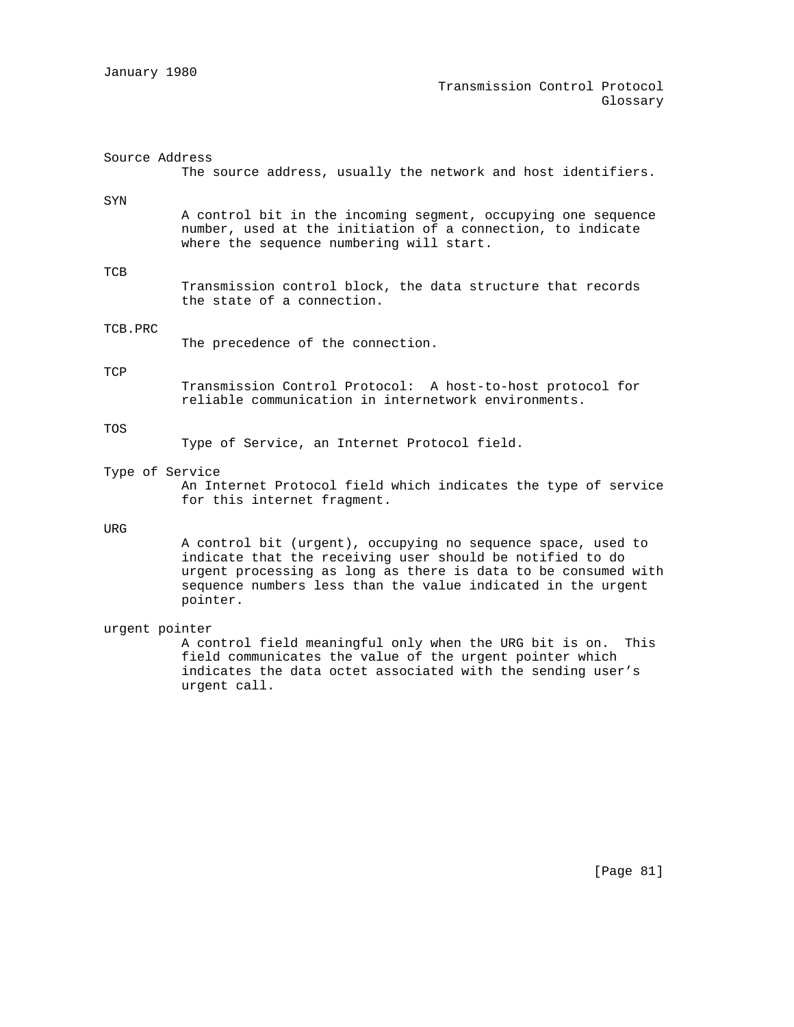| Source Address  | The source address, usually the network and host identifiers.                                                                                                                                                                                                           |
|-----------------|-------------------------------------------------------------------------------------------------------------------------------------------------------------------------------------------------------------------------------------------------------------------------|
| SYN             | A control bit in the incoming segment, occupying one sequence<br>number, used at the initiation of a connection, to indicate<br>where the sequence numbering will start.                                                                                                |
| TCB             | Transmission control block, the data structure that records<br>the state of a connection.                                                                                                                                                                               |
| TCB.PRC         | The precedence of the connection.                                                                                                                                                                                                                                       |
| TCP             | Transmission Control Protocol: A host-to-host protocol for<br>reliable communication in internetwork environments.                                                                                                                                                      |
| TOS             | Type of Service, an Internet Protocol field.                                                                                                                                                                                                                            |
| Type of Service | An Internet Protocol field which indicates the type of service<br>for this internet fragment.                                                                                                                                                                           |
| URG             | A control bit (urgent), occupying no sequence space, used to<br>indicate that the receiving user should be notified to do<br>urgent processing as long as there is data to be consumed with<br>sequence numbers less than the value indicated in the urgent<br>pointer. |
| urgent pointer  | A control field meaningful only when the URG bit is on.<br>This<br>field communicates the value of the urgent pointer which<br>indicates the data octet associated with the sending user's<br>urgent call.                                                              |

[Page 81]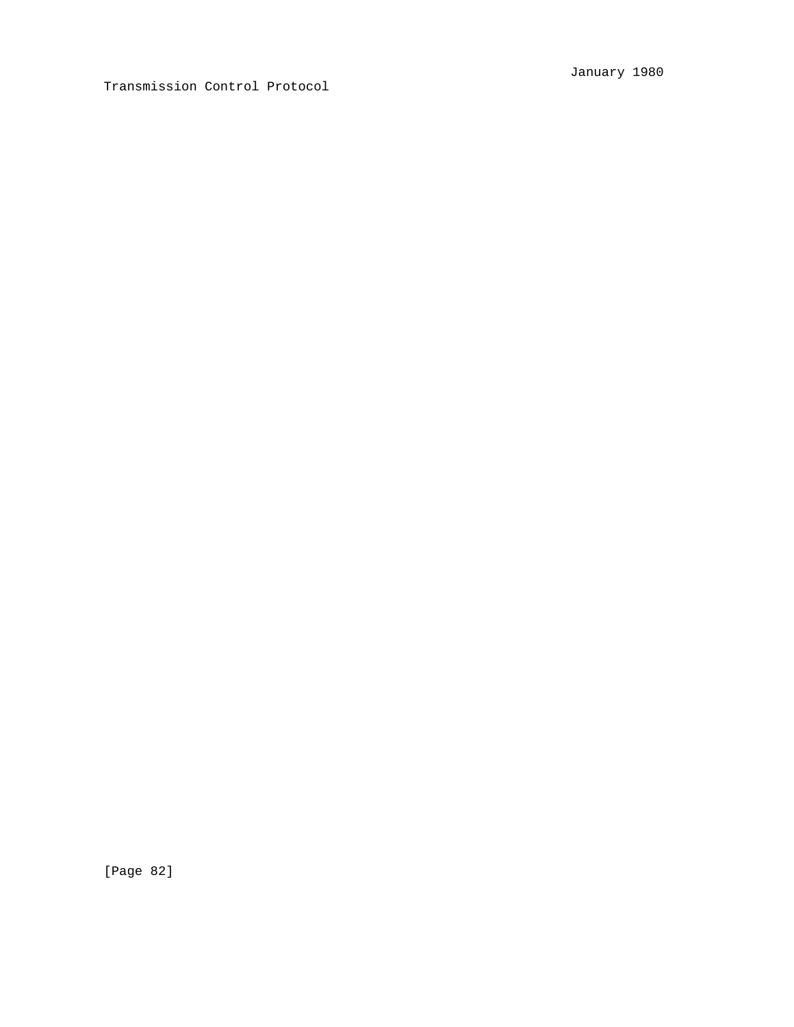Transmission Control Protocol

[Page 82]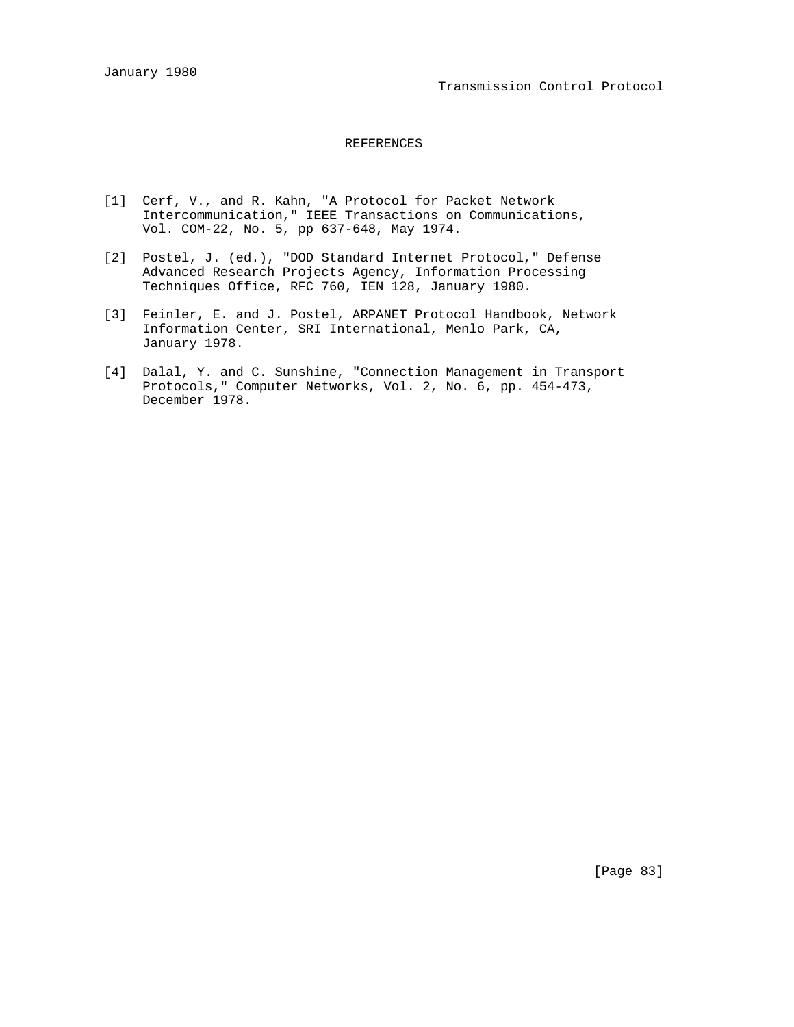### REFERENCES

- [1] Cerf, V., and R. Kahn, "A Protocol for Packet Network Intercommunication," IEEE Transactions on Communications, Vol. COM-22, No. 5, pp 637-648, May 1974.
- [2] Postel, J. (ed.), "DOD Standard Internet Protocol," Defense Advanced Research Projects Agency, Information Processing Techniques Office, RFC 760, IEN 128, January 1980.
- [3] Feinler, E. and J. Postel, ARPANET Protocol Handbook, Network Information Center, SRI International, Menlo Park, CA, January 1978.
- [4] Dalal, Y. and C. Sunshine, "Connection Management in Transport Protocols," Computer Networks, Vol. 2, No. 6, pp. 454-473, December 1978.